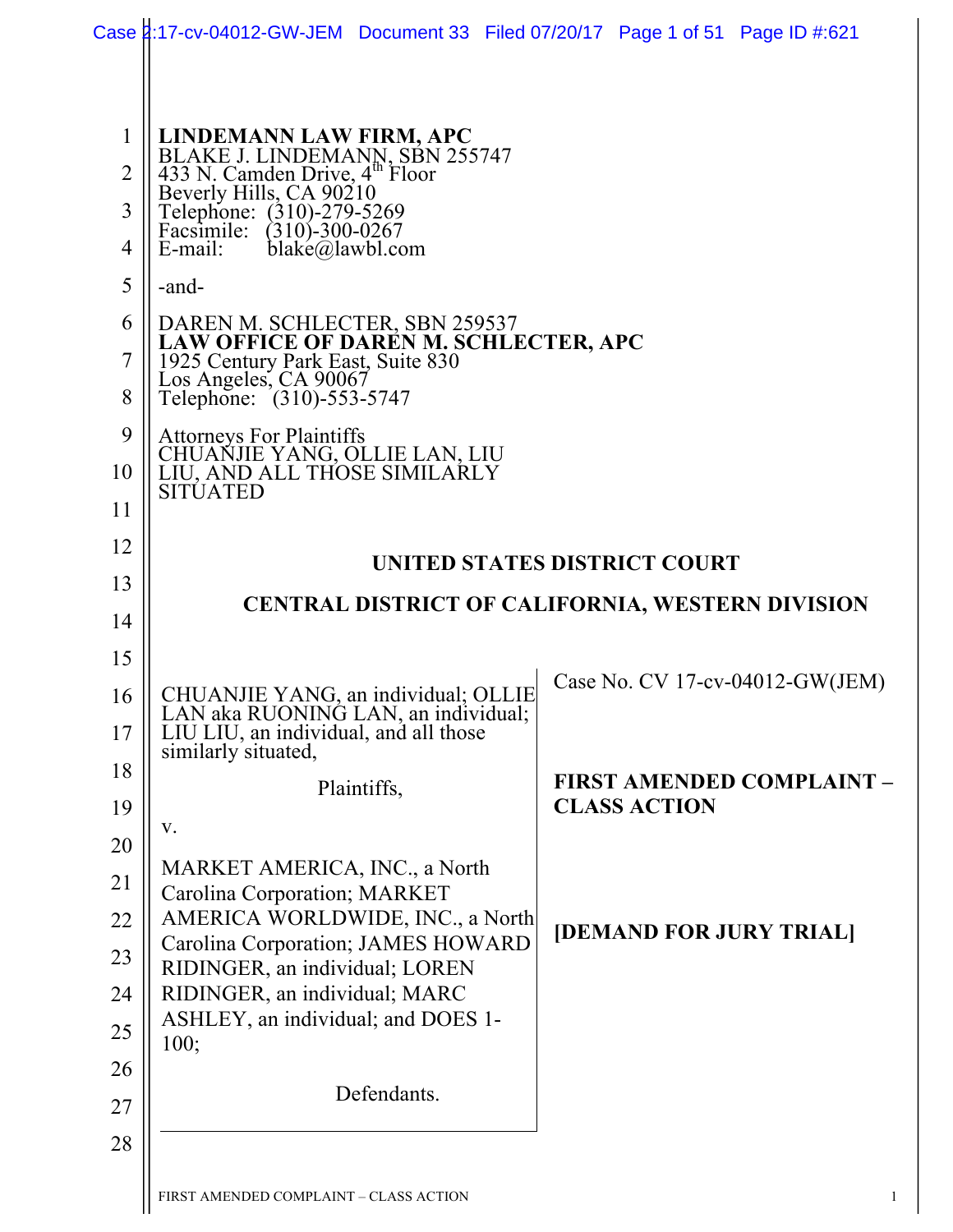|                                                              | Case 4:17-cv-04012-GW-JEM Document 33 Filed 07/20/17 Page 1 of 51 Page ID #:621                                                                                                                                                                                                                                                                                                                                                                                                                                             |                     |                                  |
|--------------------------------------------------------------|-----------------------------------------------------------------------------------------------------------------------------------------------------------------------------------------------------------------------------------------------------------------------------------------------------------------------------------------------------------------------------------------------------------------------------------------------------------------------------------------------------------------------------|---------------------|----------------------------------|
| 1<br>$\overline{2}$<br>3<br>4<br>5<br>6<br>7<br>8<br>9<br>10 | LINDEMANN LAW FIRM, APC<br>BLAKE J. LINDEMANN, SBN 255747<br>433 N. Camden Drive, 4 <sup>th</sup> Floor<br>Beverly Hills, CA 90210<br>Telephone: (310)-279-5269<br>Facsimile:<br>$(310)-300-0267$<br>$black@$ <i>awbl.com</i><br>E-mail:<br>-and-<br>DAREN M. SCHLECTER, SBN 259537<br>LAW OFFICE OF DARÉN M. SCHLECTER, APC<br>1925 Century Park East, Suite 830<br>Los Angeles, CA 90067<br>Telephone: (310)-553-5747<br><b>Attorneys For Plaintiffs</b><br>CHUAŇJIE YANG, OLLIE LAN, LIU<br>LIU, AND ALL THOSE SIMILARLY |                     |                                  |
| 11                                                           | <b>SITUATED</b>                                                                                                                                                                                                                                                                                                                                                                                                                                                                                                             |                     |                                  |
| 12                                                           | UNITED STATES DISTRICT COURT                                                                                                                                                                                                                                                                                                                                                                                                                                                                                                |                     |                                  |
| 13                                                           | <b>CENTRAL DISTRICT OF CALIFORNIA, WESTERN DIVISION</b>                                                                                                                                                                                                                                                                                                                                                                                                                                                                     |                     |                                  |
| 14                                                           |                                                                                                                                                                                                                                                                                                                                                                                                                                                                                                                             |                     |                                  |
| 15                                                           |                                                                                                                                                                                                                                                                                                                                                                                                                                                                                                                             |                     | Case No. CV 17-cv-04012-GW(JEM)  |
| 16<br>17                                                     | CHUANJIE YANG, an individual; OLLIE<br>LAN aka RUONING LAN, an individual;<br>LIU LIU, an individual, and all those<br>similarly situated,                                                                                                                                                                                                                                                                                                                                                                                  |                     |                                  |
| 18                                                           | Plaintiffs,                                                                                                                                                                                                                                                                                                                                                                                                                                                                                                                 |                     | <b>FIRST AMENDED COMPLAINT -</b> |
| 19                                                           |                                                                                                                                                                                                                                                                                                                                                                                                                                                                                                                             |                     |                                  |
|                                                              |                                                                                                                                                                                                                                                                                                                                                                                                                                                                                                                             | <b>CLASS ACTION</b> |                                  |
| 20                                                           | V.                                                                                                                                                                                                                                                                                                                                                                                                                                                                                                                          |                     |                                  |
| 21                                                           | MARKET AMERICA, INC., a North<br>Carolina Corporation; MARKET                                                                                                                                                                                                                                                                                                                                                                                                                                                               |                     |                                  |
| 22                                                           | AMERICA WORLDWIDE, INC., a North                                                                                                                                                                                                                                                                                                                                                                                                                                                                                            |                     | [DEMAND FOR JURY TRIAL]          |
| 23                                                           | Carolina Corporation; JAMES HOWARD<br>RIDINGER, an individual; LOREN                                                                                                                                                                                                                                                                                                                                                                                                                                                        |                     |                                  |
| 24                                                           | RIDINGER, an individual; MARC                                                                                                                                                                                                                                                                                                                                                                                                                                                                                               |                     |                                  |
| 25                                                           | ASHLEY, an individual; and DOES 1-<br>100;                                                                                                                                                                                                                                                                                                                                                                                                                                                                                  |                     |                                  |
| 26                                                           |                                                                                                                                                                                                                                                                                                                                                                                                                                                                                                                             |                     |                                  |
| 27                                                           | Defendants.                                                                                                                                                                                                                                                                                                                                                                                                                                                                                                                 |                     |                                  |
| 28                                                           |                                                                                                                                                                                                                                                                                                                                                                                                                                                                                                                             |                     |                                  |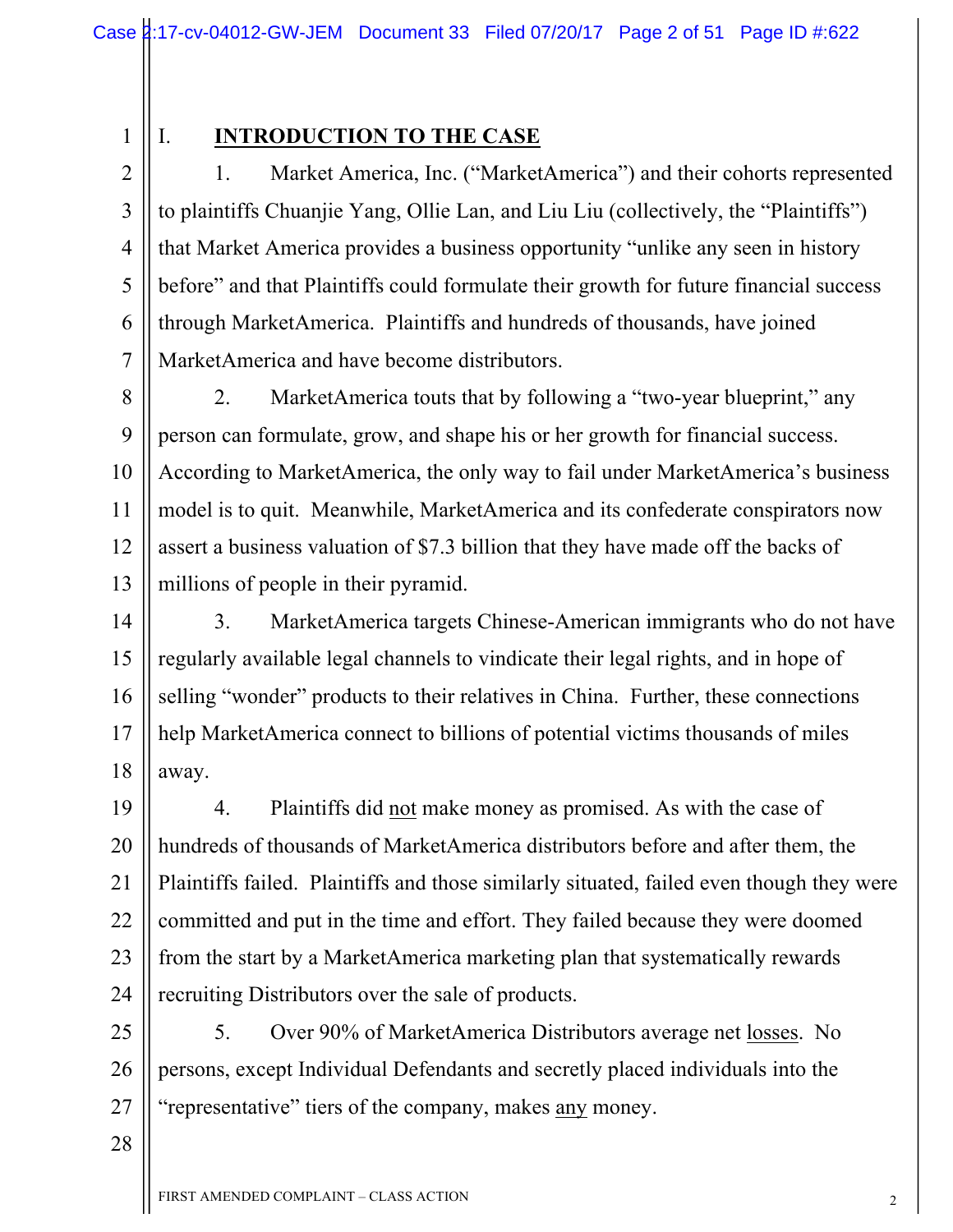### I. **INTRODUCTION TO THE CASE**

3 3 4 4 5 5 6 6 7 7 1. Market America, Inc. ("MarketAmerica") and their cohorts represented to plaintiffs Chuanjie Yang, Ollie Lan, and Liu Liu (collectively, the "Plaintiffs") that Market America provides a business opportunity "unlike any seen in history before" and that Plaintiffs could formulate their growth for future financial success through MarketAmerica. Plaintiffs and hundreds of thousands, have joined MarketAmerica and have become distributors.

8 8 9 9 10 10 11 11 12 12 13 13 2. MarketAmerica touts that by following a "two-year blueprint," any person can formulate, grow, and shape his or her growth for financial success. According to MarketAmerica, the only way to fail under MarketAmerica's business model is to quit. Meanwhile, MarketAmerica and its confederate conspirators now assert a business valuation of \$7.3 billion that they have made off the backs of millions of people in their pyramid.

14 14 15 15 16 16 17 17 18 18 3. MarketAmerica targets Chinese-American immigrants who do not have regularly available legal channels to vindicate their legal rights, and in hope of selling "wonder" products to their relatives in China. Further, these connections help MarketAmerica connect to billions of potential victims thousands of miles away.

19 19 20 20 21 21 22 22 23 23 24 24 4. Plaintiffs did not make money as promised. As with the case of hundreds of thousands of MarketAmerica distributors before and after them, the Plaintiffs failed. Plaintiffs and those similarly situated, failed even though they were committed and put in the time and effort. They failed because they were doomed from the start by a MarketAmerica marketing plan that systematically rewards recruiting Distributors over the sale of products.

25 25 26 26 27 27 5. Over 90% of MarketAmerica Distributors average net losses. No persons, except Individual Defendants and secretly placed individuals into the "representative" tiers of the company, makes any money.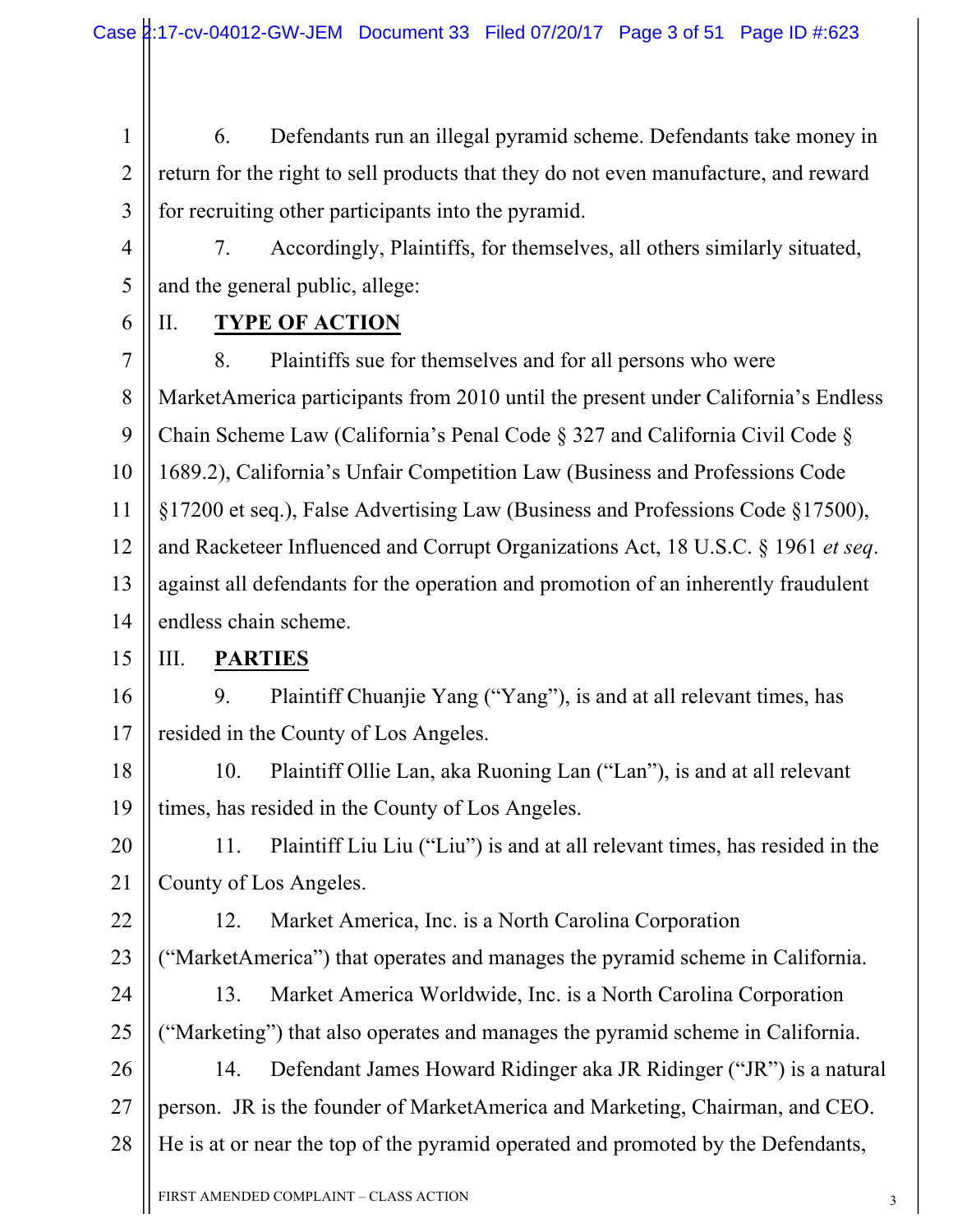1 1 2 2 3 3 6. Defendants run an illegal pyramid scheme. Defendants take money in return for the right to sell products that they do not even manufacture, and reward for recruiting other participants into the pyramid.

4 4

7. Accordingly, Plaintiffs, for themselves, all others similarly situated, and the general public, allege:

6 6

5 5

# II. **TYPE OF ACTION**

7 7 8 8 9 9 10 10 11 11 12 12 13 13 14 14 8. Plaintiffs sue for themselves and for all persons who were MarketAmerica participants from 2010 until the present under California's Endless Chain Scheme Law (California's Penal Code § 327 and California Civil Code § 1689.2), California's Unfair Competition Law (Business and Professions Code §17200 et seq.), False Advertising Law (Business and Professions Code §17500), and Racketeer Influenced and Corrupt Organizations Act, 18 U.S.C. § 1961 *et seq*. against all defendants for the operation and promotion of an inherently fraudulent endless chain scheme.

15 15

# III. **PARTIES**

16 16 17 17 9. Plaintiff Chuanjie Yang ("Yang"), is and at all relevant times, has resided in the County of Los Angeles.

18 18 19 19 10. Plaintiff Ollie Lan, aka Ruoning Lan ("Lan"), is and at all relevant times, has resided in the County of Los Angeles.

20 20 21 21 11. Plaintiff Liu Liu ("Liu") is and at all relevant times, has resided in the County of Los Angeles.

22 22

23 23

12. Market America, Inc. is a North Carolina Corporation ("MarketAmerica") that operates and manages the pyramid scheme in California.

- 24 24 25 25 13. Market America Worldwide, Inc. is a North Carolina Corporation ("Marketing") that also operates and manages the pyramid scheme in California.
- 26 26 27 27 28 28 14. Defendant James Howard Ridinger aka JR Ridinger ("JR") is a natural person. JR is the founder of MarketAmerica and Marketing, Chairman, and CEO. He is at or near the top of the pyramid operated and promoted by the Defendants,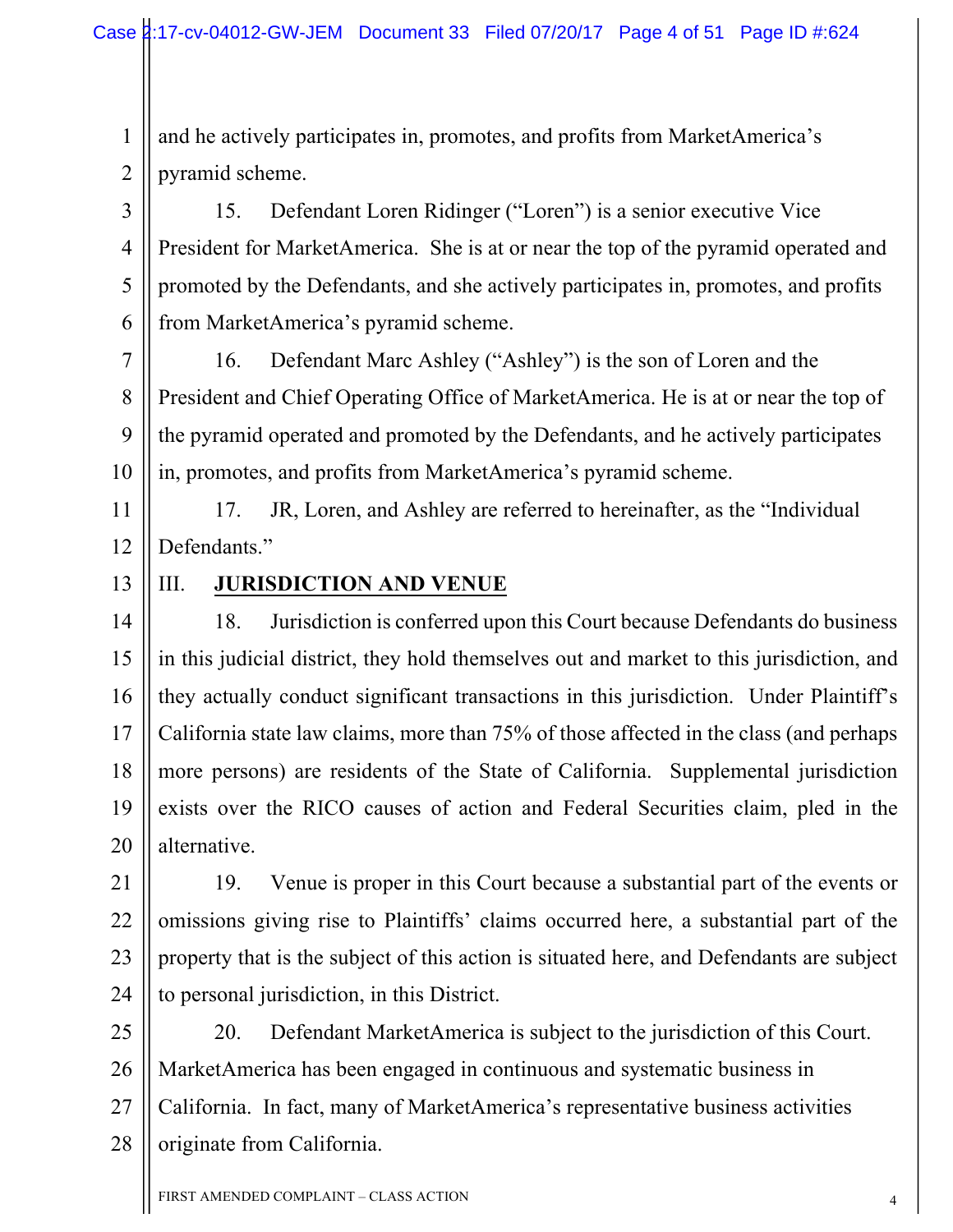and he actively participates in, promotes, and profits from MarketAmerica's pyramid scheme.

3 3 4 4 5 5 6 6 15. Defendant Loren Ridinger ("Loren") is a senior executive Vice President for MarketAmerica. She is at or near the top of the pyramid operated and promoted by the Defendants, and she actively participates in, promotes, and profits from MarketAmerica's pyramid scheme.

7 7 8 8 9 9 10 10 16. Defendant Marc Ashley ("Ashley") is the son of Loren and the President and Chief Operating Office of MarketAmerica. He is at or near the top of the pyramid operated and promoted by the Defendants, and he actively participates in, promotes, and profits from MarketAmerica's pyramid scheme.

11 11 12 12 17. JR, Loren, and Ashley are referred to hereinafter, as the "Individual Defendants."

13 13

1 1

2 2

## III. **JURISDICTION AND VENUE**

14 14 15 15 16 16 17 17 18 18 19 19 20 20 18. Jurisdiction is conferred upon this Court because Defendants do business in this judicial district, they hold themselves out and market to this jurisdiction, and they actually conduct significant transactions in this jurisdiction. Under Plaintiff's California state law claims, more than 75% of those affected in the class (and perhaps more persons) are residents of the State of California. Supplemental jurisdiction exists over the RICO causes of action and Federal Securities claim, pled in the alternative.

21 21 22 22 23 23 24 24 19. Venue is proper in this Court because a substantial part of the events or omissions giving rise to Plaintiffs' claims occurred here, a substantial part of the property that is the subject of this action is situated here, and Defendants are subject to personal jurisdiction, in this District.

25 25 26 26 27 27 28 28 20. Defendant MarketAmerica is subject to the jurisdiction of this Court. MarketAmerica has been engaged in continuous and systematic business in California. In fact, many of MarketAmerica's representative business activities originate from California.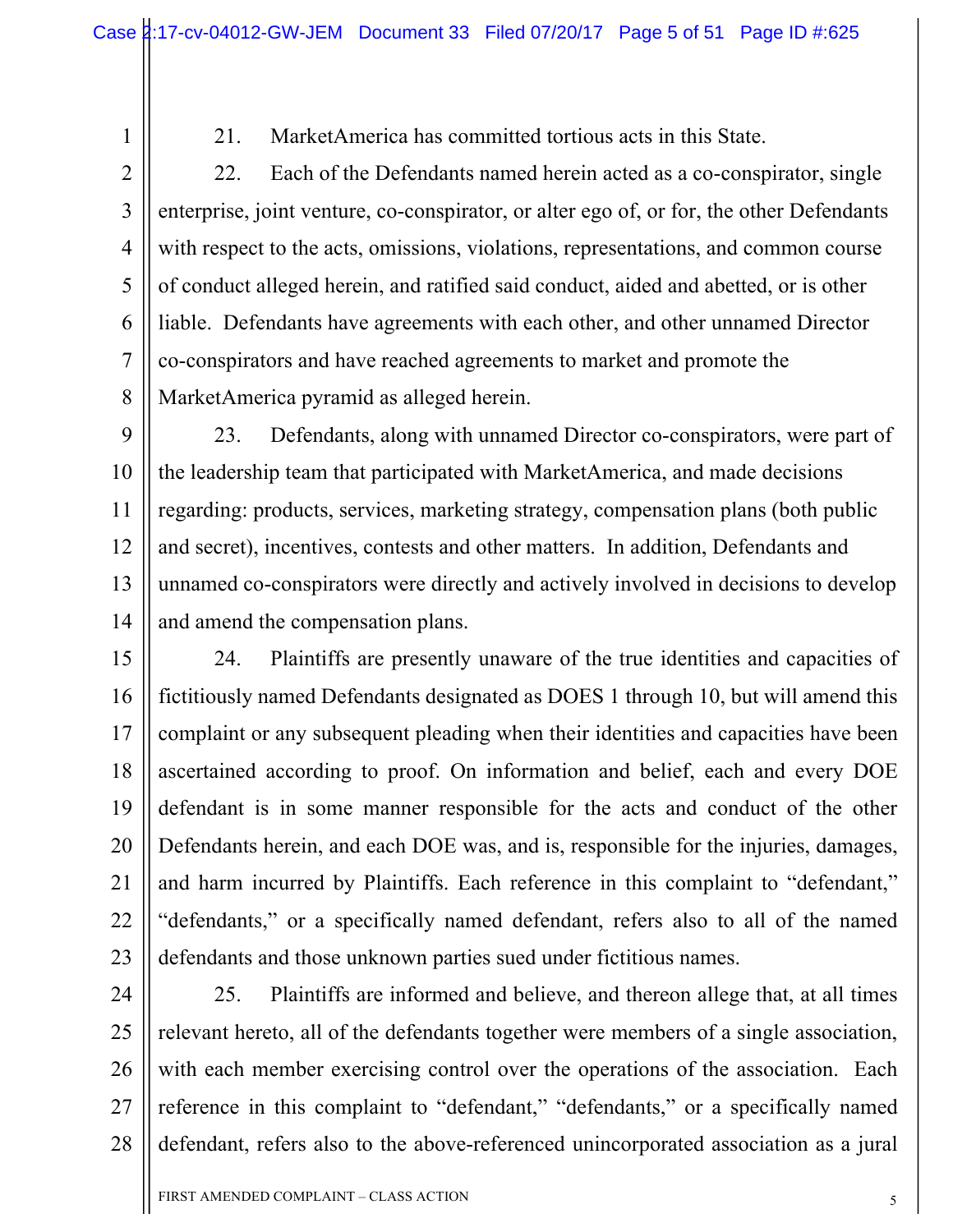3 3

4 4

5 5

6 6

7 7

8 8

21. MarketAmerica has committed tortious acts in this State.

22. Each of the Defendants named herein acted as a co-conspirator, single enterprise, joint venture, co-conspirator, or alter ego of, or for, the other Defendants with respect to the acts, omissions, violations, representations, and common course of conduct alleged herein, and ratified said conduct, aided and abetted, or is other liable. Defendants have agreements with each other, and other unnamed Director co-conspirators and have reached agreements to market and promote the MarketAmerica pyramid as alleged herein.

9 9 10 10 11 11 12 12 13 13 14 14 23. Defendants, along with unnamed Director co-conspirators, were part of the leadership team that participated with MarketAmerica, and made decisions regarding: products, services, marketing strategy, compensation plans (both public and secret), incentives, contests and other matters. In addition, Defendants and unnamed co-conspirators were directly and actively involved in decisions to develop and amend the compensation plans.

15 15 16 16 17 17 18 18 19 19 20 20 21 21 22 22 23 23 24. Plaintiffs are presently unaware of the true identities and capacities of fictitiously named Defendants designated as DOES 1 through 10, but will amend this complaint or any subsequent pleading when their identities and capacities have been ascertained according to proof. On information and belief, each and every DOE defendant is in some manner responsible for the acts and conduct of the other Defendants herein, and each DOE was, and is, responsible for the injuries, damages, and harm incurred by Plaintiffs. Each reference in this complaint to "defendant," "defendants," or a specifically named defendant, refers also to all of the named defendants and those unknown parties sued under fictitious names.

24 24

25 25 26 26 27 27 28 28 25. Plaintiffs are informed and believe, and thereon allege that, at all times relevant hereto, all of the defendants together were members of a single association, with each member exercising control over the operations of the association. Each reference in this complaint to "defendant," "defendants," or a specifically named defendant, refers also to the above-referenced unincorporated association as a jural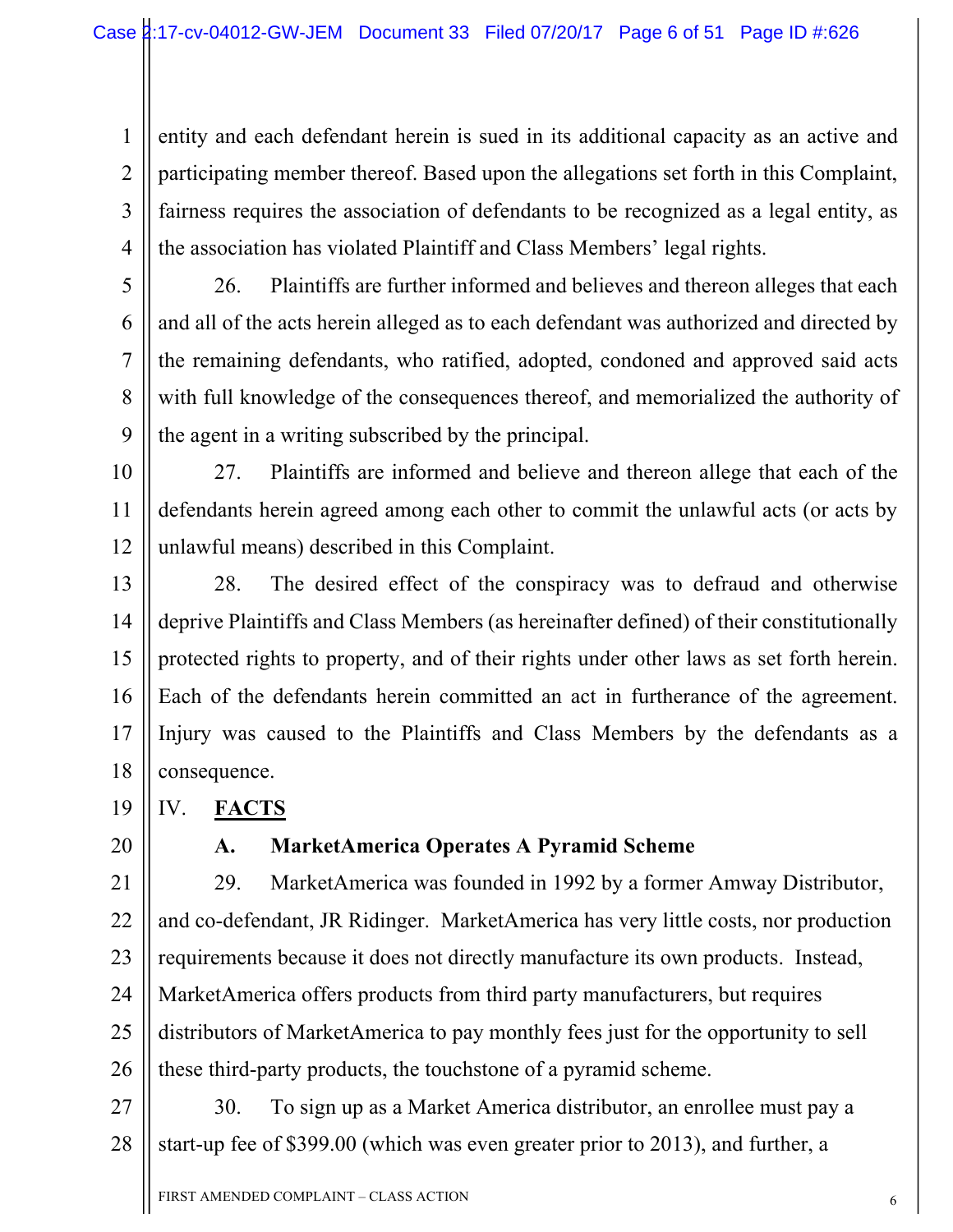entity and each defendant herein is sued in its additional capacity as an active and participating member thereof. Based upon the allegations set forth in this Complaint, fairness requires the association of defendants to be recognized as a legal entity, as the association has violated Plaintiff and Class Members' legal rights.

26. Plaintiffs are further informed and believes and thereon alleges that each and all of the acts herein alleged as to each defendant was authorized and directed by the remaining defendants, who ratified, adopted, condoned and approved said acts with full knowledge of the consequences thereof, and memorialized the authority of the agent in a writing subscribed by the principal.

10 10 11 11 12 12 27. Plaintiffs are informed and believe and thereon allege that each of the defendants herein agreed among each other to commit the unlawful acts (or acts by unlawful means) described in this Complaint.

13 13 14 14 15 15 16 16 17 17 18 18 28. The desired effect of the conspiracy was to defraud and otherwise deprive Plaintiffs and Class Members (as hereinafter defined) of their constitutionally protected rights to property, and of their rights under other laws as set forth herein. Each of the defendants herein committed an act in furtherance of the agreement. Injury was caused to the Plaintiffs and Class Members by the defendants as a consequence.

- IV. **FACTS**
- 20 20

19 19

1 1

2 2

3 3

4 4

5 5

6 6

7 7

8 8

9 9

# **A. MarketAmerica Operates A Pyramid Scheme**

21 21 22 22 23 23 24 24 25 25 26 26 29. MarketAmerica was founded in 1992 by a former Amway Distributor, and co-defendant, JR Ridinger. MarketAmerica has very little costs, nor production requirements because it does not directly manufacture its own products. Instead, MarketAmerica offers products from third party manufacturers, but requires distributors of MarketAmerica to pay monthly fees just for the opportunity to sell these third-party products, the touchstone of a pyramid scheme.

27 27 28 28 30. To sign up as a Market America distributor, an enrollee must pay a start-up fee of \$399.00 (which was even greater prior to 2013), and further, a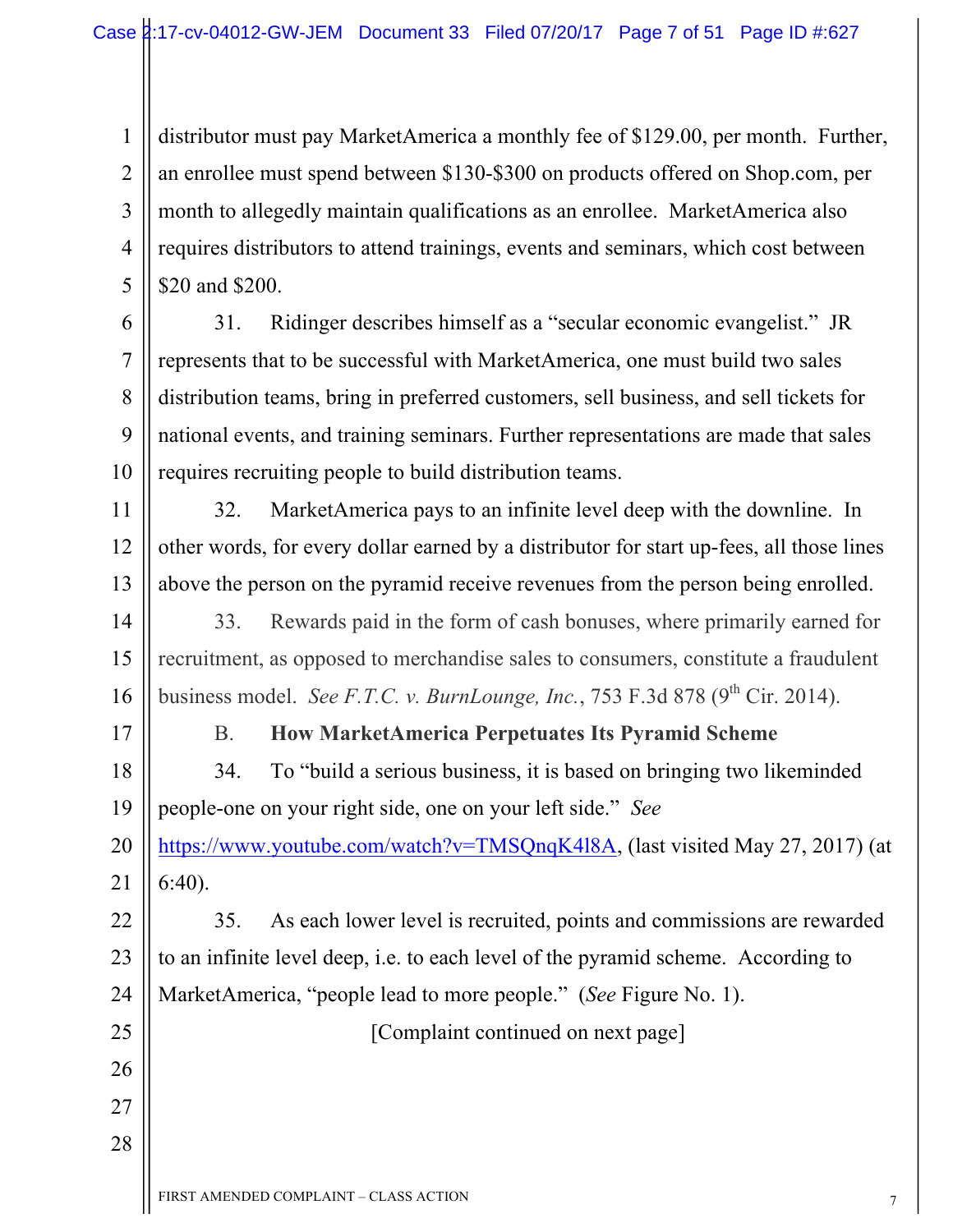1 1 2 2 3 3 4 4 5 5 distributor must pay MarketAmerica a monthly fee of \$129.00, per month. Further, an enrollee must spend between \$130-\$300 on products offered on Shop.com, per month to allegedly maintain qualifications as an enrollee. MarketAmerica also requires distributors to attend trainings, events and seminars, which cost between \$20 and \$200.

6 6 7 7 8 8 9 9 10 10 31. Ridinger describes himself as a "secular economic evangelist." JR represents that to be successful with MarketAmerica, one must build two sales distribution teams, bring in preferred customers, sell business, and sell tickets for national events, and training seminars. Further representations are made that sales requires recruiting people to build distribution teams.

11 11 12 12 13 13 32. MarketAmerica pays to an infinite level deep with the downline. In other words, for every dollar earned by a distributor for start up-fees, all those lines above the person on the pyramid receive revenues from the person being enrolled.

14 14 15 15 16 16 33. Rewards paid in the form of cash bonuses, where primarily earned for recruitment, as opposed to merchandise sales to consumers, constitute a fraudulent business model. *See F.T.C. v. BurnLounge, Inc.*, 753 F.3d 878 ( $9<sup>th</sup>$  Cir. 2014).

17 17

25 25

26 26

27 27

28 28

#### B. **How MarketAmerica Perpetuates Its Pyramid Scheme**

18 18 19 19 34. To "build a serious business, it is based on bringing two likeminded people-one on your right side, one on your left side." *See*

20 20 21 21 https://www.youtube.com/watch?v=TMSQnqK4l8A, (last visited May 27, 2017) (at 6:40).

22 22 23 23 24 24 35. As each lower level is recruited, points and commissions are rewarded to an infinite level deep, i.e. to each level of the pyramid scheme. According to MarketAmerica, "people lead to more people." (*See* Figure No. 1).

[Complaint continued on next page]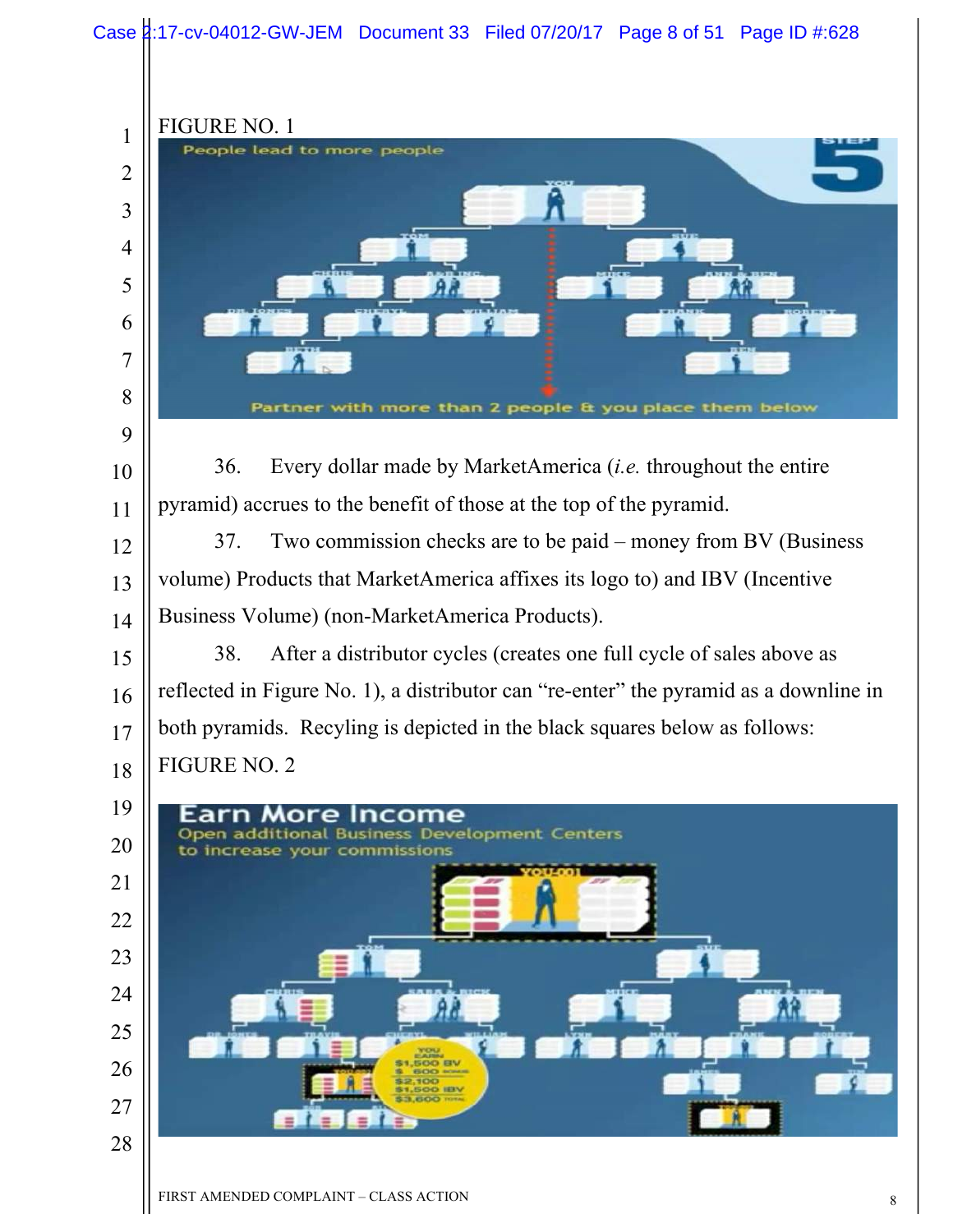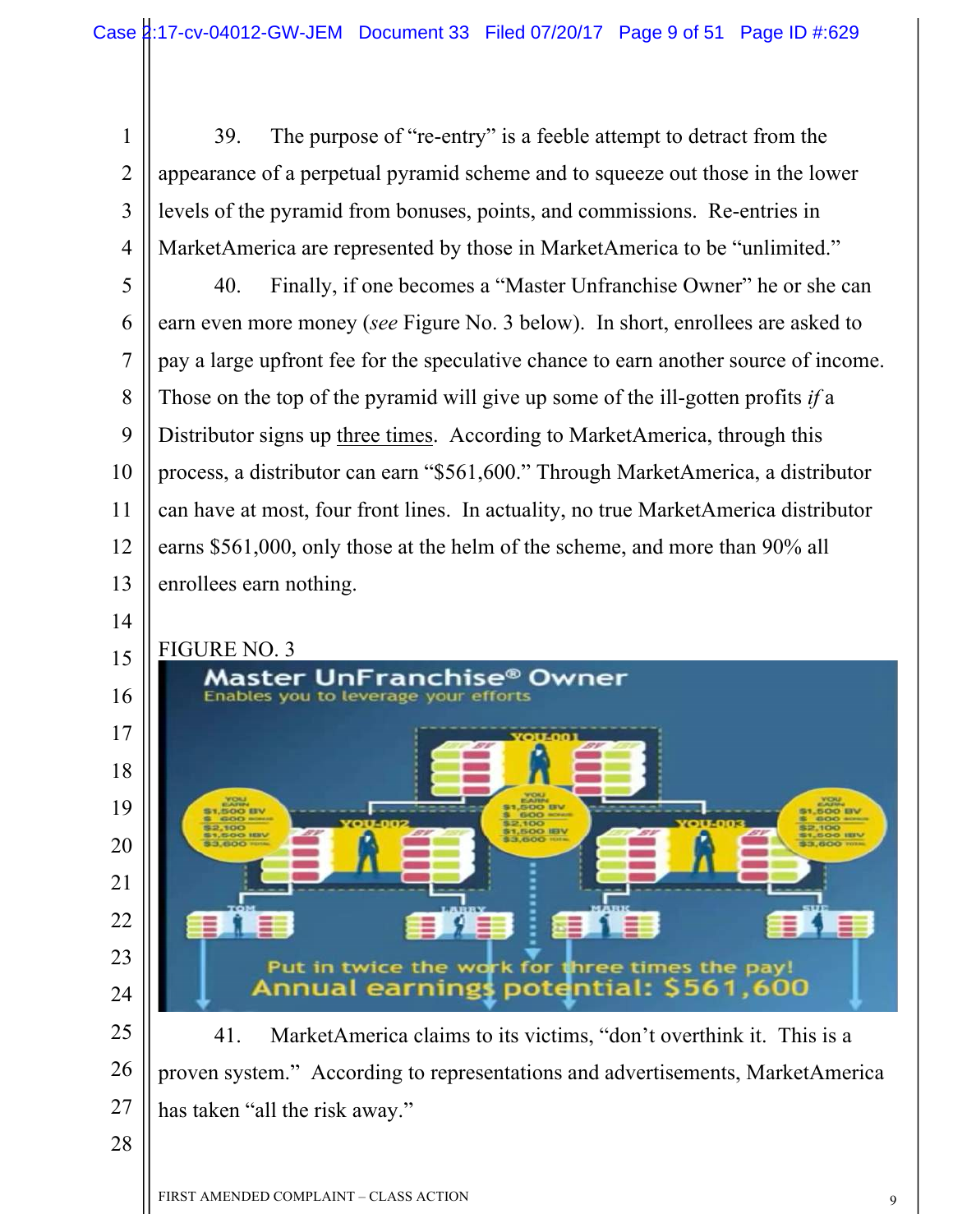1 1 2 2 3 3 4 4 39. The purpose of "re-entry" is a feeble attempt to detract from the appearance of a perpetual pyramid scheme and to squeeze out those in the lower levels of the pyramid from bonuses, points, and commissions. Re-entries in MarketAmerica are represented by those in MarketAmerica to be "unlimited."

40. Finally, if one becomes a "Master Unfranchise Owner" he or she can earn even more money (*see* Figure No. 3 below). In short, enrollees are asked to pay a large upfront fee for the speculative chance to earn another source of income. Those on the top of the pyramid will give up some of the ill-gotten profits *if* a Distributor signs up three times. According to MarketAmerica, through this process, a distributor can earn "\$561,600." Through MarketAmerica, a distributor can have at most, four front lines. In actuality, no true MarketAmerica distributor earns \$561,000, only those at the helm of the scheme, and more than 90% all enrollees earn nothing.



25 25 26 26 27 27 41. MarketAmerica claims to its victims, "don't overthink it. This is a proven system." According to representations and advertisements, MarketAmerica has taken "all the risk away."

28 28

5 5

6 6

7 7

8 8

9 9

10 10

11 11

12 12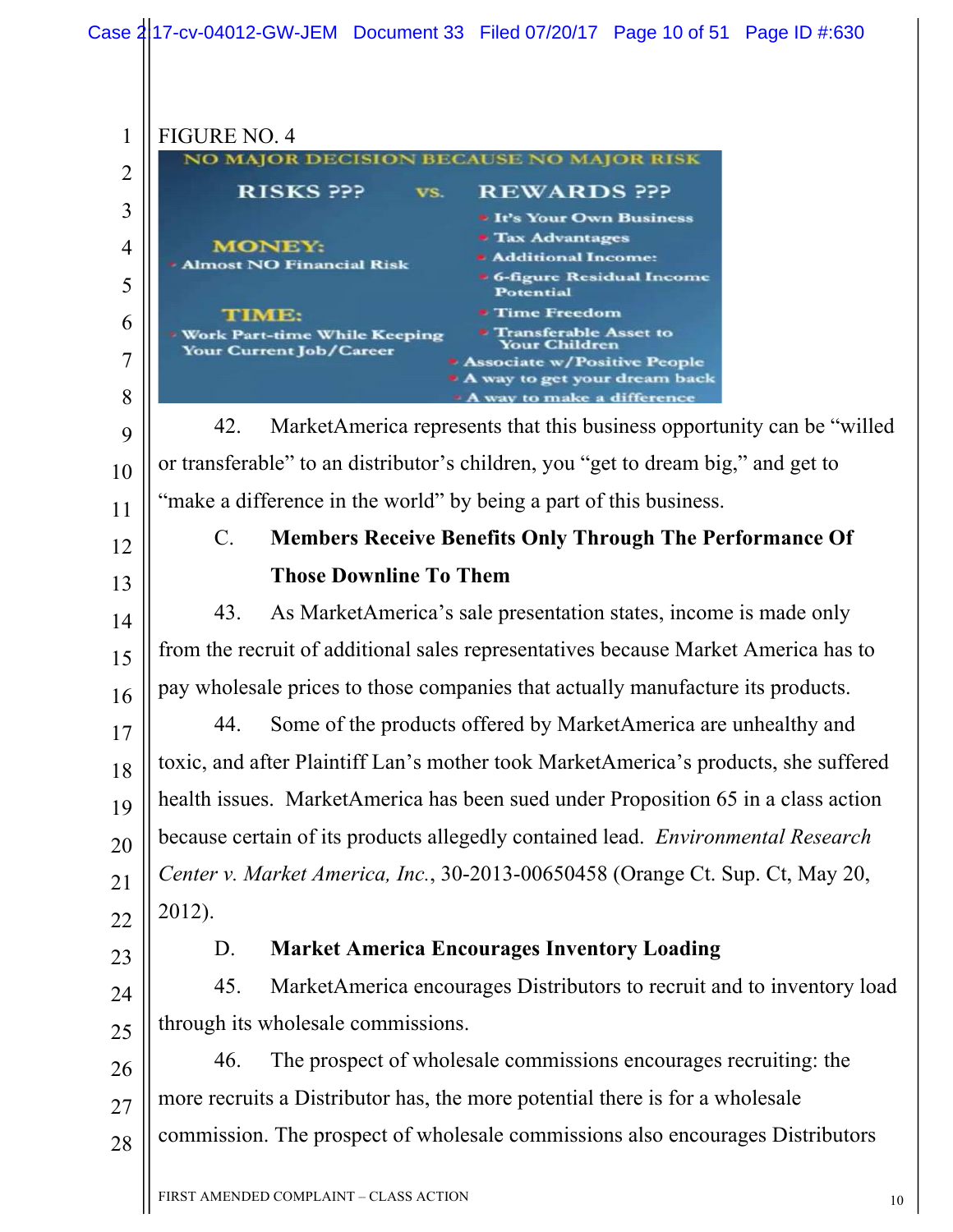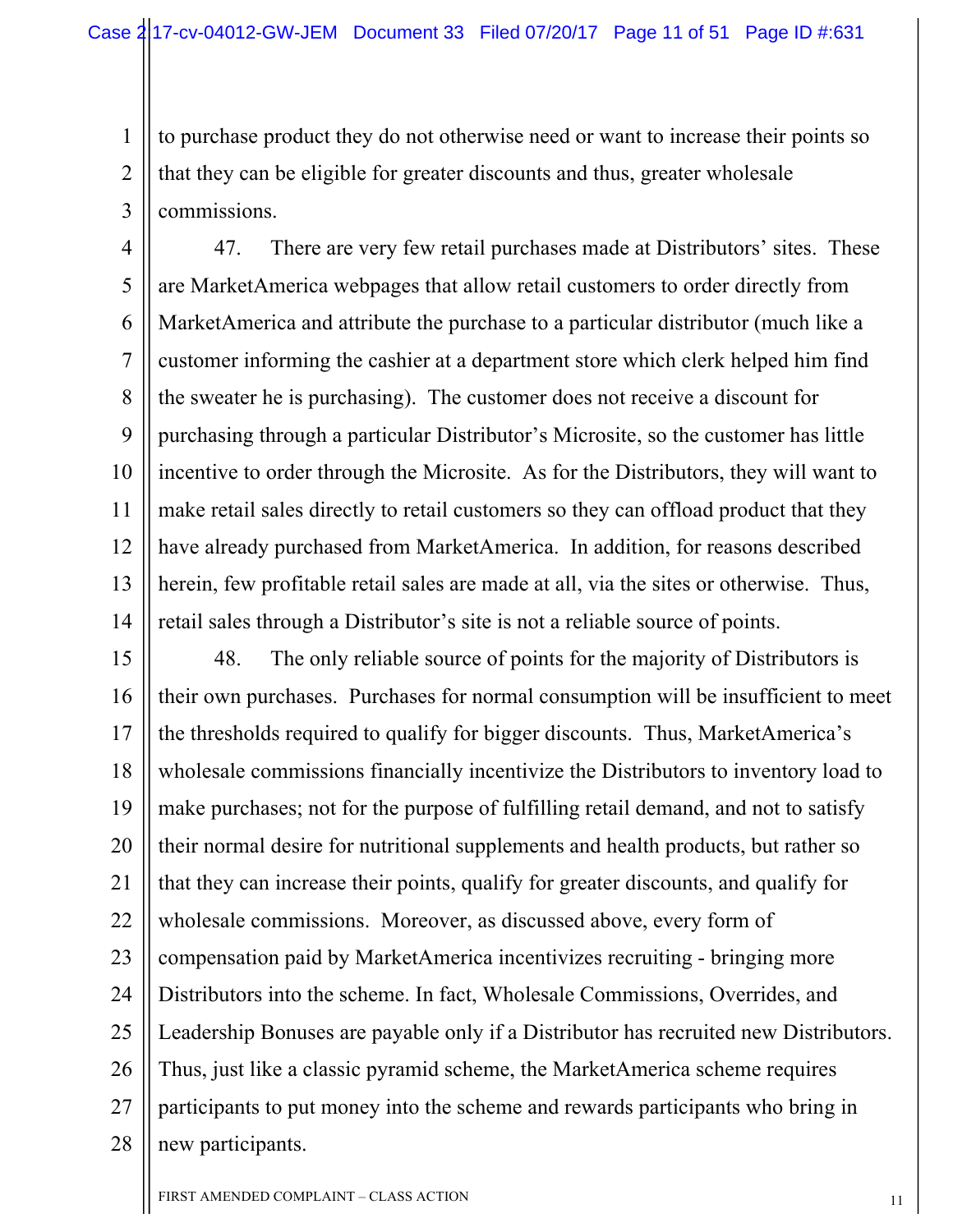1 1 2 2 3 3 to purchase product they do not otherwise need or want to increase their points so that they can be eligible for greater discounts and thus, greater wholesale commissions.

4 4 5 5 6 6 7 7 8 8 9 9 10 10 11 11 12 12 13 13 14 14 47. There are very few retail purchases made at Distributors' sites. These are MarketAmerica webpages that allow retail customers to order directly from MarketAmerica and attribute the purchase to a particular distributor (much like a customer informing the cashier at a department store which clerk helped him find the sweater he is purchasing). The customer does not receive a discount for purchasing through a particular Distributor's Microsite, so the customer has little incentive to order through the Microsite. As for the Distributors, they will want to make retail sales directly to retail customers so they can offload product that they have already purchased from MarketAmerica. In addition, for reasons described herein, few profitable retail sales are made at all, via the sites or otherwise. Thus, retail sales through a Distributor's site is not a reliable source of points.

15 15 16 16 17 17 18 18 19 19 20 20 21 21 22 22 23 23 24 24 25 25 26 26 27 27 28 28 48. The only reliable source of points for the majority of Distributors is their own purchases. Purchases for normal consumption will be insufficient to meet the thresholds required to qualify for bigger discounts. Thus, MarketAmerica's wholesale commissions financially incentivize the Distributors to inventory load to make purchases; not for the purpose of fulfilling retail demand, and not to satisfy their normal desire for nutritional supplements and health products, but rather so that they can increase their points, qualify for greater discounts, and qualify for wholesale commissions. Moreover, as discussed above, every form of compensation paid by MarketAmerica incentivizes recruiting - bringing more Distributors into the scheme. In fact, Wholesale Commissions, Overrides, and Leadership Bonuses are payable only if a Distributor has recruited new Distributors. Thus, just like a classic pyramid scheme, the MarketAmerica scheme requires participants to put money into the scheme and rewards participants who bring in new participants.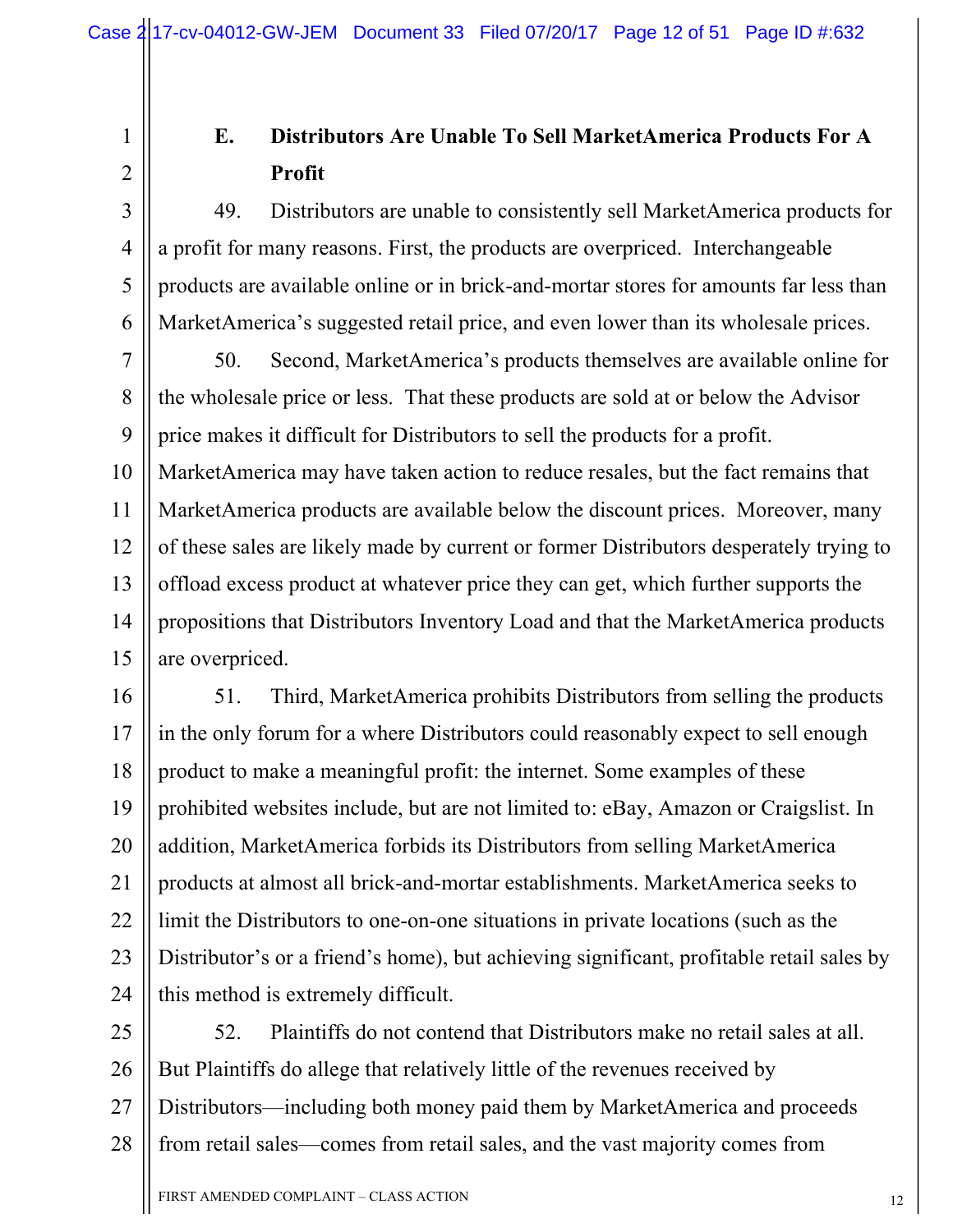2 2

3 3

4 4

5 5

6 6

1 1

# **E. Distributors Are Unable To Sell MarketAmerica Products For A Profit**

49. Distributors are unable to consistently sell MarketAmerica products for a profit for many reasons. First, the products are overpriced. Interchangeable products are available online or in brick-and-mortar stores for amounts far less than MarketAmerica's suggested retail price, and even lower than its wholesale prices.

7 7 8 8 9 9 10 10 11 11 12 12 13 13 14 14 15 15 50. Second, MarketAmerica's products themselves are available online for the wholesale price or less. That these products are sold at or below the Advisor price makes it difficult for Distributors to sell the products for a profit. MarketAmerica may have taken action to reduce resales, but the fact remains that MarketAmerica products are available below the discount prices. Moreover, many of these sales are likely made by current or former Distributors desperately trying to offload excess product at whatever price they can get, which further supports the propositions that Distributors Inventory Load and that the MarketAmerica products are overpriced.

16 16 17 17 18 18 19 19 20 20 21 21 22 22 23 23 24 24 51. Third, MarketAmerica prohibits Distributors from selling the products in the only forum for a where Distributors could reasonably expect to sell enough product to make a meaningful profit: the internet. Some examples of these prohibited websites include, but are not limited to: eBay, Amazon or Craigslist. In addition, MarketAmerica forbids its Distributors from selling MarketAmerica products at almost all brick-and-mortar establishments. MarketAmerica seeks to limit the Distributors to one-on-one situations in private locations (such as the Distributor's or a friend's home), but achieving significant, profitable retail sales by this method is extremely difficult.

25 25 26 26 27 27 28 28 52. Plaintiffs do not contend that Distributors make no retail sales at all. But Plaintiffs do allege that relatively little of the revenues received by Distributors—including both money paid them by MarketAmerica and proceeds from retail sales—comes from retail sales, and the vast majority comes from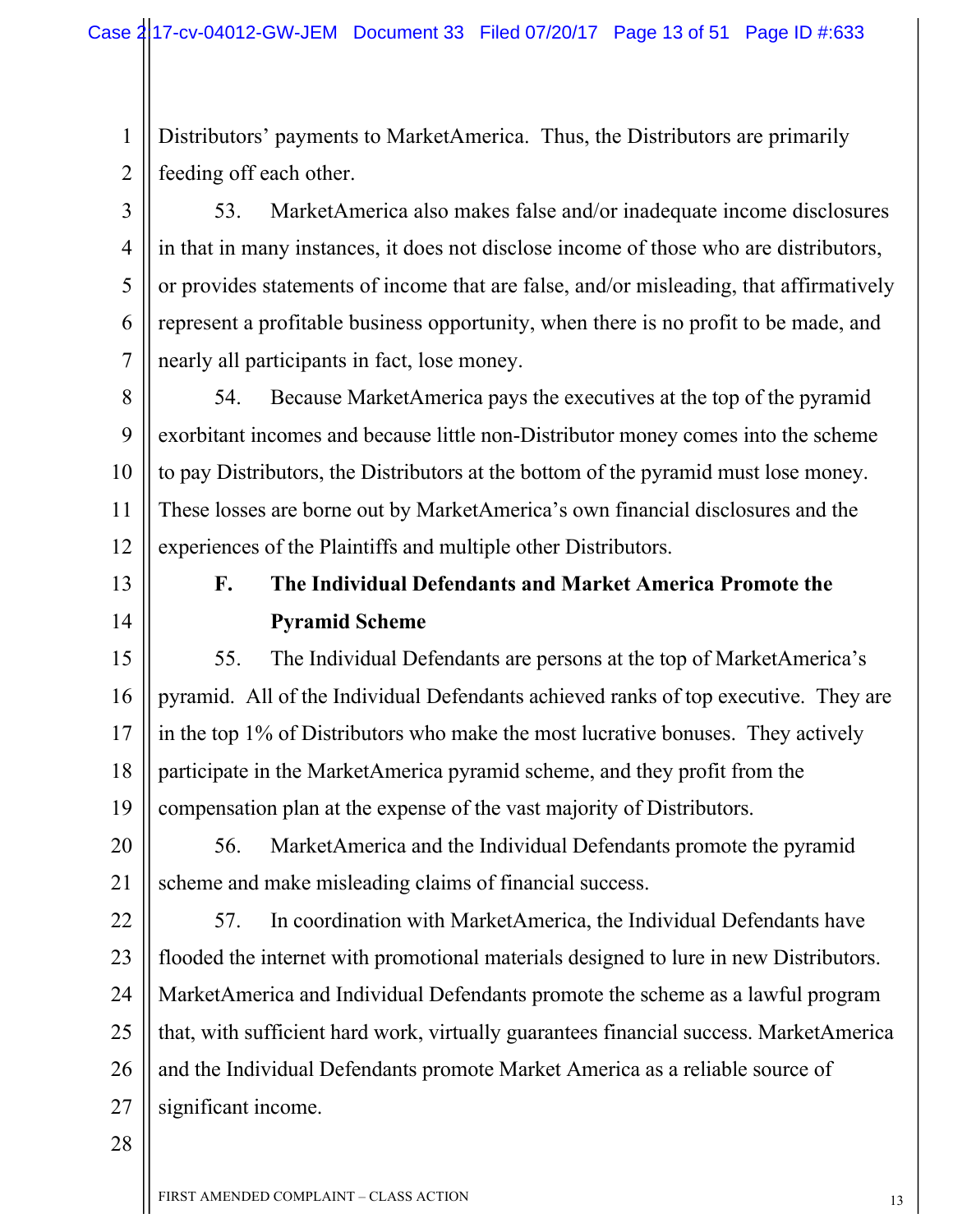1 1 2 2 Distributors' payments to MarketAmerica. Thus, the Distributors are primarily feeding off each other.

53. MarketAmerica also makes false and/or inadequate income disclosures in that in many instances, it does not disclose income of those who are distributors, or provides statements of income that are false, and/or misleading, that affirmatively represent a profitable business opportunity, when there is no profit to be made, and nearly all participants in fact, lose money.

8 8 9 9 10 10 11 11 12 12 54. Because MarketAmerica pays the executives at the top of the pyramid exorbitant incomes and because little non-Distributor money comes into the scheme to pay Distributors, the Distributors at the bottom of the pyramid must lose money. These losses are borne out by MarketAmerica's own financial disclosures and the experiences of the Plaintiffs and multiple other Distributors.

13 13

3 3

4 4

5 5

6 6

7 7

14 14

# **F. The Individual Defendants and Market America Promote the Pyramid Scheme**

15 15 16 16 17 17 18 18 19 19 55. The Individual Defendants are persons at the top of MarketAmerica's pyramid. All of the Individual Defendants achieved ranks of top executive. They are in the top 1% of Distributors who make the most lucrative bonuses. They actively participate in the MarketAmerica pyramid scheme, and they profit from the compensation plan at the expense of the vast majority of Distributors.

20 20 21 21 56. MarketAmerica and the Individual Defendants promote the pyramid scheme and make misleading claims of financial success.

22 22 23 23 24 24 25 25 26 26 27 27 57. In coordination with MarketAmerica, the Individual Defendants have flooded the internet with promotional materials designed to lure in new Distributors. MarketAmerica and Individual Defendants promote the scheme as a lawful program that, with sufficient hard work, virtually guarantees financial success. MarketAmerica and the Individual Defendants promote Market America as a reliable source of significant income.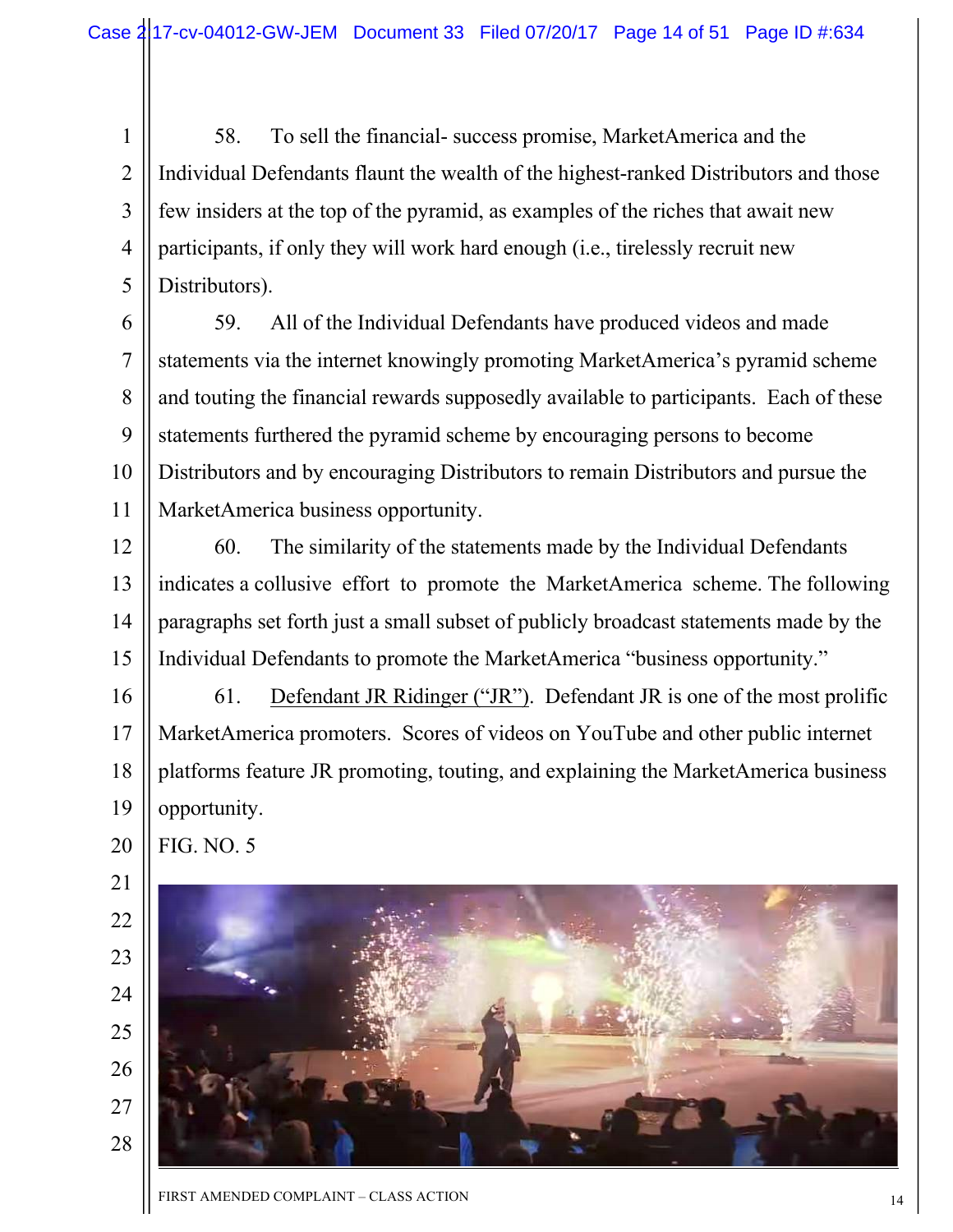1 1 2 2 3 3 4 4 5 5 58. To sell the financial- success promise, MarketAmerica and the Individual Defendants flaunt the wealth of the highest-ranked Distributors and those few insiders at the top of the pyramid, as examples of the riches that await new participants, if only they will work hard enough (i.e., tirelessly recruit new Distributors).

6 6 7 7 8 8 9 9 10 10 11 11 59. All of the Individual Defendants have produced videos and made statements via the internet knowingly promoting MarketAmerica's pyramid scheme and touting the financial rewards supposedly available to participants. Each of these statements furthered the pyramid scheme by encouraging persons to become Distributors and by encouraging Distributors to remain Distributors and pursue the MarketAmerica business opportunity.

12 12 13 13 14 14 15 15 60. The similarity of the statements made by the Individual Defendants indicates a collusive effort to promote the MarketAmerica scheme. The following paragraphs set forth just a small subset of publicly broadcast statements made by the Individual Defendants to promote the MarketAmerica "business opportunity."

61. Defendant JR Ridinger ("JR"). Defendant JR is one of the most prolific MarketAmerica promoters. Scores of videos on YouTube and other public internet platforms feature JR promoting, touting, and explaining the MarketAmerica business opportunity.

FIG. NO. 5

16 16

17 17

18 18

19 19

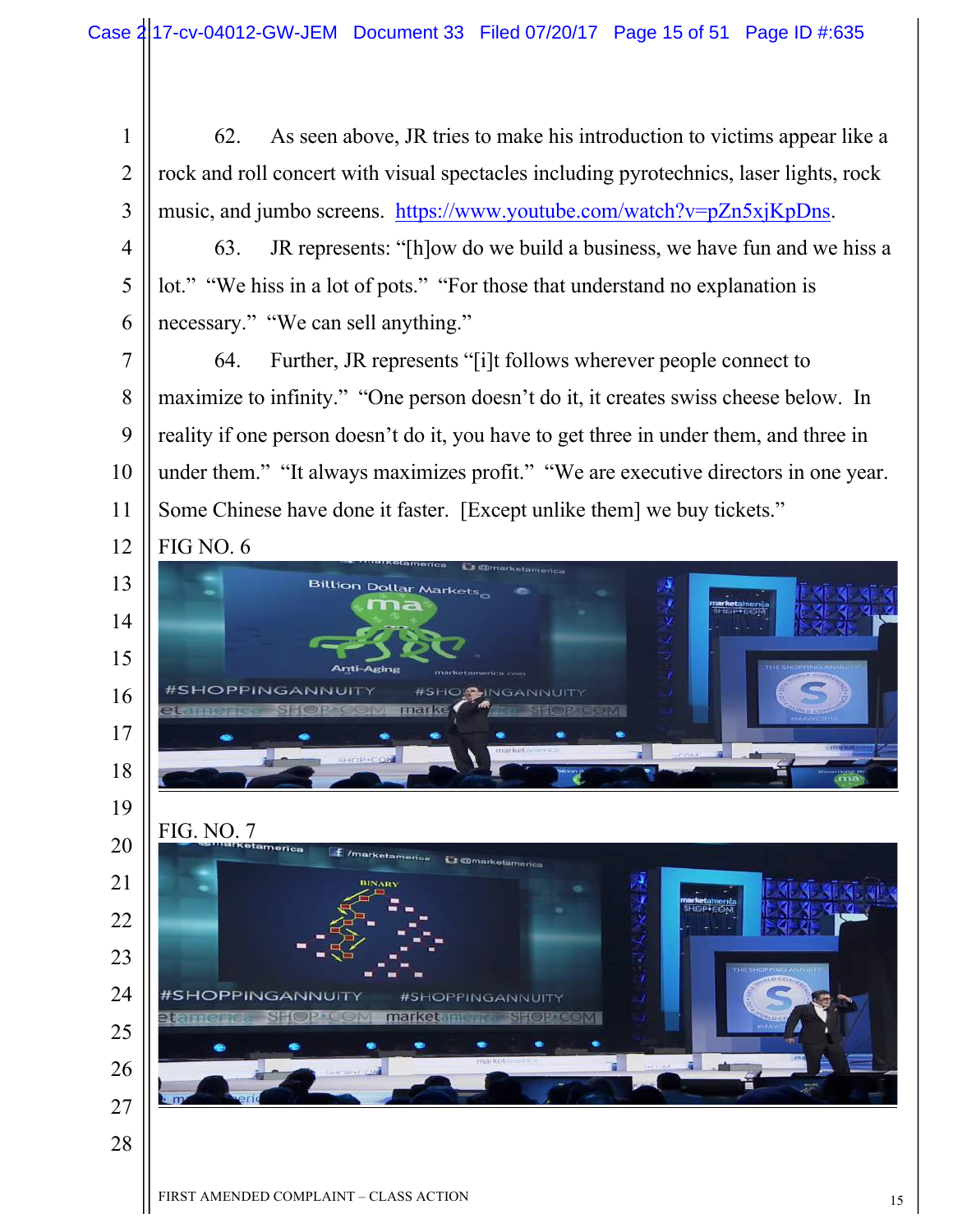1 2 3 62. As seen above, JR tries to make his introduction to victims appear like a rock and roll concert with visual spectacles including pyrotechnics, laser lights, rock music, and jumbo screens. https://www.youtube.com/watch?v=pZn5xjKpDns.

63. JR represents: "[h]ow do we build a business, we have fun and we hiss a lot." "We hiss in a lot of pots." "For those that understand no explanation is necessary." "We can sell anything."

7 8 9 10 11 64. Further, JR represents "[i]t follows wherever people connect to maximize to infinity." "One person doesn't do it, it creates swiss cheese below. In reality if one person doesn't do it, you have to get three in under them, and three in under them." "It always maximizes profit." "We are executive directors in one year. Some Chinese have done it faster. [Except unlike them] we buy tickets."



4

5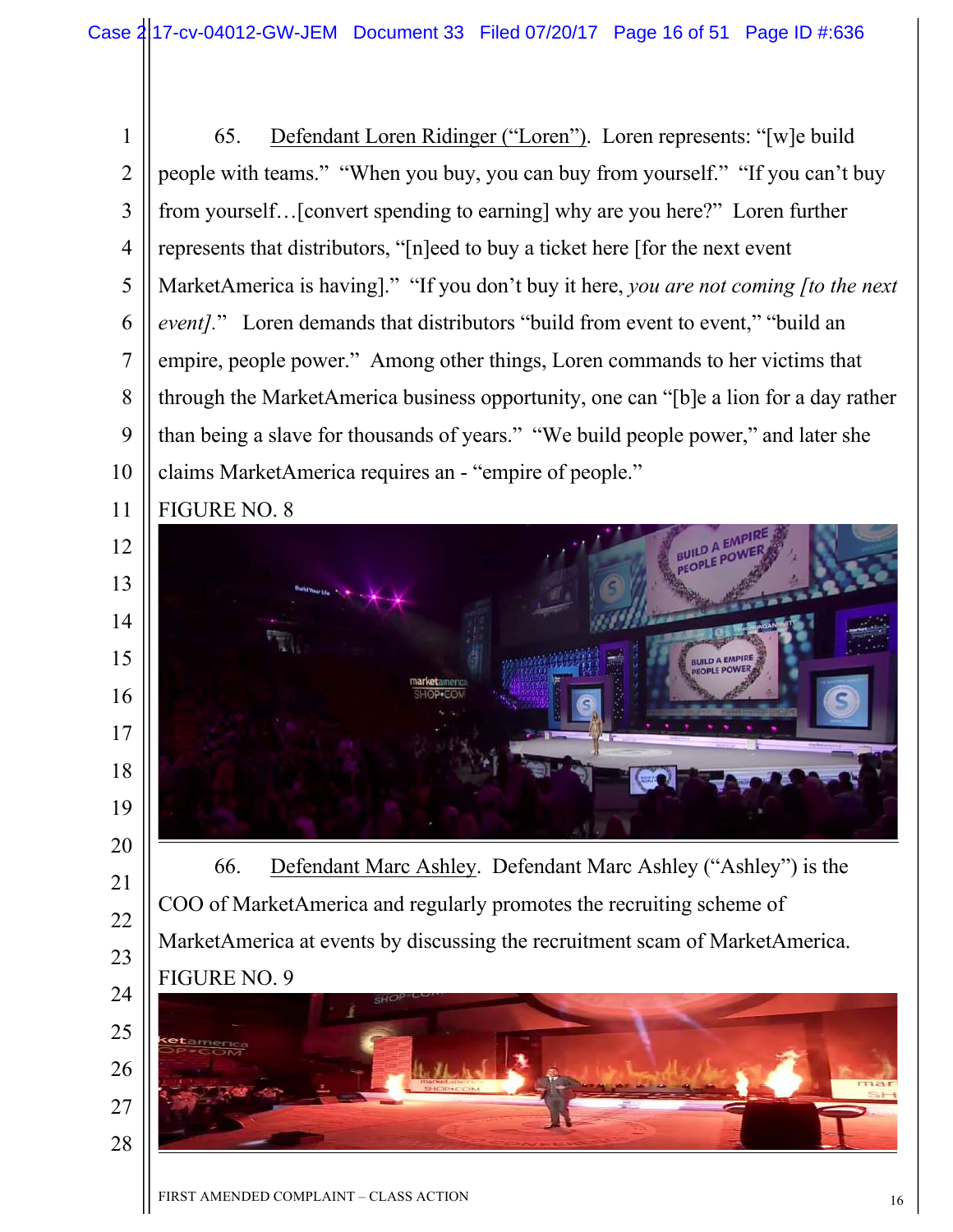1 2 3 4 5 6 7 8 9 10 65. Defendant Loren Ridinger ("Loren"). Loren represents: "[w]e build people with teams." "When you buy, you can buy from yourself." "If you can't buy from yourself…[convert spending to earning] why are you here?" Loren further represents that distributors, "[n]eed to buy a ticket here [for the next event MarketAmerica is having]." "If you don't buy it here, *you are not coming [to the next event].*" Loren demands that distributors "build from event to event," "build an empire, people power." Among other things, Loren commands to her victims that through the MarketAmerica business opportunity, one can "[b]e a lion for a day rather than being a slave for thousands of years." "We build people power," and later she claims MarketAmerica requires an - "empire of people."

11

12

13

14

15

16

17

18

19

20

21

22

23



66. Defendant Marc Ashley. Defendant Marc Ashley ("Ashley") is the COO of MarketAmerica and regularly promotes the recruiting scheme of MarketAmerica at events by discussing the recruitment scam of MarketAmerica. FIGURE NO. 9

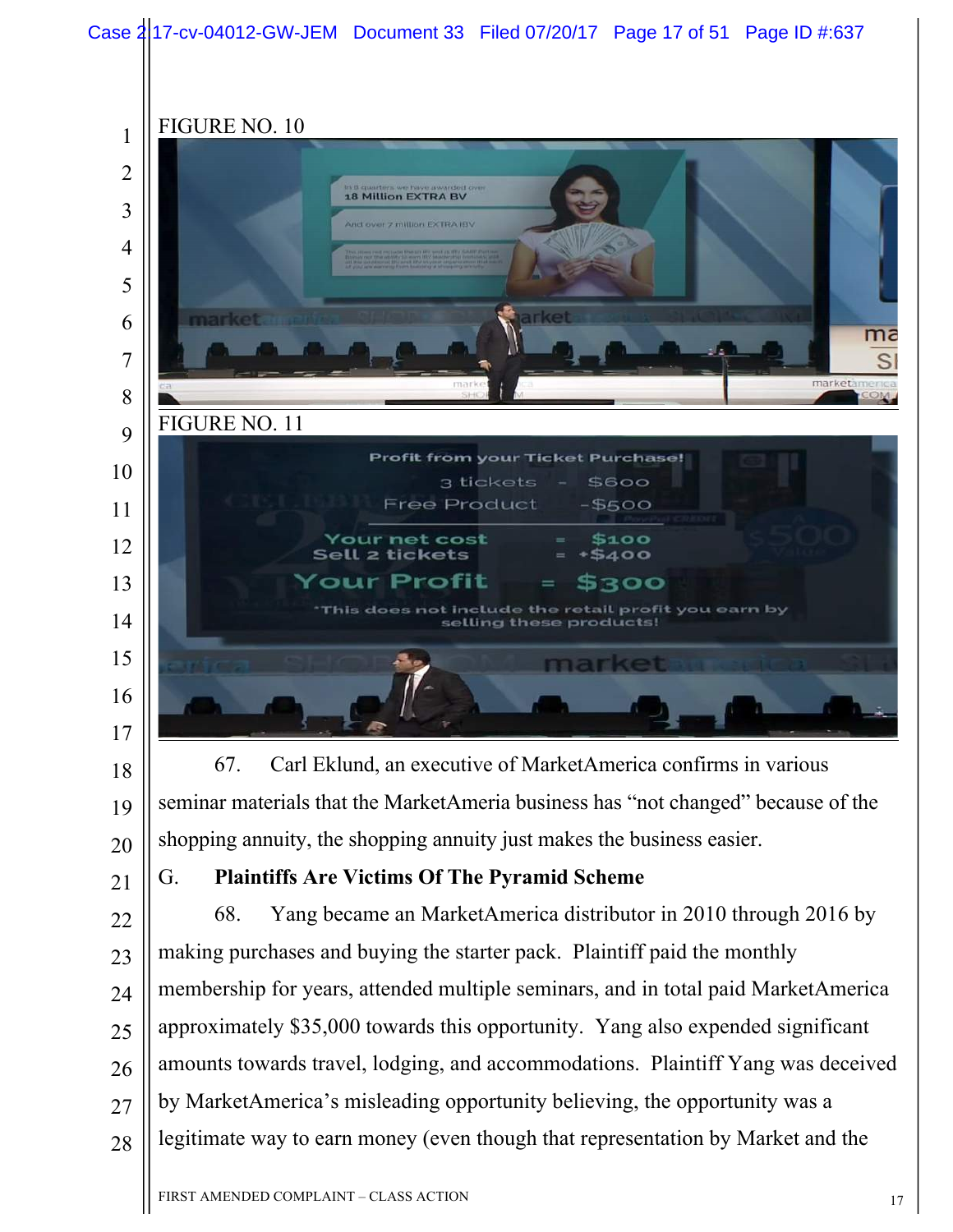

28 legitimate way to earn money (even though that representation by Market and the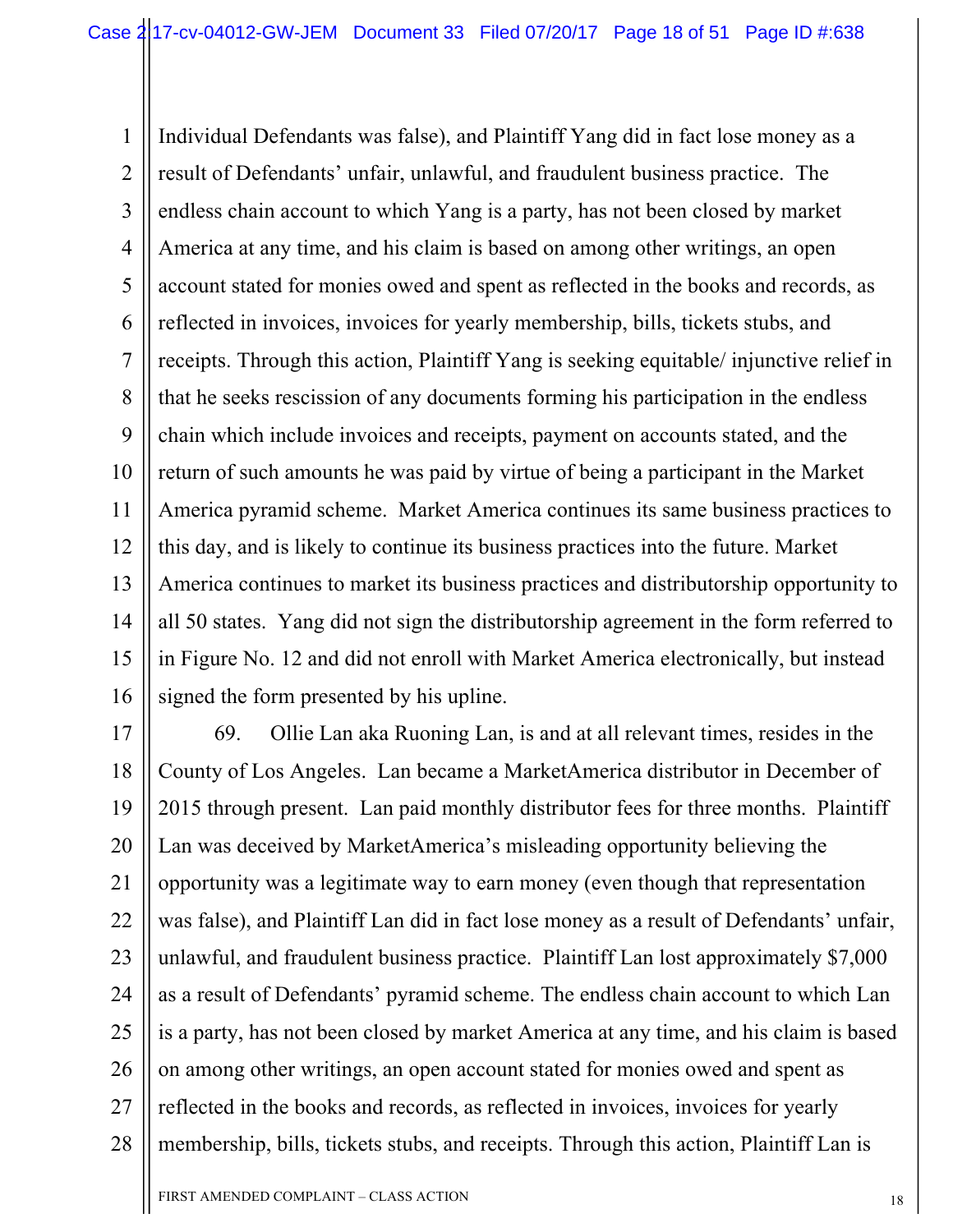1 1 2 2 3 3 4 4 5 5 6 6 7 7 8 8 9 9 10 10 11 11 12 12 13 13 14 14 15 15 16 16 Individual Defendants was false), and Plaintiff Yang did in fact lose money as a result of Defendants' unfair, unlawful, and fraudulent business practice. The endless chain account to which Yang is a party, has not been closed by market America at any time, and his claim is based on among other writings, an open account stated for monies owed and spent as reflected in the books and records, as reflected in invoices, invoices for yearly membership, bills, tickets stubs, and receipts. Through this action, Plaintiff Yang is seeking equitable/ injunctive relief in that he seeks rescission of any documents forming his participation in the endless chain which include invoices and receipts, payment on accounts stated, and the return of such amounts he was paid by virtue of being a participant in the Market America pyramid scheme. Market America continues its same business practices to this day, and is likely to continue its business practices into the future. Market America continues to market its business practices and distributorship opportunity to all 50 states. Yang did not sign the distributorship agreement in the form referred to in Figure No. 12 and did not enroll with Market America electronically, but instead signed the form presented by his upline.

17 17 18 18 19 19 20 20 21 21 22 22 23 23 24 24 25 25 26 26 27 27 28 28 69. Ollie Lan aka Ruoning Lan, is and at all relevant times, resides in the County of Los Angeles. Lan became a MarketAmerica distributor in December of 2015 through present. Lan paid monthly distributor fees for three months. Plaintiff Lan was deceived by MarketAmerica's misleading opportunity believing the opportunity was a legitimate way to earn money (even though that representation was false), and Plaintiff Lan did in fact lose money as a result of Defendants' unfair, unlawful, and fraudulent business practice. Plaintiff Lan lost approximately \$7,000 as a result of Defendants' pyramid scheme. The endless chain account to which Lan is a party, has not been closed by market America at any time, and his claim is based on among other writings, an open account stated for monies owed and spent as reflected in the books and records, as reflected in invoices, invoices for yearly membership, bills, tickets stubs, and receipts. Through this action, Plaintiff Lan is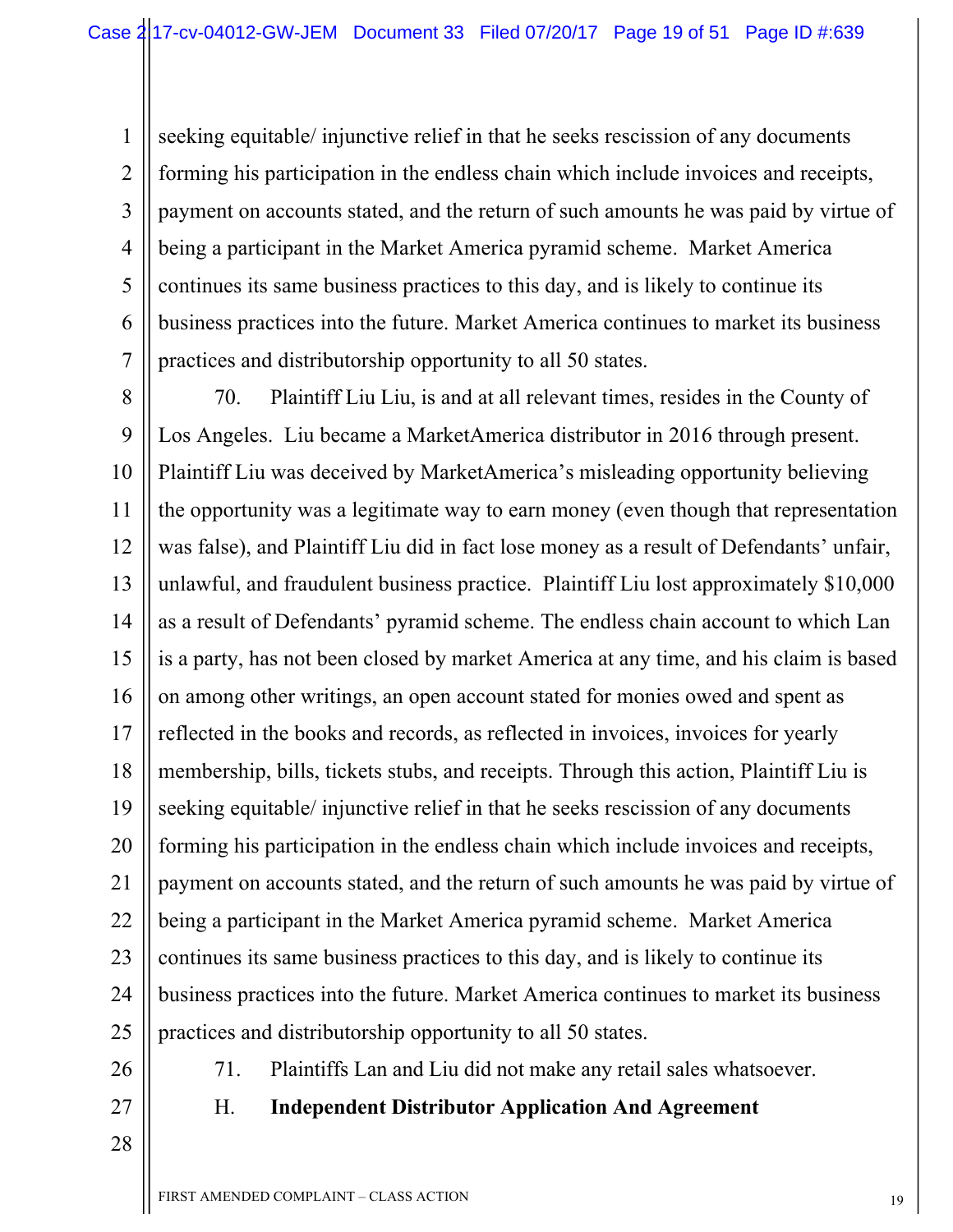1 1 2 2 3 3 4 4 5 5 6 6 7 7 seeking equitable/ injunctive relief in that he seeks rescission of any documents forming his participation in the endless chain which include invoices and receipts, payment on accounts stated, and the return of such amounts he was paid by virtue of being a participant in the Market America pyramid scheme. Market America continues its same business practices to this day, and is likely to continue its business practices into the future. Market America continues to market its business practices and distributorship opportunity to all 50 states.

8 8 9 9 10 10 11 11 12 12 13 13 14 14 15 15 16 16 17 17 18 18 19 19 20 20 21 21 22 22 23 23 24 24 25 25 70. Plaintiff Liu Liu, is and at all relevant times, resides in the County of Los Angeles. Liu became a MarketAmerica distributor in 2016 through present. Plaintiff Liu was deceived by MarketAmerica's misleading opportunity believing the opportunity was a legitimate way to earn money (even though that representation was false), and Plaintiff Liu did in fact lose money as a result of Defendants' unfair, unlawful, and fraudulent business practice. Plaintiff Liu lost approximately \$10,000 as a result of Defendants' pyramid scheme. The endless chain account to which Lan is a party, has not been closed by market America at any time, and his claim is based on among other writings, an open account stated for monies owed and spent as reflected in the books and records, as reflected in invoices, invoices for yearly membership, bills, tickets stubs, and receipts. Through this action, Plaintiff Liu is seeking equitable/ injunctive relief in that he seeks rescission of any documents forming his participation in the endless chain which include invoices and receipts, payment on accounts stated, and the return of such amounts he was paid by virtue of being a participant in the Market America pyramid scheme. Market America continues its same business practices to this day, and is likely to continue its business practices into the future. Market America continues to market its business practices and distributorship opportunity to all 50 states.

- 26 26
- 27 27

71. Plaintiffs Lan and Liu did not make any retail sales whatsoever.

- H. **Independent Distributor Application And Agreement**
- 28 28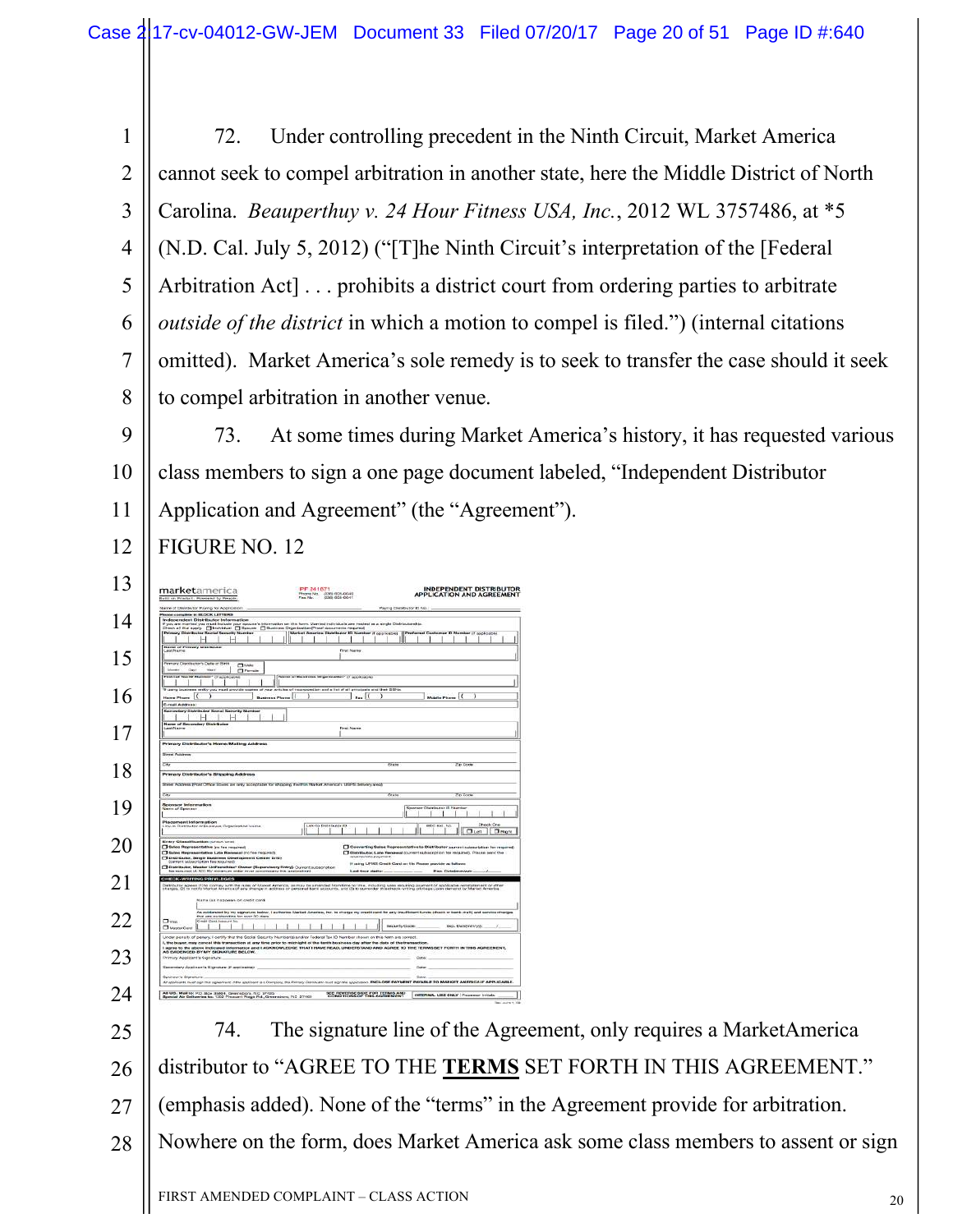1 2 3 4 5 6 7 8 72. Under controlling precedent in the Ninth Circuit, Market America cannot seek to compel arbitration in another state, here the Middle District of North Carolina. *Beauperthuy v. 24 Hour Fitness USA, Inc.*, 2012 WL 3757486, at \*5 (N.D. Cal. July 5, 2012) ("[T]he Ninth Circuit's interpretation of the [Federal Arbitration Act] . . . prohibits a district court from ordering parties to arbitrate *outside of the district* in which a motion to compel is filed.") (internal citations omitted). Market America's sole remedy is to seek to transfer the case should it seek to compel arbitration in another venue.

9 10 11 73. At some times during Market America's history, it has requested various class members to sign a one page document labeled, "Independent Distributor Application and Agreement" (the "Agreement").

12 FIGURE NO. 12

| marketamerica<br>Butti city Principali, Powerswitch, News-                                                                                                     | PF 241071<br>Phone No. - (536) (535-0040)<br>Fax No. - (536) (536-0041)                                                                                                                                                                                                              | <b>INDEPENDENT DISTRIBUTOR</b><br><b>APPLICATION AND AGREEMENT</b>                                                                                                      |
|----------------------------------------------------------------------------------------------------------------------------------------------------------------|--------------------------------------------------------------------------------------------------------------------------------------------------------------------------------------------------------------------------------------------------------------------------------------|-------------------------------------------------------------------------------------------------------------------------------------------------------------------------|
| Name of Disinbutor Paying for Approation.                                                                                                                      |                                                                                                                                                                                                                                                                                      | Playing chemicrophone and man.                                                                                                                                          |
| Phone complete at BLOCK LETTERS<br>Independent Distributor Information.                                                                                        |                                                                                                                                                                                                                                                                                      |                                                                                                                                                                         |
| mary Distributor Revial Resserty Number                                                                                                                        | Fyns am marted yng read budade ynar spasoe'n briorradau an tha hern Marted buichiach am buded as a single Disblackandig.<br>Deuch af Bat spaly - [[Brobeleas] - [[Bassen - [[[Basicots Organization (Pearl shawrents respond)<br>Market America Distributor 85 Mumber (7 cpp10004)   | <b>Prefactual Camb</b><br>- ID Nun<br>ther it spokeship                                                                                                                 |
| $\vdash$                                                                                                                                                       |                                                                                                                                                                                                                                                                                      |                                                                                                                                                                         |
| <b>Barne of Polyany Distributor</b><br>aut Narie                                                                                                               | <b>First Name</b>                                                                                                                                                                                                                                                                    |                                                                                                                                                                         |
| Nemany Disembetor's Dete of Berk<br><b>PT Grade</b>                                                                                                            |                                                                                                                                                                                                                                                                                      |                                                                                                                                                                         |
| - Cast<br><b>Mage</b><br><b>Manufacture</b><br><b>CT</b> Parrolle<br>Festered Tex 1D Municipal (V applicable)                                                  | Norrer of Escalverse Organizations' (1 sciclington)                                                                                                                                                                                                                                  |                                                                                                                                                                         |
| Training investment medic grow means provide suspe-<br>mat v                                                                                                   | at well-sites of instantial big and a fiel of all extra-looks and that DIP-in                                                                                                                                                                                                        |                                                                                                                                                                         |
| Harris Phone (                                                                                                                                                 | $r_{xx}$ 1<br><b>Basiress Phone 11</b>                                                                                                                                                                                                                                               | Mobile Phone                                                                                                                                                            |
| <b>C-reall Address</b><br>programmy Disply Board George Sponsorthy Number                                                                                      |                                                                                                                                                                                                                                                                                      |                                                                                                                                                                         |
| н<br>$\vdash$                                                                                                                                                  |                                                                                                                                                                                                                                                                                      |                                                                                                                                                                         |
| Name of Beaumiery Distributes<br>ant Name                                                                                                                      | <b>First Name</b>                                                                                                                                                                                                                                                                    |                                                                                                                                                                         |
| Primary Distributor's Home/Mattew Address                                                                                                                      |                                                                                                                                                                                                                                                                                      |                                                                                                                                                                         |
| <b>Tissul Ambass</b>                                                                                                                                           |                                                                                                                                                                                                                                                                                      |                                                                                                                                                                         |
| $\overline{C}$                                                                                                                                                 |                                                                                                                                                                                                                                                                                      | Pirate<br><b>Zip Doele</b>                                                                                                                                              |
| Primary Distributor's Shipping Address                                                                                                                         |                                                                                                                                                                                                                                                                                      |                                                                                                                                                                         |
|                                                                                                                                                                | RIFFIEL ACCIVING SPORT CRICK: ROWING AND GROVE SCONSISTING TO REGION OF MINITIAL FUNDS AT HIS CAST CONTINUES WHICH                                                                                                                                                                   |                                                                                                                                                                         |
| <b>City</b>                                                                                                                                                    |                                                                                                                                                                                                                                                                                      | Crate<br>Zip Gorie                                                                                                                                                      |
| <b>Boonsor Information</b><br>Name of Sportage                                                                                                                 |                                                                                                                                                                                                                                                                                      | Source: Clairlines: III Flurrise                                                                                                                                        |
| Piscoment Information<br>Link-to Distributor or Business Organization Name                                                                                     | Latin-ba Distintentor 83                                                                                                                                                                                                                                                             | <b>Check One</b><br><b>BEC BKL NO</b>                                                                                                                                   |
| Entry Classification (Check Drei)                                                                                                                              |                                                                                                                                                                                                                                                                                      | Cust Drew                                                                                                                                                               |
| Solos Representative just res required<br>[7] Suites Representative Little Received Ind fee required:                                                          |                                                                                                                                                                                                                                                                                      | Oddrrenting Gales Representative to Distributor (exerce) automobiliar for required.<br>[ Bistributor, Late Renawal Eurent subscription too received). Please send the - |
| <b>O Distributor</b> , Single Bostness Development Center Britis<br>Sourrent subscription fee requireds                                                        | INDOKODATION CONVENIES.                                                                                                                                                                                                                                                              | If seeing LPIADI Creatik Carel as: the Pleaser preceive as failures                                                                                                     |
| Dibleritation, Mexico Golfmanchine" Change (Supervisiony Entry): Ourrors autocription<br>tas required 14-300 BV minimum order must accompany this applications | Last four digits:                                                                                                                                                                                                                                                                    | Eap. Datelment of                                                                                                                                                       |
| CHRISTIN CONSTITUTIONS SHREVEL PHOENS                                                                                                                          | Detributor agrees (1) to comply ivm the rules of Markot America, as may be amended from time to time, including rules exacting payment of applicable reminders ent or other                                                                                                          |                                                                                                                                                                         |
|                                                                                                                                                                | statpes, 01 to notify Market Alberta of any change in address or personal bank accounts, and if to summake the others writing privilege upon demand by Market America                                                                                                                |                                                                                                                                                                         |
| Name (as it appears on oredit card)                                                                                                                            |                                                                                                                                                                                                                                                                                      |                                                                                                                                                                         |
| that are as talunded for now 30 days.                                                                                                                          | As asistanced by my signature below, I authorise Market America, Inc. In othera my oneid suid for any insufficient funds (chain or feed) and senting online of support                                                                                                               |                                                                                                                                                                         |
| Oven<br>Creat Dans Assessor For<br>4<br><b>CI Mason Carst</b>                                                                                                  |                                                                                                                                                                                                                                                                                      | Becambi Clocks<br>RAD, ENRIGHTSTAND                                                                                                                                     |
|                                                                                                                                                                | Under panelly of periury, I certify that the Goolal Security Numbertal and/or Federal Tax ID Number shown on this form are correct.                                                                                                                                                  |                                                                                                                                                                         |
|                                                                                                                                                                | i, the buyer, may carreal this transaction at any time prior to michight of the tenth business day after the date of the transaction.<br>agree to the above indicated information and I AGKHOWLEDGE THAT I NAVE READ, UNDERSTAND AND AGREE TO THE TERMS SET FORTH IN THIS AGREEMENT, |                                                                                                                                                                         |
|                                                                                                                                                                |                                                                                                                                                                                                                                                                                      | Outel                                                                                                                                                                   |
| AS EVIDENCED BY MY SKINATURE BELOW.<br>Primary Applicant is Gignature.                                                                                         |                                                                                                                                                                                                                                                                                      |                                                                                                                                                                         |
| Secondary Applicant's Eignature of application                                                                                                                 |                                                                                                                                                                                                                                                                                      |                                                                                                                                                                         |
| Opportunity Gloriatures                                                                                                                                        |                                                                                                                                                                                                                                                                                      | Outor:                                                                                                                                                                  |
| AB M.S. Mail to: P.O. Scx 33304, Greensboro, NC 37100<br>Bannial Air Delbantes Iss. 1302 Thursen Ratge Rd., Greensboro, NC 37103                               | Af spokern most sign me signented of the spokern is a Onespon, the Felmin Common must sign the spokestor. ENCLORE ENVIRERET BOVARLE TO MARKET AMERICA IF APPLICABLE.<br>MELECURES SPECIALIZED AND                                                                                    | <b>INTERNAL LIBE ONLY   Presencer Initials</b>                                                                                                                          |

25 26 27 28 74. The signature line of the Agreement, only requires a MarketAmerica distributor to "AGREE TO THE **TERMS** SET FORTH IN THIS AGREEMENT." (emphasis added). None of the "terms" in the Agreement provide for arbitration. Nowhere on the form, does Market America ask some class members to assent or sign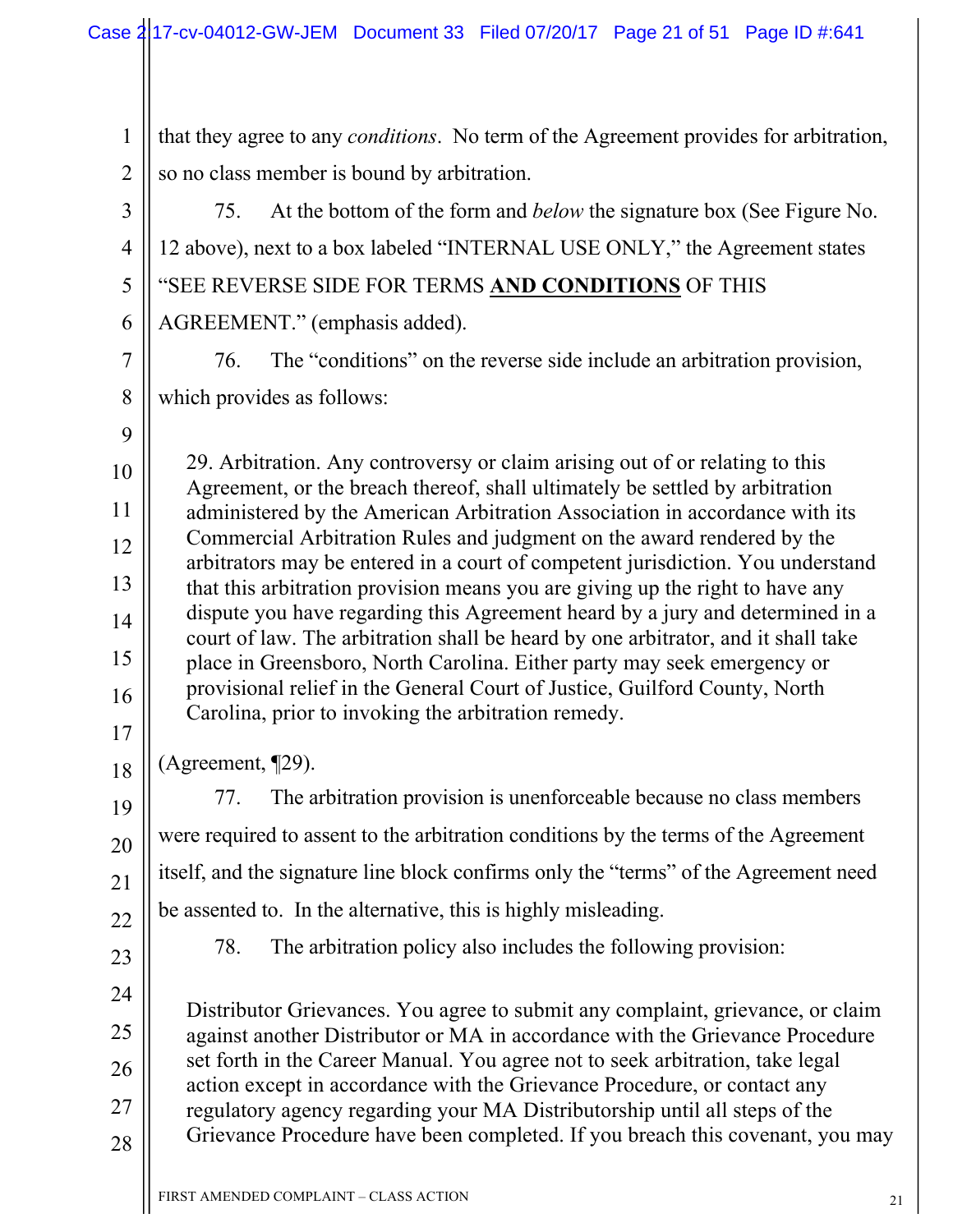|                  | Case 217-cv-04012-GW-JEM Document 33 Filed 07/20/17 Page 21 of 51 Page ID #:641                                                                                    |
|------------------|--------------------------------------------------------------------------------------------------------------------------------------------------------------------|
|                  |                                                                                                                                                                    |
| $\mathbf{1}$     | that they agree to any <i>conditions</i> . No term of the Agreement provides for arbitration,                                                                      |
| $\boldsymbol{2}$ | so no class member is bound by arbitration.                                                                                                                        |
| $\overline{3}$   | At the bottom of the form and <i>below</i> the signature box (See Figure No.<br>75.                                                                                |
| $\overline{4}$   | 12 above), next to a box labeled "INTERNAL USE ONLY," the Agreement states                                                                                         |
| 5                | "SEE REVERSE SIDE FOR TERMS AND CONDITIONS OF THIS                                                                                                                 |
| 6                | AGREEMENT." (emphasis added).                                                                                                                                      |
| $\overline{7}$   | The "conditions" on the reverse side include an arbitration provision,<br>76.                                                                                      |
| 8                | which provides as follows:                                                                                                                                         |
| 9                |                                                                                                                                                                    |
| 10               | 29. Arbitration. Any controversy or claim arising out of or relating to this<br>Agreement, or the breach thereof, shall ultimately be settled by arbitration       |
| 11               | administered by the American Arbitration Association in accordance with its                                                                                        |
| 12               | Commercial Arbitration Rules and judgment on the award rendered by the<br>arbitrators may be entered in a court of competent jurisdiction. You understand          |
| 13               | that this arbitration provision means you are giving up the right to have any                                                                                      |
| 14               | dispute you have regarding this Agreement heard by a jury and determined in a<br>court of law. The arbitration shall be heard by one arbitrator, and it shall take |
| 15               | place in Greensboro, North Carolina. Either party may seek emergency or                                                                                            |
| 16               | provisional relief in the General Court of Justice, Guilford County, North<br>Carolina, prior to invoking the arbitration remedy.                                  |
| 17               |                                                                                                                                                                    |
| 18               | (Agreement, $\P$ 29).                                                                                                                                              |
| 19               | The arbitration provision is unenforceable because no class members<br>77.                                                                                         |
| 20               | were required to assent to the arbitration conditions by the terms of the Agreement                                                                                |
| 21               | itself, and the signature line block confirms only the "terms" of the Agreement need                                                                               |
| 22               | be assented to. In the alternative, this is highly misleading.                                                                                                     |
| 23               | The arbitration policy also includes the following provision:<br>78.                                                                                               |
| 24               | Distributor Grievances. You agree to submit any complaint, grievance, or claim                                                                                     |
| 25               | against another Distributor or MA in accordance with the Grievance Procedure                                                                                       |
| 26               | set forth in the Career Manual. You agree not to seek arbitration, take legal<br>action except in accordance with the Grievance Procedure, or contact any          |
| 27               | regulatory agency regarding your MA Distributorship until all steps of the                                                                                         |
| 28               | Grievance Procedure have been completed. If you breach this covenant, you may                                                                                      |
|                  |                                                                                                                                                                    |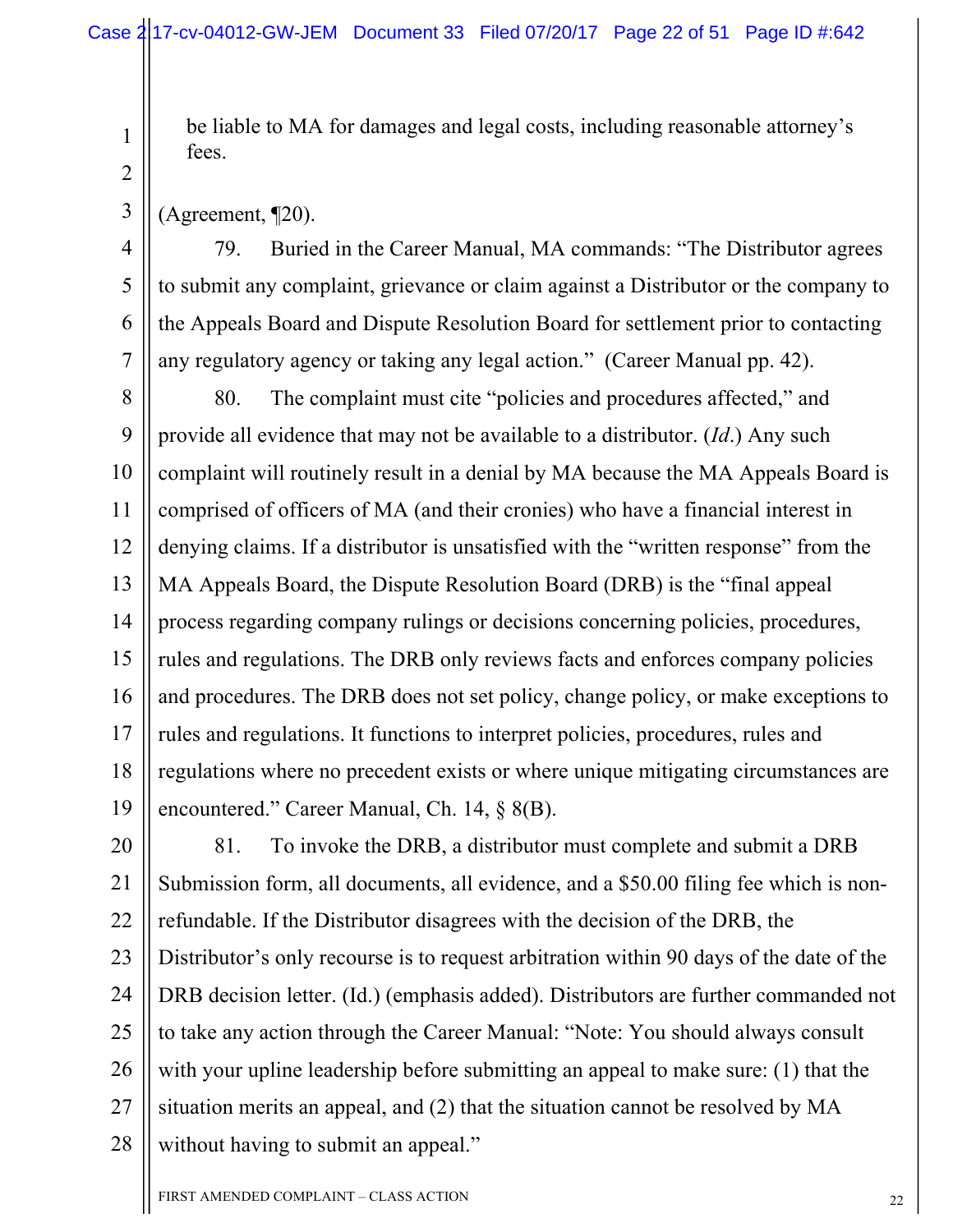be liable to MA for damages and legal costs, including reasonable attorney's fees.

(Agreement, ¶20).

1 1

2 2

3 3

4 4

5 5

6 6

7 7

79. Buried in the Career Manual, MA commands: "The Distributor agrees to submit any complaint, grievance or claim against a Distributor or the company to the Appeals Board and Dispute Resolution Board for settlement prior to contacting any regulatory agency or taking any legal action." (Career Manual pp. 42).

8 8 9 9 10 10 11 11 12 12 13 13 14 14 15 15 16 16 17 17 18 18 19 19 80. The complaint must cite "policies and procedures affected," and provide all evidence that may not be available to a distributor. (*Id*.) Any such complaint will routinely result in a denial by MA because the MA Appeals Board is comprised of officers of MA (and their cronies) who have a financial interest in denying claims. If a distributor is unsatisfied with the "written response" from the MA Appeals Board, the Dispute Resolution Board (DRB) is the "final appeal process regarding company rulings or decisions concerning policies, procedures, rules and regulations. The DRB only reviews facts and enforces company policies and procedures. The DRB does not set policy, change policy, or make exceptions to rules and regulations. It functions to interpret policies, procedures, rules and regulations where no precedent exists or where unique mitigating circumstances are encountered." Career Manual, Ch. 14, § 8(B).

20 20 21 21 22 22 23 23 24 24 25 25 26 26 27 27 28 28 81. To invoke the DRB, a distributor must complete and submit a DRB Submission form, all documents, all evidence, and a \$50.00 filing fee which is nonrefundable. If the Distributor disagrees with the decision of the DRB, the Distributor's only recourse is to request arbitration within 90 days of the date of the DRB decision letter. (Id.) (emphasis added). Distributors are further commanded not to take any action through the Career Manual: "Note: You should always consult with your upline leadership before submitting an appeal to make sure: (1) that the situation merits an appeal, and (2) that the situation cannot be resolved by MA without having to submit an appeal."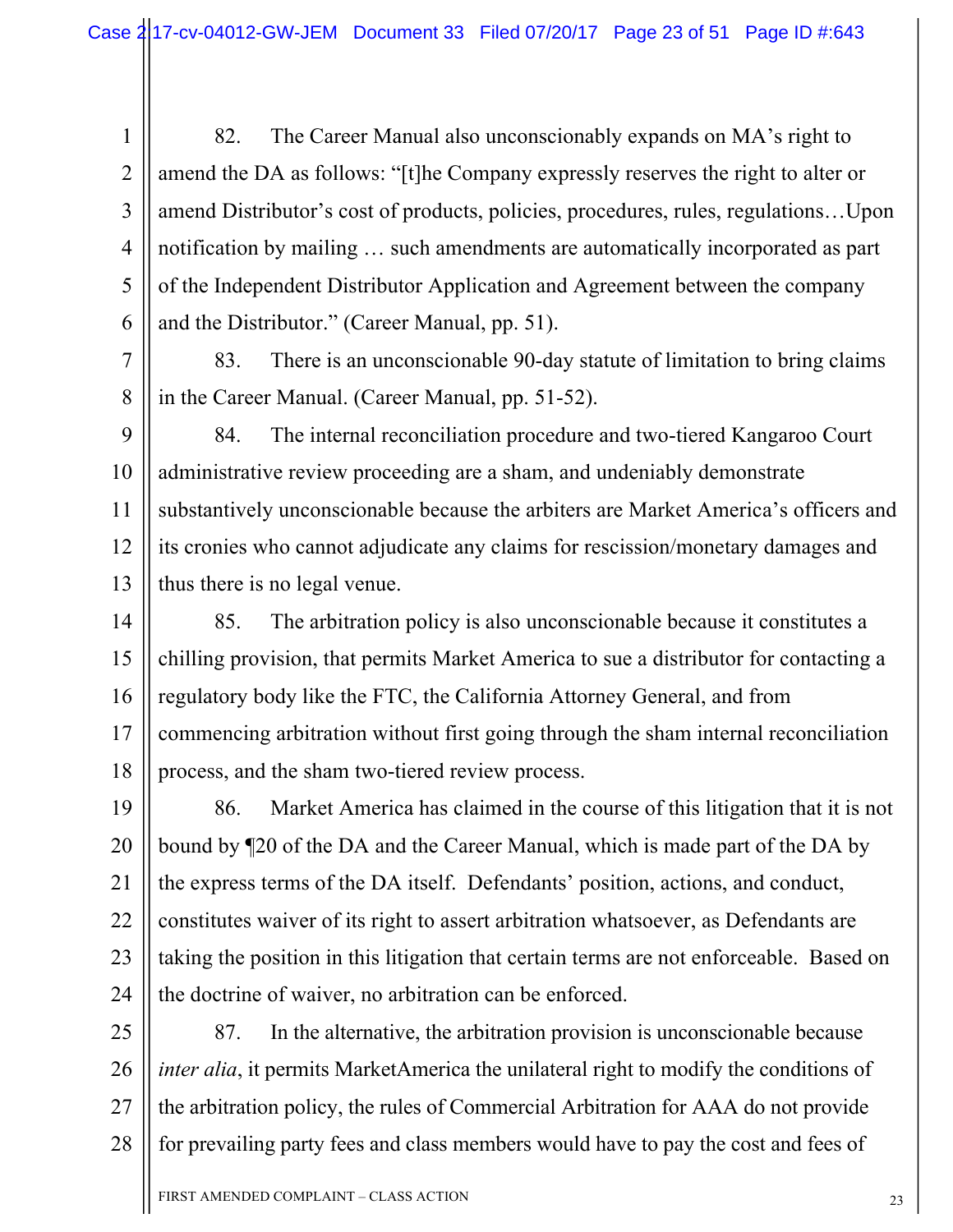1 1 2 2 3 3 4 4 5 5 6 6 82. The Career Manual also unconscionably expands on MA's right to amend the DA as follows: "[t]he Company expressly reserves the right to alter or amend Distributor's cost of products, policies, procedures, rules, regulations…Upon notification by mailing … such amendments are automatically incorporated as part of the Independent Distributor Application and Agreement between the company and the Distributor." (Career Manual, pp. 51).

7 7 8 8 83. There is an unconscionable 90-day statute of limitation to bring claims in the Career Manual. (Career Manual, pp. 51-52).

9 9 10 10 11 11 12 12 13 13 84. The internal reconciliation procedure and two-tiered Kangaroo Court administrative review proceeding are a sham, and undeniably demonstrate substantively unconscionable because the arbiters are Market America's officers and its cronies who cannot adjudicate any claims for rescission/monetary damages and thus there is no legal venue.

14 14 15 15 16 16 17 17 18 18 85. The arbitration policy is also unconscionable because it constitutes a chilling provision, that permits Market America to sue a distributor for contacting a regulatory body like the FTC, the California Attorney General, and from commencing arbitration without first going through the sham internal reconciliation process, and the sham two-tiered review process.

19 19 20 20 21 21 22 22 23 23 24 24 86. Market America has claimed in the course of this litigation that it is not bound by ¶20 of the DA and the Career Manual, which is made part of the DA by the express terms of the DA itself. Defendants' position, actions, and conduct, constitutes waiver of its right to assert arbitration whatsoever, as Defendants are taking the position in this litigation that certain terms are not enforceable. Based on the doctrine of waiver, no arbitration can be enforced.

25 25 26 26 27 27 28 28 87. In the alternative, the arbitration provision is unconscionable because *inter alia*, it permits MarketAmerica the unilateral right to modify the conditions of the arbitration policy, the rules of Commercial Arbitration for AAA do not provide for prevailing party fees and class members would have to pay the cost and fees of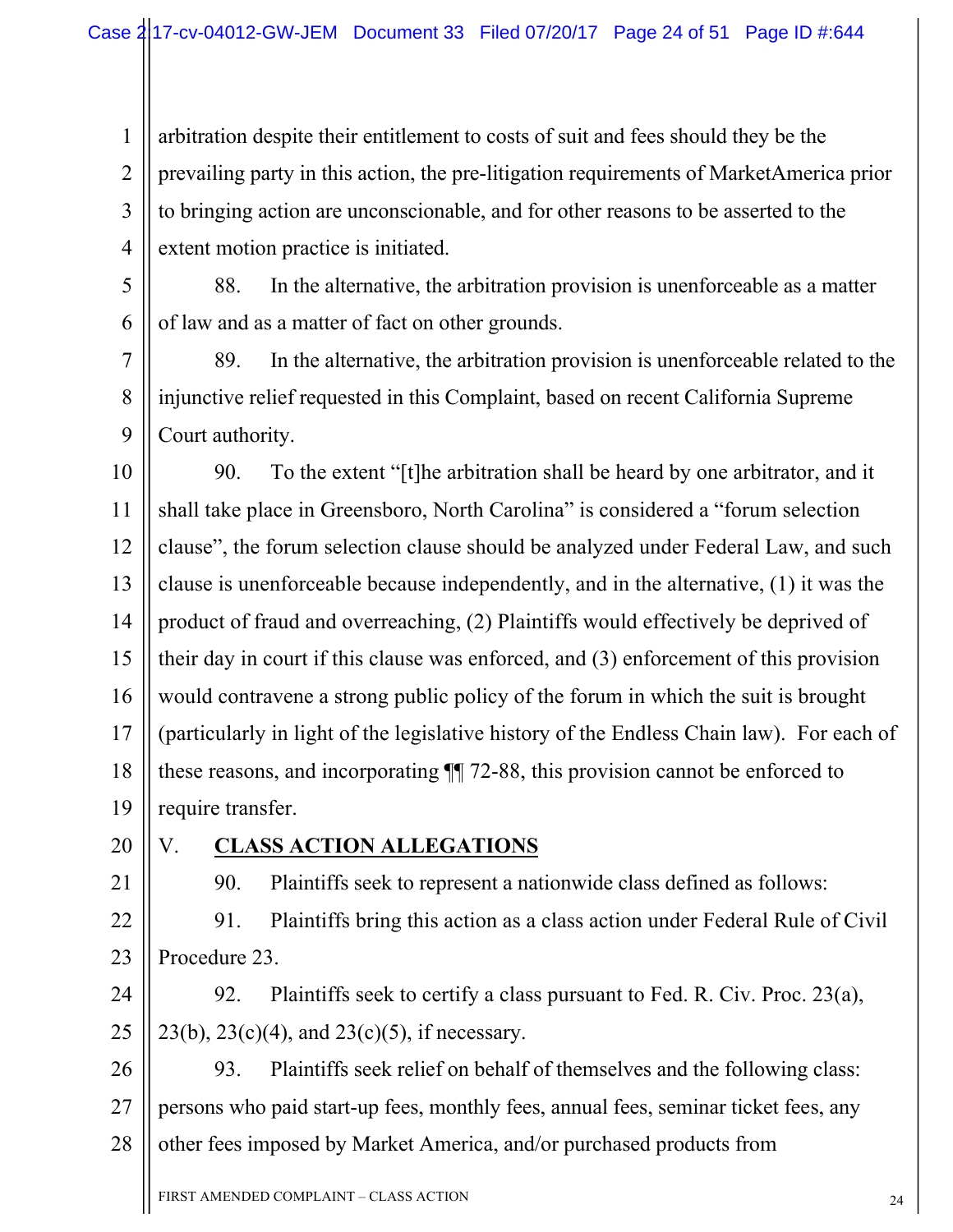1 1 2 2 3 3 4 4 arbitration despite their entitlement to costs of suit and fees should they be the prevailing party in this action, the pre-litigation requirements of MarketAmerica prior to bringing action are unconscionable, and for other reasons to be asserted to the extent motion practice is initiated.

5 5 6 6 88. In the alternative, the arbitration provision is unenforceable as a matter of law and as a matter of fact on other grounds.

7 7 8 8 9 9 89. In the alternative, the arbitration provision is unenforceable related to the injunctive relief requested in this Complaint, based on recent California Supreme Court authority.

10 10 11 11 12 12 13 13 14 14 15 15 16 16 17 17 18 18 19 19 90. To the extent "[t]he arbitration shall be heard by one arbitrator, and it shall take place in Greensboro, North Carolina" is considered a "forum selection clause", the forum selection clause should be analyzed under Federal Law, and such clause is unenforceable because independently, and in the alternative, (1) it was the product of fraud and overreaching, (2) Plaintiffs would effectively be deprived of their day in court if this clause was enforced, and (3) enforcement of this provision would contravene a strong public policy of the forum in which the suit is brought (particularly in light of the legislative history of the Endless Chain law). For each of these reasons, and incorporating ¶¶ 72-88, this provision cannot be enforced to require transfer.

20 20

## V. **CLASS ACTION ALLEGATIONS**

21 21

- 22 22 23 23
- 91. Plaintiffs bring this action as a class action under Federal Rule of Civil Procedure 23.

90. Plaintiffs seek to represent a nationwide class defined as follows:

24 24 25 25 92. Plaintiffs seek to certify a class pursuant to Fed. R. Civ. Proc. 23(a), 23(b), 23(c)(4), and 23(c)(5), if necessary.

26 26

27 27

28 28

93. Plaintiffs seek relief on behalf of themselves and the following class: persons who paid start-up fees, monthly fees, annual fees, seminar ticket fees, any other fees imposed by Market America, and/or purchased products from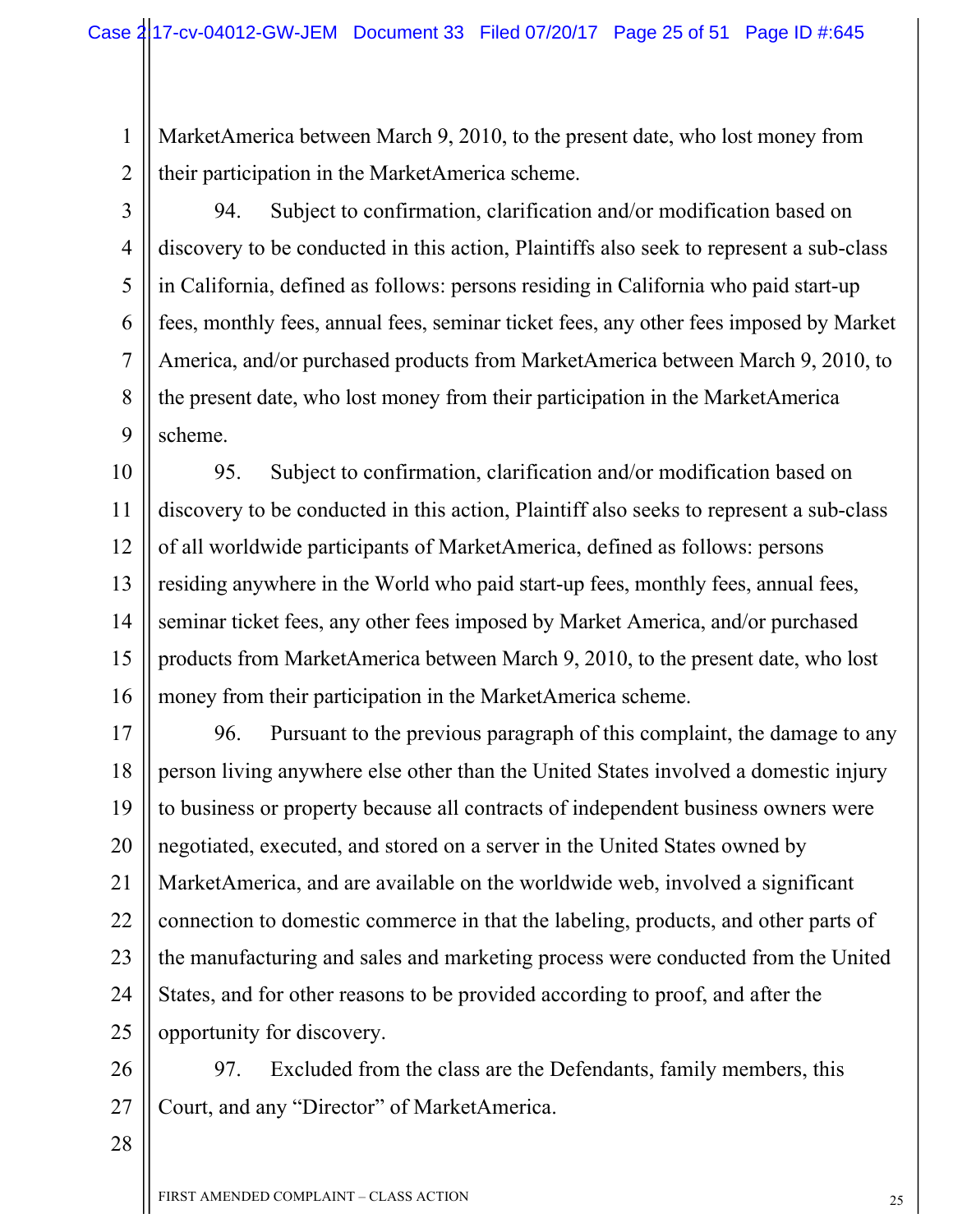MarketAmerica between March 9, 2010, to the present date, who lost money from their participation in the MarketAmerica scheme.

4 4

5 5

6 6

7 7

8 8

9 9

1 1

94. Subject to confirmation, clarification and/or modification based on discovery to be conducted in this action, Plaintiffs also seek to represent a sub-class in California, defined as follows: persons residing in California who paid start-up fees, monthly fees, annual fees, seminar ticket fees, any other fees imposed by Market America, and/or purchased products from MarketAmerica between March 9, 2010, to the present date, who lost money from their participation in the MarketAmerica scheme.

10 10 11 11 12 12 13 13 14 14 15 15 16 16 95. Subject to confirmation, clarification and/or modification based on discovery to be conducted in this action, Plaintiff also seeks to represent a sub-class of all worldwide participants of MarketAmerica, defined as follows: persons residing anywhere in the World who paid start-up fees, monthly fees, annual fees, seminar ticket fees, any other fees imposed by Market America, and/or purchased products from MarketAmerica between March 9, 2010, to the present date, who lost money from their participation in the MarketAmerica scheme.

17 17 18 18 19 19 20 20 21 21 22 22 23 23 24 24 25 25 96. Pursuant to the previous paragraph of this complaint, the damage to any person living anywhere else other than the United States involved a domestic injury to business or property because all contracts of independent business owners were negotiated, executed, and stored on a server in the United States owned by MarketAmerica, and are available on the worldwide web, involved a significant connection to domestic commerce in that the labeling, products, and other parts of the manufacturing and sales and marketing process were conducted from the United States, and for other reasons to be provided according to proof, and after the opportunity for discovery.

26 26 27 27 97. Excluded from the class are the Defendants, family members, this Court, and any "Director" of MarketAmerica.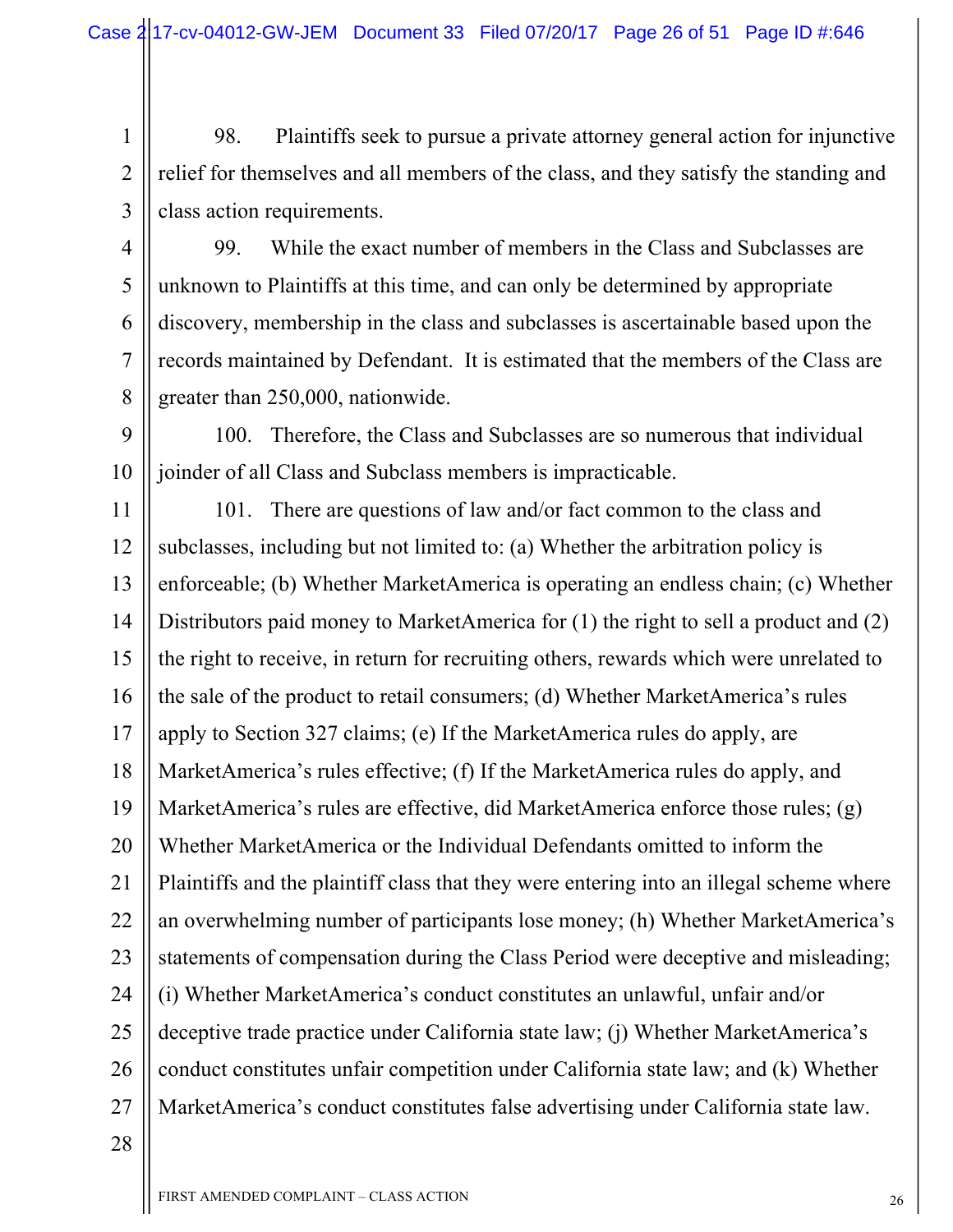1 1 2 2 3 3 98. Plaintiffs seek to pursue a private attorney general action for injunctive relief for themselves and all members of the class, and they satisfy the standing and class action requirements.

4 4 5 5 6 6 7 7 8 8 99. While the exact number of members in the Class and Subclasses are unknown to Plaintiffs at this time, and can only be determined by appropriate discovery, membership in the class and subclasses is ascertainable based upon the records maintained by Defendant. It is estimated that the members of the Class are greater than 250,000, nationwide.

9 9 10 10 100. Therefore, the Class and Subclasses are so numerous that individual joinder of all Class and Subclass members is impracticable.

11 11 12 12 13 13 14 14 15 15 16 16 17 17 18 18 19 19 20 20 21 21 22 22 23 23 24 24 25 25 26 26 27 27 101. There are questions of law and/or fact common to the class and subclasses, including but not limited to: (a) Whether the arbitration policy is enforceable; (b) Whether MarketAmerica is operating an endless chain; (c) Whether Distributors paid money to MarketAmerica for (1) the right to sell a product and (2) the right to receive, in return for recruiting others, rewards which were unrelated to the sale of the product to retail consumers; (d) Whether MarketAmerica's rules apply to Section 327 claims; (e) If the MarketAmerica rules do apply, are MarketAmerica's rules effective; (f) If the MarketAmerica rules do apply, and MarketAmerica's rules are effective, did MarketAmerica enforce those rules; (g) Whether MarketAmerica or the Individual Defendants omitted to inform the Plaintiffs and the plaintiff class that they were entering into an illegal scheme where an overwhelming number of participants lose money; (h) Whether MarketAmerica's statements of compensation during the Class Period were deceptive and misleading; (i) Whether MarketAmerica's conduct constitutes an unlawful, unfair and/or deceptive trade practice under California state law; (j) Whether MarketAmerica's conduct constitutes unfair competition under California state law; and (k) Whether MarketAmerica's conduct constitutes false advertising under California state law.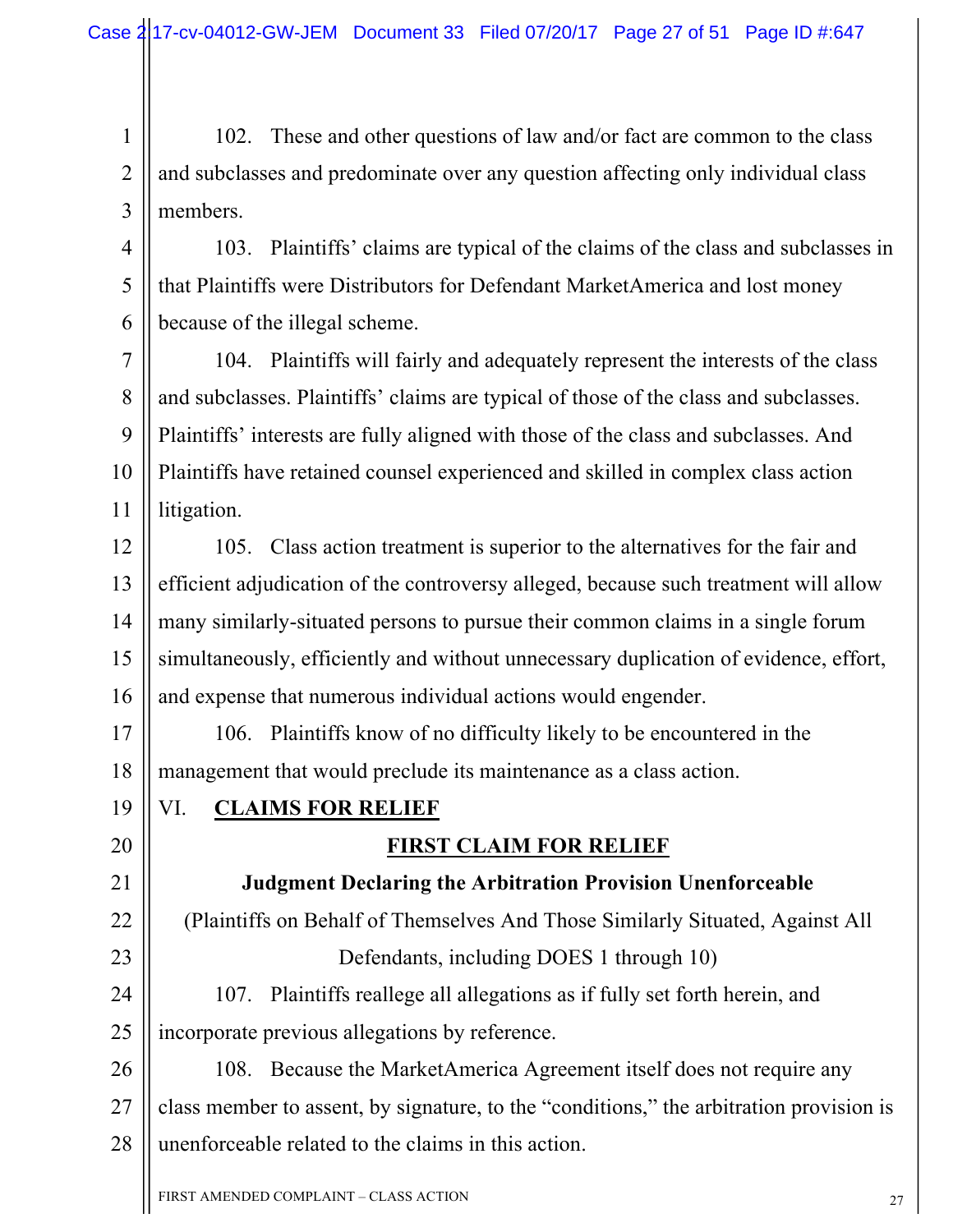1 1 2 2 3 3 102. These and other questions of law and/or fact are common to the class and subclasses and predominate over any question affecting only individual class members.

4 4 5 5 6 6 103. Plaintiffs' claims are typical of the claims of the class and subclasses in that Plaintiffs were Distributors for Defendant MarketAmerica and lost money because of the illegal scheme.

7 7 8 8 9 9 10 10 11 11 104. Plaintiffs will fairly and adequately represent the interests of the class and subclasses. Plaintiffs' claims are typical of those of the class and subclasses. Plaintiffs' interests are fully aligned with those of the class and subclasses. And Plaintiffs have retained counsel experienced and skilled in complex class action litigation.

12 12 13 13 14 14 15 15 16 16 105. Class action treatment is superior to the alternatives for the fair and efficient adjudication of the controversy alleged, because such treatment will allow many similarly-situated persons to pursue their common claims in a single forum simultaneously, efficiently and without unnecessary duplication of evidence, effort, and expense that numerous individual actions would engender.

17 17 18 18 106. Plaintiffs know of no difficulty likely to be encountered in the management that would preclude its maintenance as a class action.

VI. **CLAIMS FOR RELIEF**

19 19

20 20

21 21

22 22

23 23

24 24

25 25

## **FIRST CLAIM FOR RELIEF**

# **Judgment Declaring the Arbitration Provision Unenforceable** (Plaintiffs on Behalf of Themselves And Those Similarly Situated, Against All Defendants, including DOES 1 through 10)

107. Plaintiffs reallege all allegations as if fully set forth herein, and incorporate previous allegations by reference.

26 26 27 27 28 28 108. Because the MarketAmerica Agreement itself does not require any class member to assent, by signature, to the "conditions," the arbitration provision is unenforceable related to the claims in this action.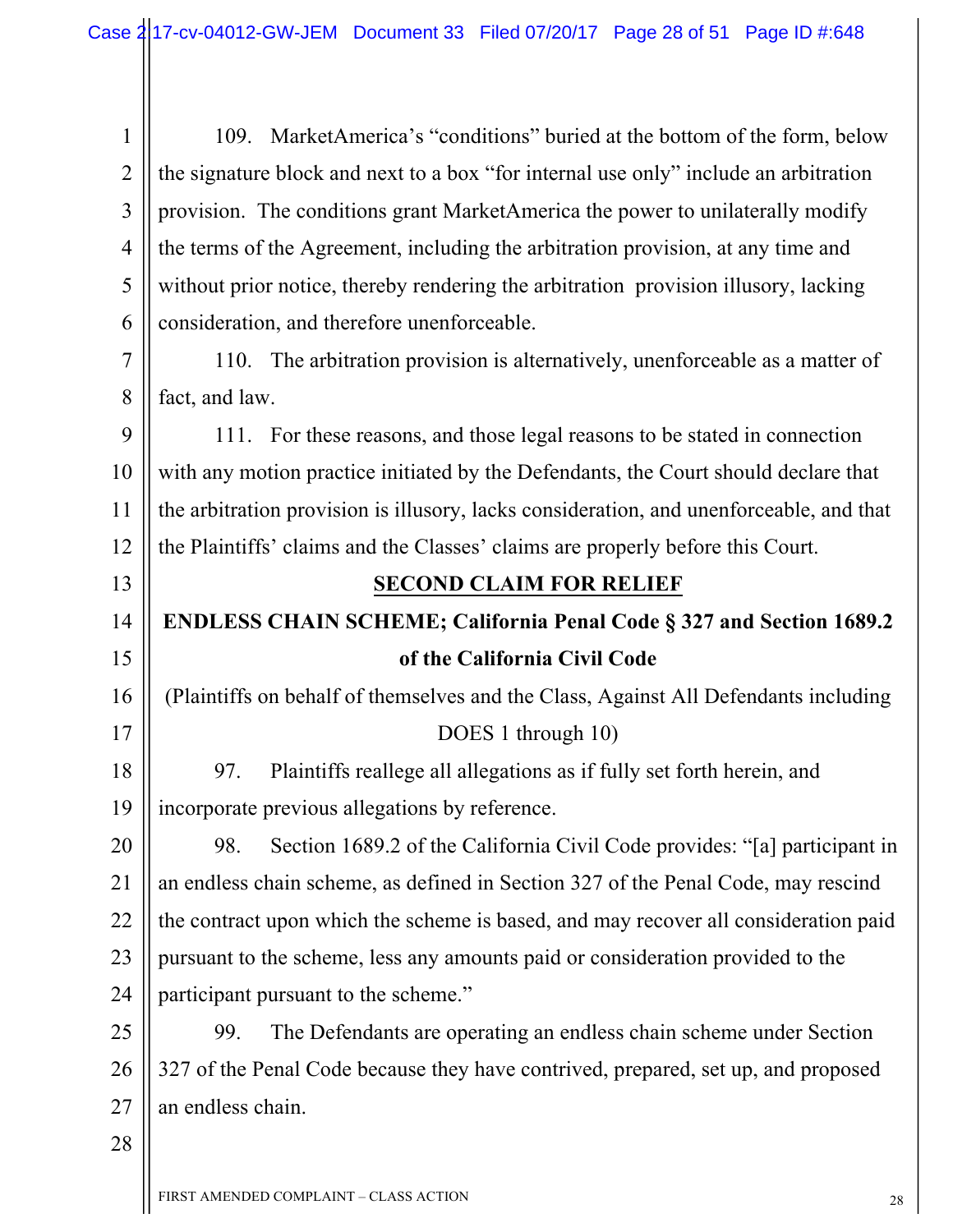1 1 2 2 3 3 4 4 5 5 6 6 109. MarketAmerica's "conditions" buried at the bottom of the form, below the signature block and next to a box "for internal use only" include an arbitration provision. The conditions grant MarketAmerica the power to unilaterally modify the terms of the Agreement, including the arbitration provision, at any time and without prior notice, thereby rendering the arbitration provision illusory, lacking consideration, and therefore unenforceable.

7 7 8 8 110. The arbitration provision is alternatively, unenforceable as a matter of fact, and law.

9 9 10 10 11 11 12 12 111. For these reasons, and those legal reasons to be stated in connection with any motion practice initiated by the Defendants, the Court should declare that the arbitration provision is illusory, lacks consideration, and unenforceable, and that the Plaintiffs' claims and the Classes' claims are properly before this Court.

# **ENDLESS CHAIN SCHEME; California Penal Code § 327 and Section 1689.2 of the California Civil Code**

**SECOND CLAIM FOR RELIEF**

(Plaintiffs on behalf of themselves and the Class, Against All Defendants including DOES 1 through 10)

18 18 19 19 97. Plaintiffs reallege all allegations as if fully set forth herein, and incorporate previous allegations by reference.

20 20 21 21 22 22 23 23 24 24 98. Section 1689.2 of the California Civil Code provides: "[a] participant in an endless chain scheme, as defined in Section 327 of the Penal Code, may rescind the contract upon which the scheme is based, and may recover all consideration paid pursuant to the scheme, less any amounts paid or consideration provided to the participant pursuant to the scheme."

25 25 26 26 27 27 99. The Defendants are operating an endless chain scheme under Section 327 of the Penal Code because they have contrived, prepared, set up, and proposed an endless chain.

28 28

13 13

14 14

15 15

16 16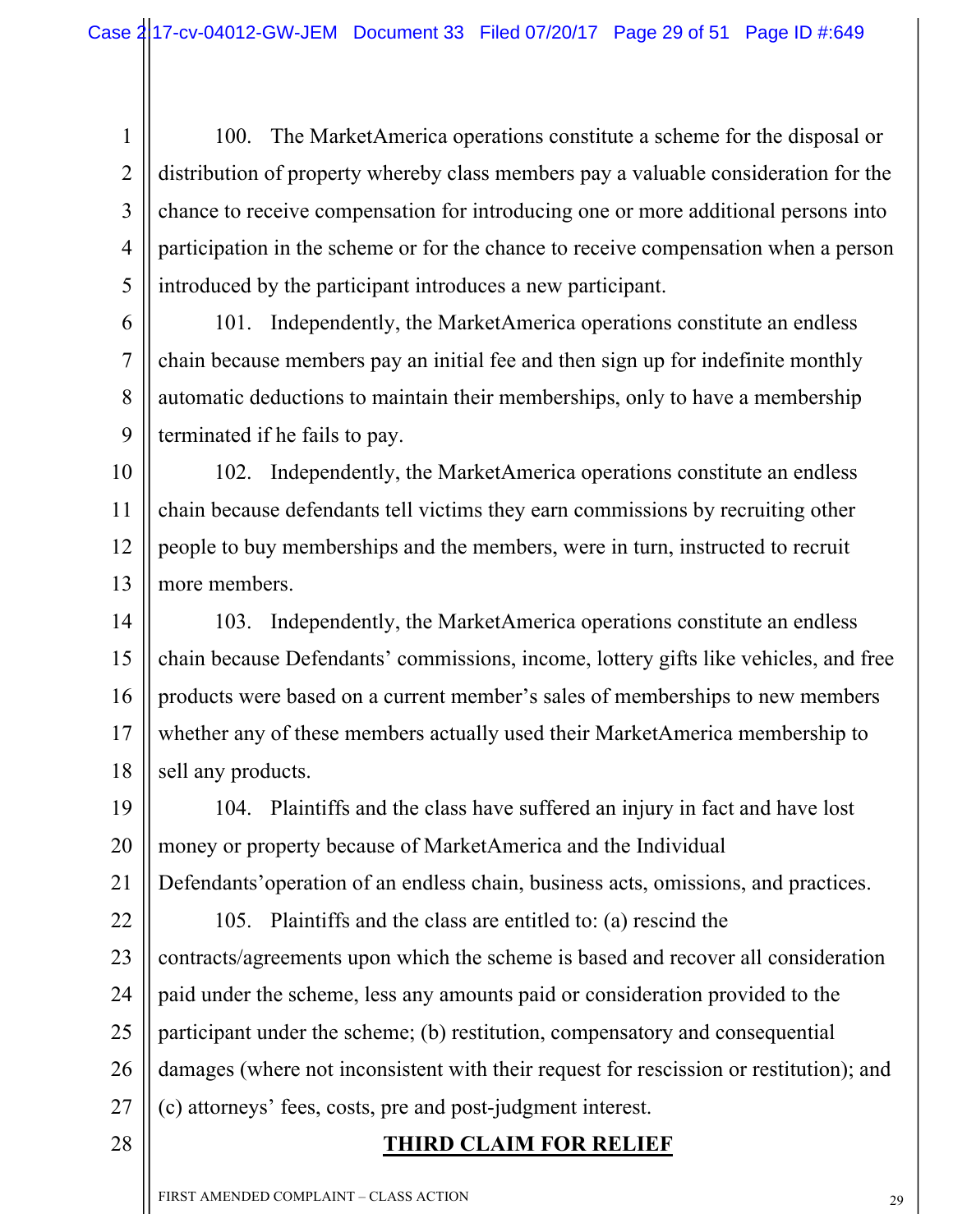1 1

2 2

3 3

4 4

5 5

6 6

7 7

8 8

9 9

28 28

100. The MarketAmerica operations constitute a scheme for the disposal or distribution of property whereby class members pay a valuable consideration for the chance to receive compensation for introducing one or more additional persons into participation in the scheme or for the chance to receive compensation when a person introduced by the participant introduces a new participant.

101. Independently, the MarketAmerica operations constitute an endless chain because members pay an initial fee and then sign up for indefinite monthly automatic deductions to maintain their memberships, only to have a membership terminated if he fails to pay.

10 10 11 11 12 12 13 13 102. Independently, the MarketAmerica operations constitute an endless chain because defendants tell victims they earn commissions by recruiting other people to buy memberships and the members, were in turn, instructed to recruit more members.

14 14 15 15 16 16 17 17 18 18 103. Independently, the MarketAmerica operations constitute an endless chain because Defendants' commissions, income, lottery gifts like vehicles, and free products were based on a current member's sales of memberships to new members whether any of these members actually used their MarketAmerica membership to sell any products.

19 19 20 20 21 21 104. Plaintiffs and the class have suffered an injury in fact and have lost money or property because of MarketAmerica and the Individual Defendants'operation of an endless chain, business acts, omissions, and practices.

22 22 23 23 24 24 25 25 26 26 27 27 105. Plaintiffs and the class are entitled to: (a) rescind the contracts/agreements upon which the scheme is based and recover all consideration paid under the scheme, less any amounts paid or consideration provided to the participant under the scheme; (b) restitution, compensatory and consequential damages (where not inconsistent with their request for rescission or restitution); and (c) attorneys' fees, costs, pre and post-judgment interest.

### **THIRD CLAIM FOR RELIEF**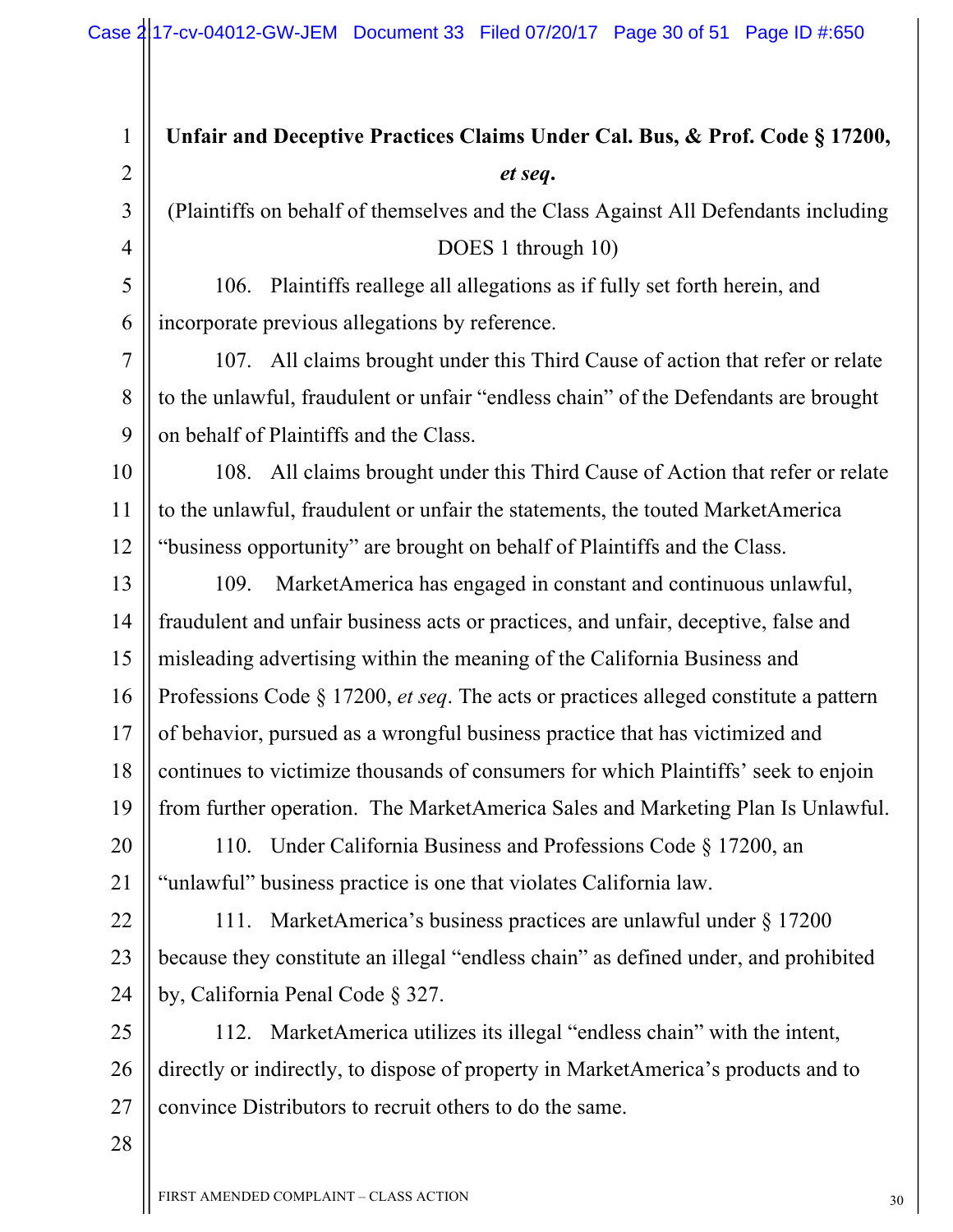| $\mathbf{1}$   | Unfair and Deceptive Practices Claims Under Cal. Bus, & Prof. Code § 17200,          |
|----------------|--------------------------------------------------------------------------------------|
| $\overline{2}$ | et seq.                                                                              |
| 3              | (Plaintiffs on behalf of themselves and the Class Against All Defendants including   |
| $\overline{4}$ | DOES 1 through 10)                                                                   |
| 5              | 106. Plaintiffs reallege all allegations as if fully set forth herein, and           |
| 6              | incorporate previous allegations by reference.                                       |
| 7              | 107. All claims brought under this Third Cause of action that refer or relate        |
| 8              | to the unlawful, fraudulent or unfair "endless chain" of the Defendants are brought  |
| 9              | on behalf of Plaintiffs and the Class.                                               |
| 10             | 108. All claims brought under this Third Cause of Action that refer or relate        |
| 11             | to the unlawful, fraudulent or unfair the statements, the touted MarketAmerica       |
| 12             | "business opportunity" are brought on behalf of Plaintiffs and the Class.            |
| 13             | MarketAmerica has engaged in constant and continuous unlawful,<br>109.               |
| 14             | fraudulent and unfair business acts or practices, and unfair, deceptive, false and   |
| 15             | misleading advertising within the meaning of the California Business and             |
| 16             | Professions Code § 17200, et seq. The acts or practices alleged constitute a pattern |
| 17             | of behavior, pursued as a wrongful business practice that has victimized and         |
| 18             | continues to victimize thousands of consumers for which Plaintiffs' seek to enjoin   |
| 19             | from further operation. The MarketAmerica Sales and Marketing Plan Is Unlawful.      |
| 20             | Under California Business and Professions Code § 17200, an<br>110.                   |
| 21             | "unlawful" business practice is one that violates California law.                    |
| 22             | MarketAmerica's business practices are unlawful under § 17200<br>111.                |
| 23             | because they constitute an illegal "endless chain" as defined under, and prohibited  |
| 24             | by, California Penal Code § 327.                                                     |
| 25             | 112. MarketAmerica utilizes its illegal "endless chain" with the intent,             |
| 26             | directly or indirectly, to dispose of property in MarketAmerica's products and to    |
| 27             | convince Distributors to recruit others to do the same.                              |
|                |                                                                                      |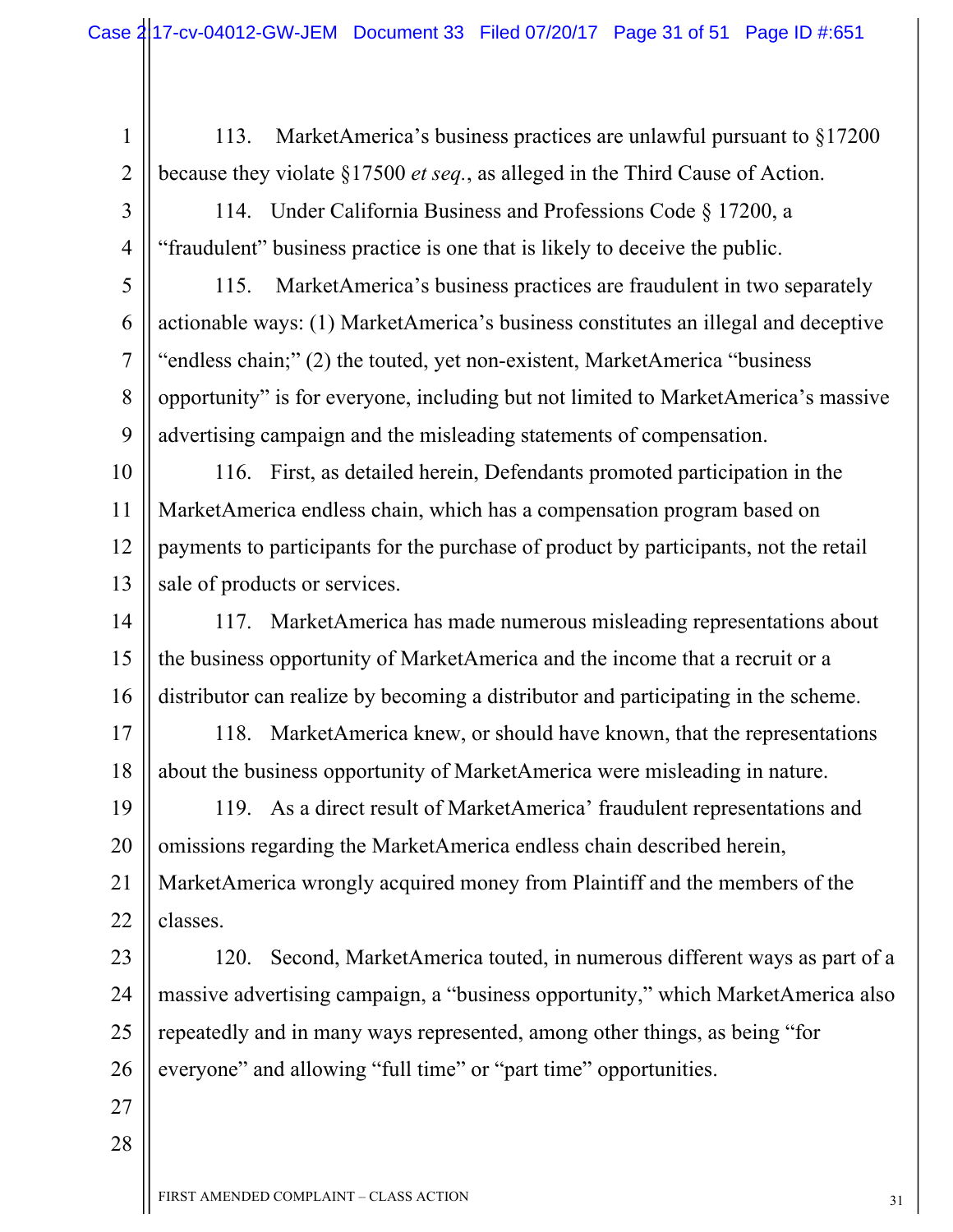4 4

5 5

6 6

7 7

8 8

9 9

1 1

113. MarketAmerica's business practices are unlawful pursuant to §17200 because they violate §17500 *et seq.*, as alleged in the Third Cause of Action.

114. Under California Business and Professions Code § 17200, a "fraudulent" business practice is one that is likely to deceive the public.

115. MarketAmerica's business practices are fraudulent in two separately actionable ways: (1) MarketAmerica's business constitutes an illegal and deceptive "endless chain;" (2) the touted, yet non-existent, MarketAmerica "business opportunity" is for everyone, including but not limited to MarketAmerica's massive advertising campaign and the misleading statements of compensation.

10 10 11 11 12 12 13 13 116. First, as detailed herein, Defendants promoted participation in the MarketAmerica endless chain, which has a compensation program based on payments to participants for the purchase of product by participants, not the retail sale of products or services.

14 14 15 15 16 16 117. MarketAmerica has made numerous misleading representations about the business opportunity of MarketAmerica and the income that a recruit or a distributor can realize by becoming a distributor and participating in the scheme.

17 17 18 18 118. MarketAmerica knew, or should have known, that the representations about the business opportunity of MarketAmerica were misleading in nature.

19 19 20 20 21 21 22 22 119. As a direct result of MarketAmerica' fraudulent representations and omissions regarding the MarketAmerica endless chain described herein, MarketAmerica wrongly acquired money from Plaintiff and the members of the classes.

23 23 24 24 25 25 26 26 120. Second, MarketAmerica touted, in numerous different ways as part of a massive advertising campaign, a "business opportunity," which MarketAmerica also repeatedly and in many ways represented, among other things, as being "for everyone" and allowing "full time" or "part time" opportunities.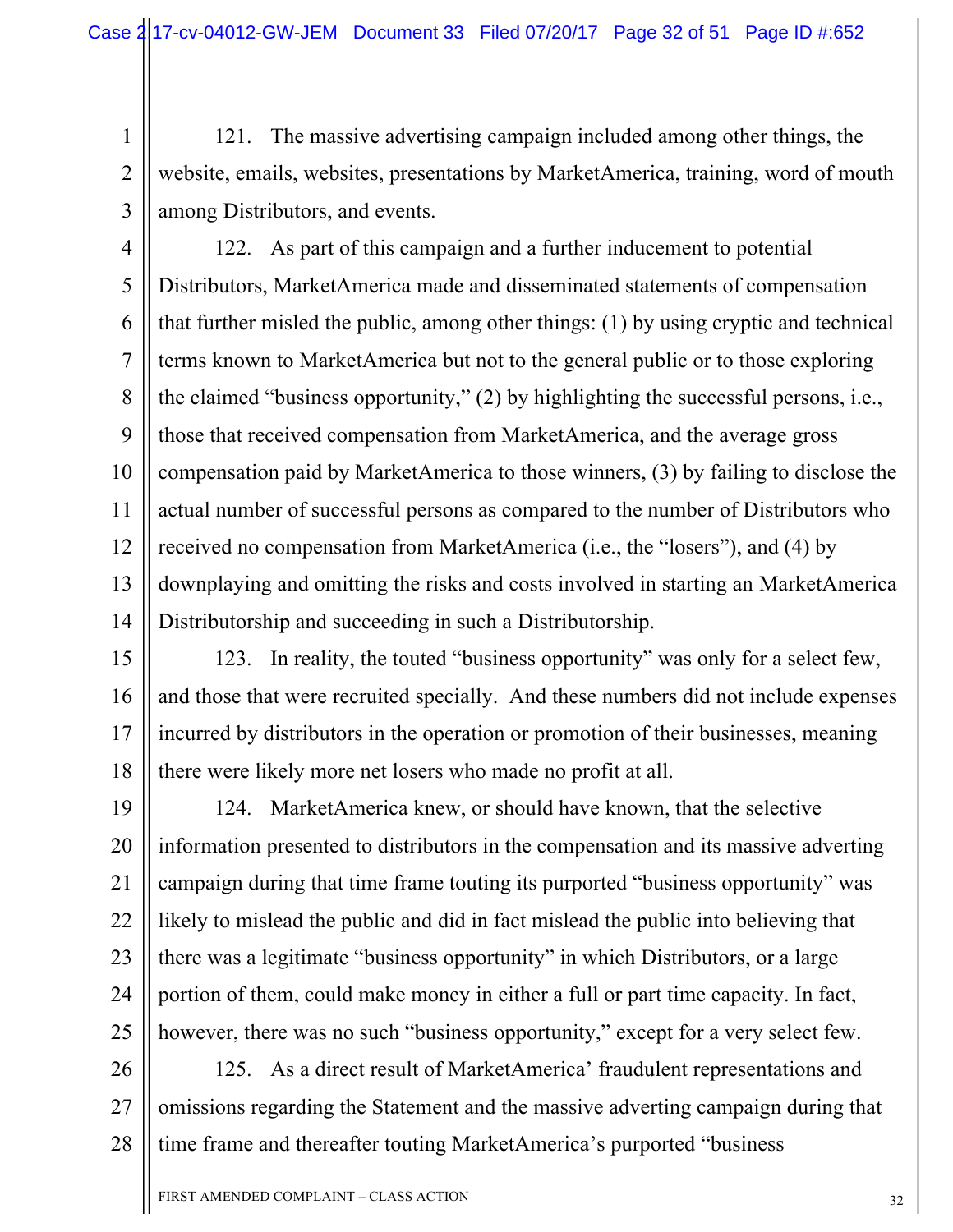1 1 2 2 3 3 121. The massive advertising campaign included among other things, the website, emails, websites, presentations by MarketAmerica, training, word of mouth among Distributors, and events.

4 4 5 5 6 6 7 7 8 8 9 9 10 10 11 11 12 12 13 13 14 14 122. As part of this campaign and a further inducement to potential Distributors, MarketAmerica made and disseminated statements of compensation that further misled the public, among other things: (1) by using cryptic and technical terms known to MarketAmerica but not to the general public or to those exploring the claimed "business opportunity," (2) by highlighting the successful persons, i.e., those that received compensation from MarketAmerica, and the average gross compensation paid by MarketAmerica to those winners, (3) by failing to disclose the actual number of successful persons as compared to the number of Distributors who received no compensation from MarketAmerica (i.e., the "losers"), and (4) by downplaying and omitting the risks and costs involved in starting an MarketAmerica Distributorship and succeeding in such a Distributorship.

15 15 16 16 17 17 18 18 123. In reality, the touted "business opportunity" was only for a select few, and those that were recruited specially. And these numbers did not include expenses incurred by distributors in the operation or promotion of their businesses, meaning there were likely more net losers who made no profit at all.

19 19 20 20 21 21 22 22 23 23 24 24 25 25 124. MarketAmerica knew, or should have known, that the selective information presented to distributors in the compensation and its massive adverting campaign during that time frame touting its purported "business opportunity" was likely to mislead the public and did in fact mislead the public into believing that there was a legitimate "business opportunity" in which Distributors, or a large portion of them, could make money in either a full or part time capacity. In fact, however, there was no such "business opportunity," except for a very select few.

26 26 27 27 28 28 125. As a direct result of MarketAmerica' fraudulent representations and omissions regarding the Statement and the massive adverting campaign during that time frame and thereafter touting MarketAmerica's purported "business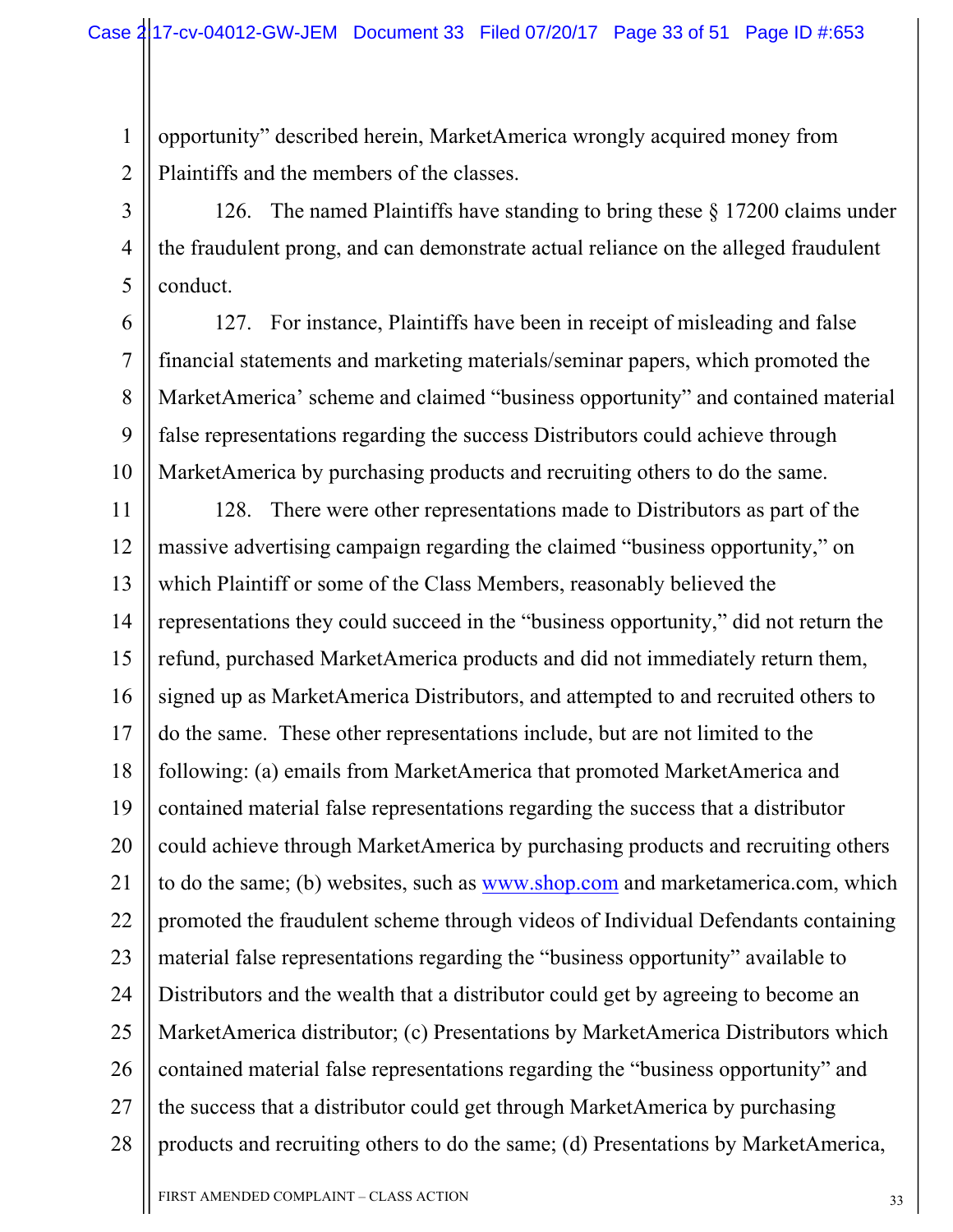opportunity" described herein, MarketAmerica wrongly acquired money from Plaintiffs and the members of the classes.

1 1

2 2

3 3

4 4

5 5

126. The named Plaintiffs have standing to bring these § 17200 claims under the fraudulent prong, and can demonstrate actual reliance on the alleged fraudulent conduct.

6 6 7 7 8 8 9 9 10 10 127. For instance, Plaintiffs have been in receipt of misleading and false financial statements and marketing materials/seminar papers, which promoted the MarketAmerica' scheme and claimed "business opportunity" and contained material false representations regarding the success Distributors could achieve through MarketAmerica by purchasing products and recruiting others to do the same.

11 11 12 12 13 13 14 14 15 15 16 16 17 17 18 18 19 19 20 20 21 21 22 22 23 23 24 24 25 25 26 26 27 27 28 28 128. There were other representations made to Distributors as part of the massive advertising campaign regarding the claimed "business opportunity," on which Plaintiff or some of the Class Members, reasonably believed the representations they could succeed in the "business opportunity," did not return the refund, purchased MarketAmerica products and did not immediately return them, signed up as MarketAmerica Distributors, and attempted to and recruited others to do the same. These other representations include, but are not limited to the following: (a) emails from MarketAmerica that promoted MarketAmerica and contained material false representations regarding the success that a distributor could achieve through MarketAmerica by purchasing products and recruiting others to do the same; (b) websites, such as www.shop.com and marketamerica.com, which promoted the fraudulent scheme through videos of Individual Defendants containing material false representations regarding the "business opportunity" available to Distributors and the wealth that a distributor could get by agreeing to become an MarketAmerica distributor; (c) Presentations by MarketAmerica Distributors which contained material false representations regarding the "business opportunity" and the success that a distributor could get through MarketAmerica by purchasing products and recruiting others to do the same; (d) Presentations by MarketAmerica,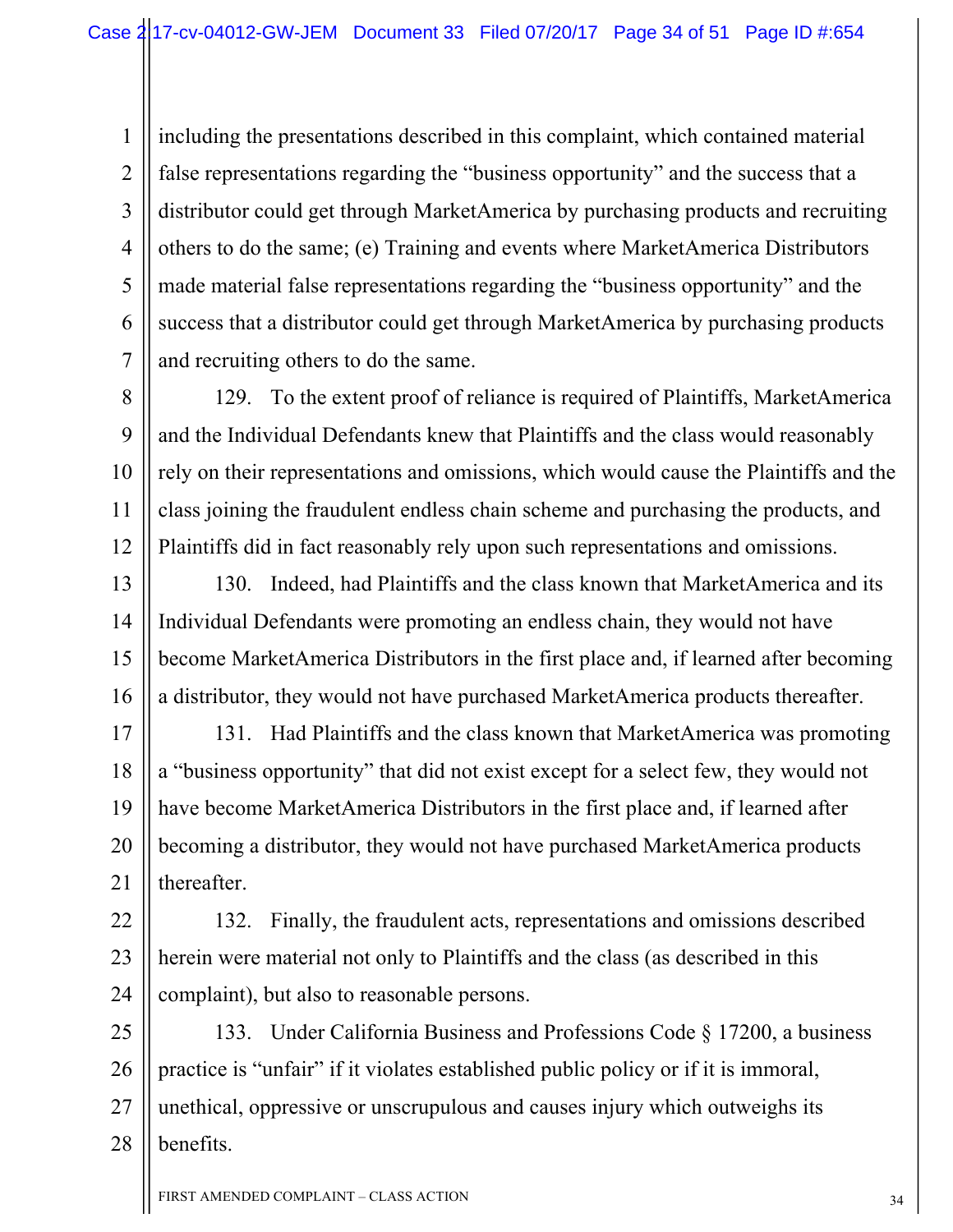1 1 2 2 3 3 4 4 5 5 6 6 7 7 including the presentations described in this complaint, which contained material false representations regarding the "business opportunity" and the success that a distributor could get through MarketAmerica by purchasing products and recruiting others to do the same; (e) Training and events where MarketAmerica Distributors made material false representations regarding the "business opportunity" and the success that a distributor could get through MarketAmerica by purchasing products and recruiting others to do the same.

8 8 9 9 10 10 11 11 12 12 129. To the extent proof of reliance is required of Plaintiffs, MarketAmerica and the Individual Defendants knew that Plaintiffs and the class would reasonably rely on their representations and omissions, which would cause the Plaintiffs and the class joining the fraudulent endless chain scheme and purchasing the products, and Plaintiffs did in fact reasonably rely upon such representations and omissions.

13 13 14 14 15 15 16 16 130. Indeed, had Plaintiffs and the class known that MarketAmerica and its Individual Defendants were promoting an endless chain, they would not have become MarketAmerica Distributors in the first place and, if learned after becoming a distributor, they would not have purchased MarketAmerica products thereafter.

17 17 18 18 19 19 20 20 21 21 131. Had Plaintiffs and the class known that MarketAmerica was promoting a "business opportunity" that did not exist except for a select few, they would not have become MarketAmerica Distributors in the first place and, if learned after becoming a distributor, they would not have purchased MarketAmerica products thereafter.

22 22 23 23 24 24 132. Finally, the fraudulent acts, representations and omissions described herein were material not only to Plaintiffs and the class (as described in this complaint), but also to reasonable persons.

25 25 26 26 27 27 28 28 133. Under California Business and Professions Code § 17200, a business practice is "unfair" if it violates established public policy or if it is immoral, unethical, oppressive or unscrupulous and causes injury which outweighs its benefits.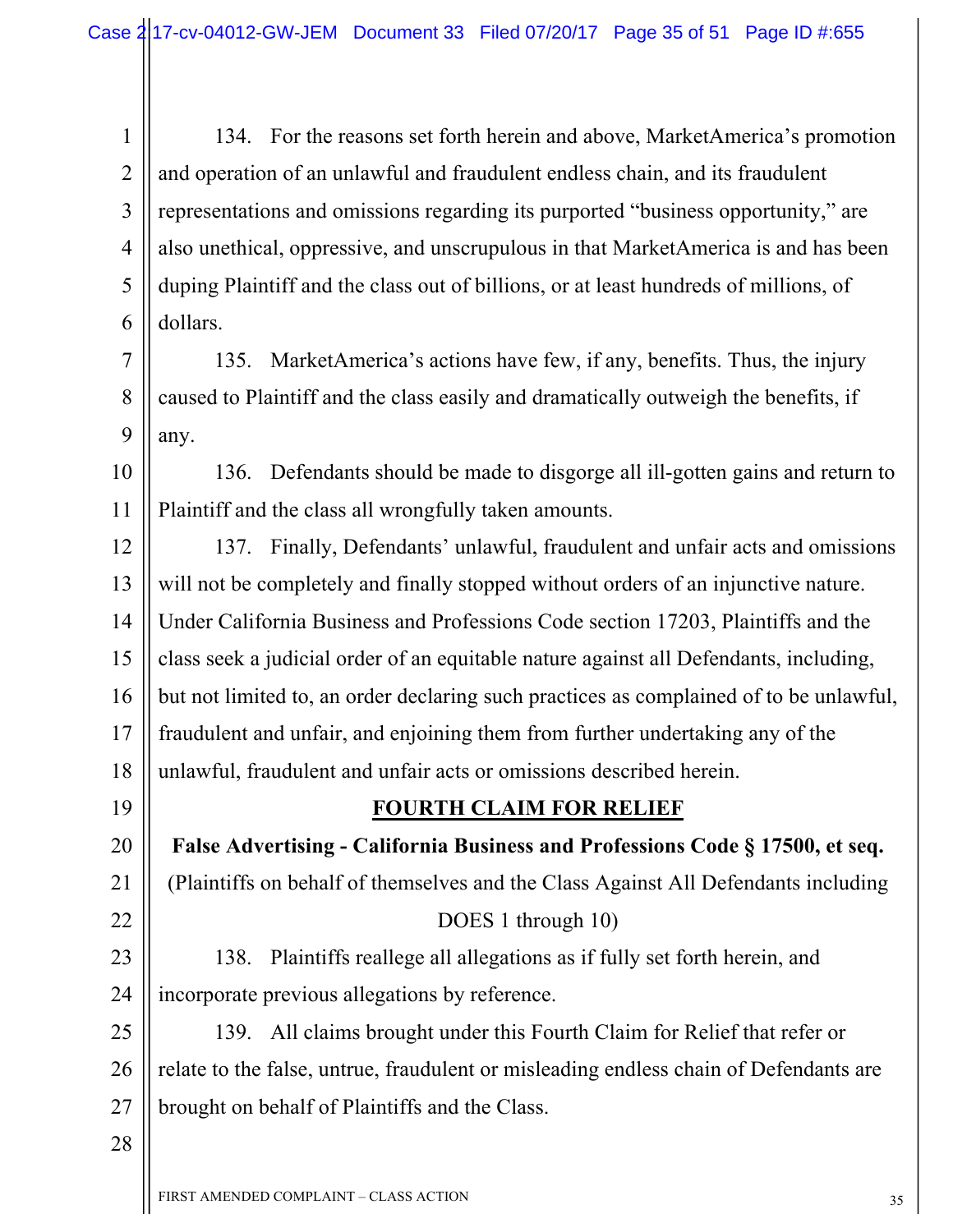1 1 2 2 3 3 4 4 5 5 6 6 134. For the reasons set forth herein and above, MarketAmerica's promotion and operation of an unlawful and fraudulent endless chain, and its fraudulent representations and omissions regarding its purported "business opportunity," are also unethical, oppressive, and unscrupulous in that MarketAmerica is and has been duping Plaintiff and the class out of billions, or at least hundreds of millions, of dollars.

7 7 8 8 9 9 135. MarketAmerica's actions have few, if any, benefits. Thus, the injury caused to Plaintiff and the class easily and dramatically outweigh the benefits, if any.

10 10 11 11 136. Defendants should be made to disgorge all ill-gotten gains and return to Plaintiff and the class all wrongfully taken amounts.

12 12 13 13 14 14 15 15 16 16 17 17 18 18 137. Finally, Defendants' unlawful, fraudulent and unfair acts and omissions will not be completely and finally stopped without orders of an injunctive nature. Under California Business and Professions Code section 17203, Plaintiffs and the class seek a judicial order of an equitable nature against all Defendants, including, but not limited to, an order declaring such practices as complained of to be unlawful, fraudulent and unfair, and enjoining them from further undertaking any of the unlawful, fraudulent and unfair acts or omissions described herein.

21 21

22 22

## **FOURTH CLAIM FOR RELIEF**

**False Advertising - California Business and Professions Code § 17500, et seq.** (Plaintiffs on behalf of themselves and the Class Against All Defendants including DOES 1 through 10)

23 23 24 24 138. Plaintiffs reallege all allegations as if fully set forth herein, and incorporate previous allegations by reference.

25 25 26 26 27 27 139. All claims brought under this Fourth Claim for Relief that refer or relate to the false, untrue, fraudulent or misleading endless chain of Defendants are brought on behalf of Plaintiffs and the Class.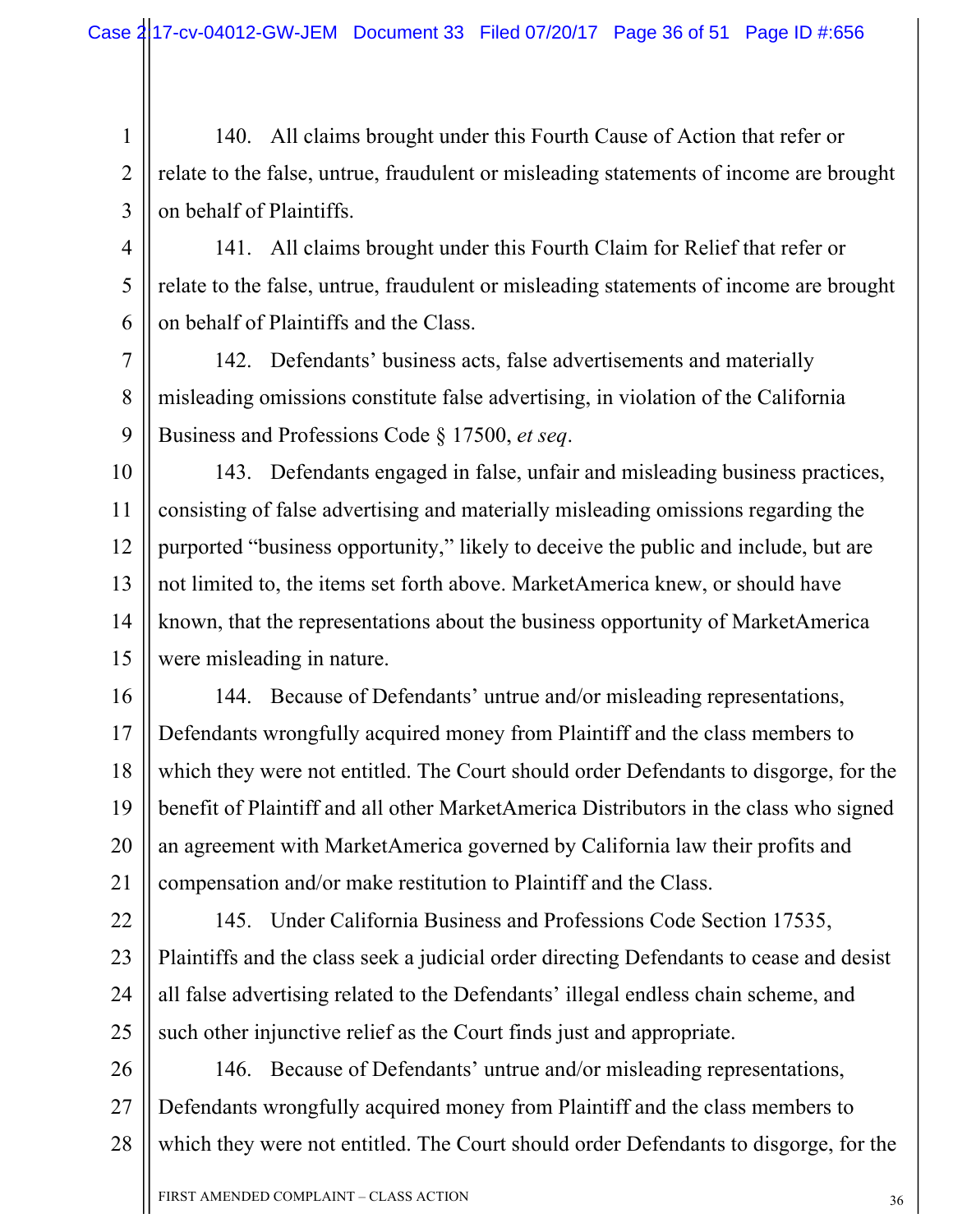1 1

2 2

3 3

4 4

5 5

6 6

140. All claims brought under this Fourth Cause of Action that refer or relate to the false, untrue, fraudulent or misleading statements of income are brought on behalf of Plaintiffs.

141. All claims brought under this Fourth Claim for Relief that refer or relate to the false, untrue, fraudulent or misleading statements of income are brought on behalf of Plaintiffs and the Class.

7 7 8 8 9 9 142. Defendants' business acts, false advertisements and materially misleading omissions constitute false advertising, in violation of the California Business and Professions Code § 17500, *et seq*.

10 10 11 11 12 12 13 13 14 14 15 15 143. Defendants engaged in false, unfair and misleading business practices, consisting of false advertising and materially misleading omissions regarding the purported "business opportunity," likely to deceive the public and include, but are not limited to, the items set forth above. MarketAmerica knew, or should have known, that the representations about the business opportunity of MarketAmerica were misleading in nature.

16 16 17 17 18 18 19 19 20 20 21 21 144. Because of Defendants' untrue and/or misleading representations, Defendants wrongfully acquired money from Plaintiff and the class members to which they were not entitled. The Court should order Defendants to disgorge, for the benefit of Plaintiff and all other MarketAmerica Distributors in the class who signed an agreement with MarketAmerica governed by California law their profits and compensation and/or make restitution to Plaintiff and the Class.

22 22 23 23 24 24 25 25 145. Under California Business and Professions Code Section 17535, Plaintiffs and the class seek a judicial order directing Defendants to cease and desist all false advertising related to the Defendants' illegal endless chain scheme, and such other injunctive relief as the Court finds just and appropriate.

26 26 27 27 28 28 146. Because of Defendants' untrue and/or misleading representations, Defendants wrongfully acquired money from Plaintiff and the class members to which they were not entitled. The Court should order Defendants to disgorge, for the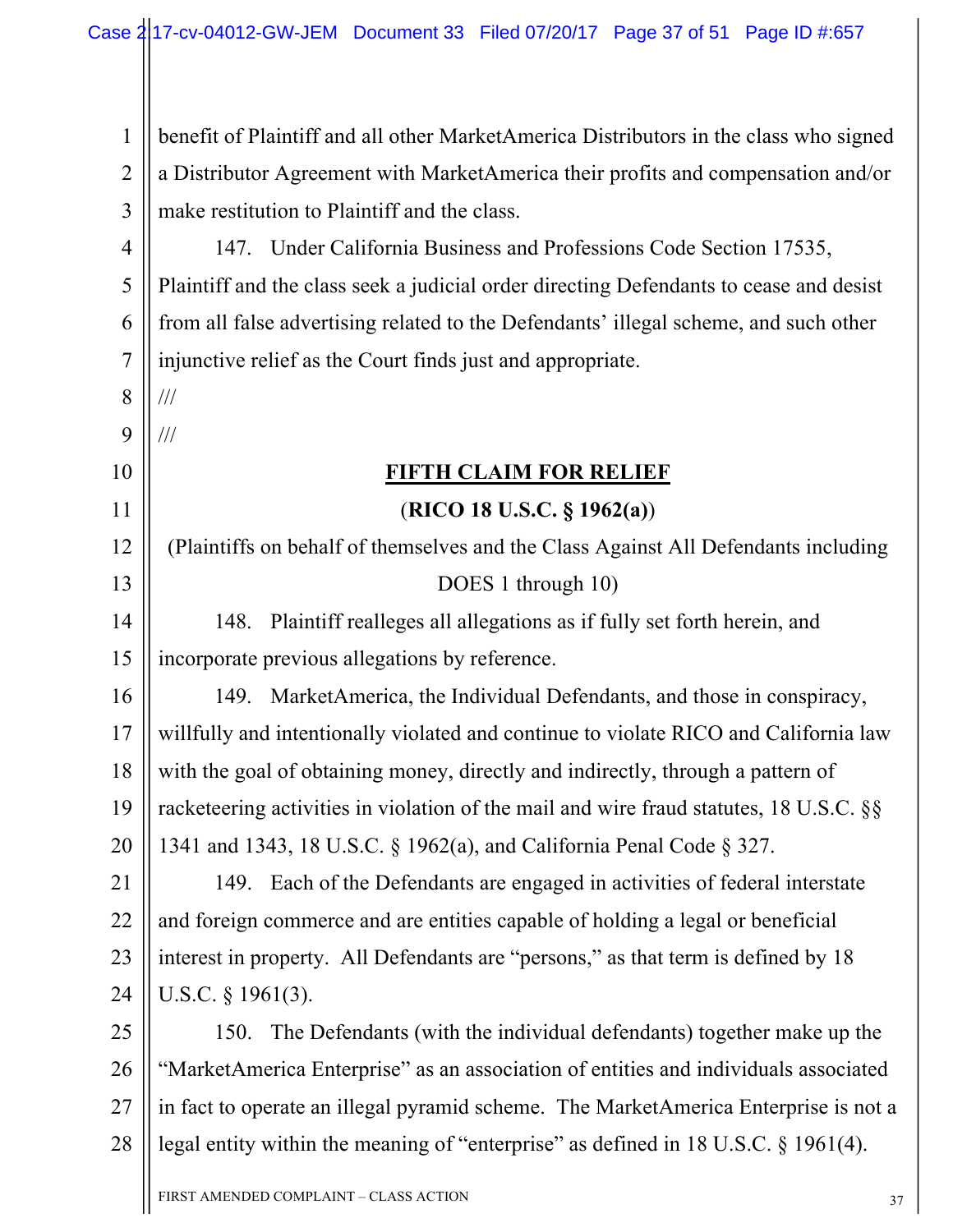1 1 2 2 3 3 4 4 5 5 6 6 7 7 8 8 9 9 10 10 11 11 12 12 13 13 14 14 15 15 16 16 17 17 18 18 19 19 20 20 21 21 22 22 23 23 24 24 25 25 26 26 27 27 benefit of Plaintiff and all other MarketAmerica Distributors in the class who signed a Distributor Agreement with MarketAmerica their profits and compensation and/or make restitution to Plaintiff and the class. 147. Under California Business and Professions Code Section 17535, Plaintiff and the class seek a judicial order directing Defendants to cease and desist from all false advertising related to the Defendants' illegal scheme, and such other injunctive relief as the Court finds just and appropriate. /// /// **FIFTH CLAIM FOR RELIEF** (**RICO 18 U.S.C. § 1962(a)**) (Plaintiffs on behalf of themselves and the Class Against All Defendants including DOES 1 through 10) 148. Plaintiff realleges all allegations as if fully set forth herein, and incorporate previous allegations by reference. 149. MarketAmerica, the Individual Defendants, and those in conspiracy, willfully and intentionally violated and continue to violate RICO and California law with the goal of obtaining money, directly and indirectly, through a pattern of racketeering activities in violation of the mail and wire fraud statutes, 18 U.S.C. §§ 1341 and 1343, 18 U.S.C. § 1962(a), and California Penal Code § 327. 149. Each of the Defendants are engaged in activities of federal interstate and foreign commerce and are entities capable of holding a legal or beneficial interest in property. All Defendants are "persons," as that term is defined by 18 U.S.C. § 1961(3). 150. The Defendants (with the individual defendants) together make up the "MarketAmerica Enterprise" as an association of entities and individuals associated in fact to operate an illegal pyramid scheme. The MarketAmerica Enterprise is not a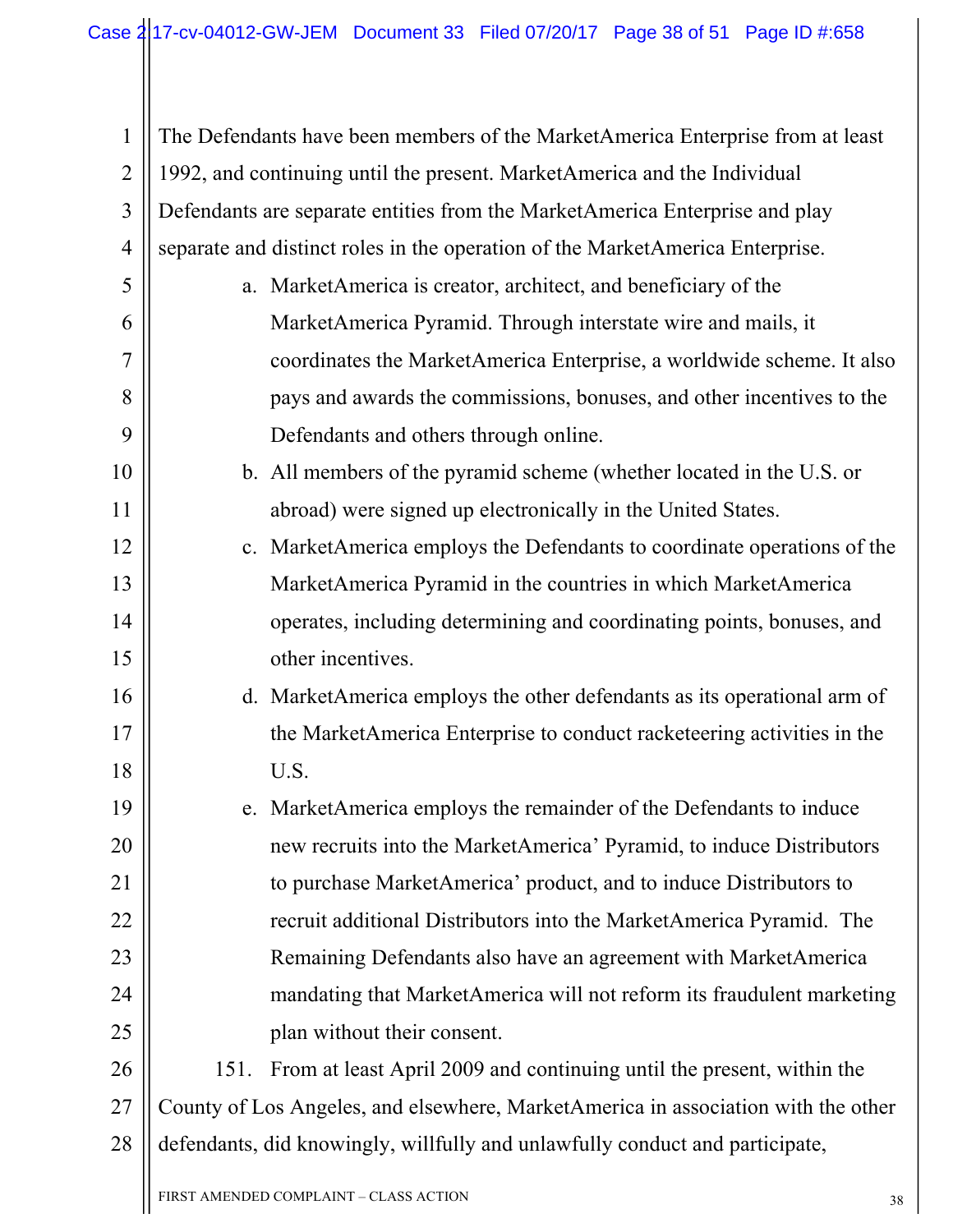1 1 2 2 3 3 4 4 The Defendants have been members of the MarketAmerica Enterprise from at least 1992, and continuing until the present. MarketAmerica and the Individual Defendants are separate entities from the MarketAmerica Enterprise and play separate and distinct roles in the operation of the MarketAmerica Enterprise.

- a. MarketAmerica is creator, architect, and beneficiary of the MarketAmerica Pyramid. Through interstate wire and mails, it coordinates the MarketAmerica Enterprise, a worldwide scheme. It also pays and awards the commissions, bonuses, and other incentives to the Defendants and others through online.
- b. All members of the pyramid scheme (whether located in the U.S. or abroad) were signed up electronically in the United States.
- c. MarketAmerica employs the Defendants to coordinate operations of the MarketAmerica Pyramid in the countries in which MarketAmerica operates, including determining and coordinating points, bonuses, and other incentives.
- d. MarketAmerica employs the other defendants as its operational arm of the MarketAmerica Enterprise to conduct racketeering activities in the U.S.
- 19 19 20 20 21 21 22 22 23 23 24 24 25 25 e. MarketAmerica employs the remainder of the Defendants to induce new recruits into the MarketAmerica' Pyramid, to induce Distributors to purchase MarketAmerica' product, and to induce Distributors to recruit additional Distributors into the MarketAmerica Pyramid. The Remaining Defendants also have an agreement with MarketAmerica mandating that MarketAmerica will not reform its fraudulent marketing plan without their consent.
- 26 26 27 27 28 28 151. From at least April 2009 and continuing until the present, within the County of Los Angeles, and elsewhere, MarketAmerica in association with the other defendants, did knowingly, willfully and unlawfully conduct and participate,

5 5

6 6

7 7

8 8

9 9

10 10

11 11

12 12

13 13

14 14

15 15

16 16

17 17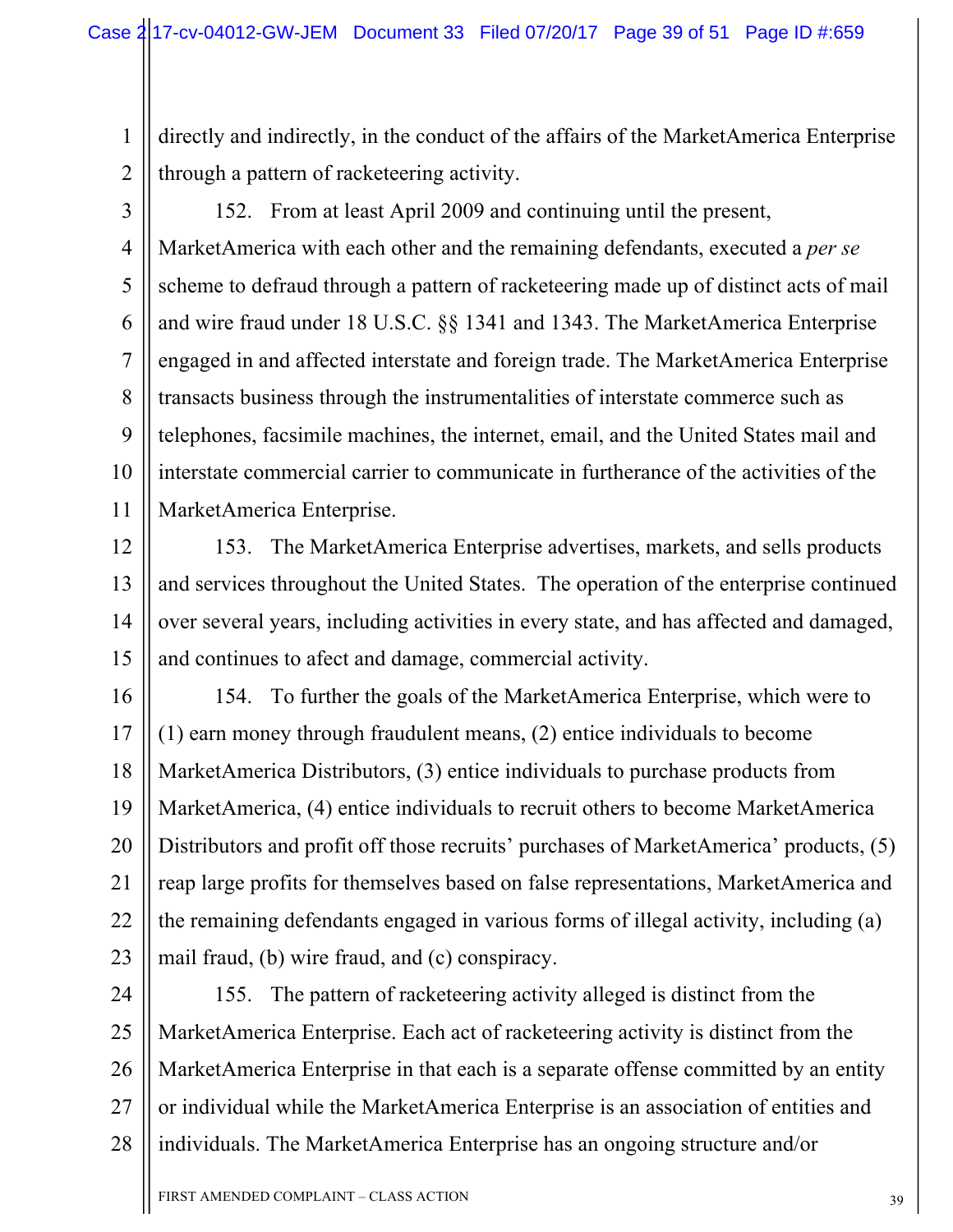1 1 2 2 directly and indirectly, in the conduct of the affairs of the MarketAmerica Enterprise through a pattern of racketeering activity.

3 3

4 4

5 5

6 6

7 7

8 8

9 9

10 10

11 11

152. From at least April 2009 and continuing until the present, MarketAmerica with each other and the remaining defendants, executed a *per se* scheme to defraud through a pattern of racketeering made up of distinct acts of mail and wire fraud under 18 U.S.C. §§ 1341 and 1343. The MarketAmerica Enterprise engaged in and affected interstate and foreign trade. The MarketAmerica Enterprise transacts business through the instrumentalities of interstate commerce such as telephones, facsimile machines, the internet, email, and the United States mail and interstate commercial carrier to communicate in furtherance of the activities of the MarketAmerica Enterprise.

12 12

13 13

14 14

15 15

153. The MarketAmerica Enterprise advertises, markets, and sells products and services throughout the United States. The operation of the enterprise continued over several years, including activities in every state, and has affected and damaged, and continues to afect and damage, commercial activity.

16 16 17 17 18 18 19 19 20 20 21 21 22 22 23 23 154. To further the goals of the MarketAmerica Enterprise, which were to (1) earn money through fraudulent means, (2) entice individuals to become MarketAmerica Distributors, (3) entice individuals to purchase products from MarketAmerica, (4) entice individuals to recruit others to become MarketAmerica Distributors and profit off those recruits' purchases of MarketAmerica' products, (5) reap large profits for themselves based on false representations, MarketAmerica and the remaining defendants engaged in various forms of illegal activity, including (a) mail fraud, (b) wire fraud, and (c) conspiracy.

24 24 25 25 26 26 27 27 28 28 155. The pattern of racketeering activity alleged is distinct from the MarketAmerica Enterprise. Each act of racketeering activity is distinct from the MarketAmerica Enterprise in that each is a separate offense committed by an entity or individual while the MarketAmerica Enterprise is an association of entities and individuals. The MarketAmerica Enterprise has an ongoing structure and/or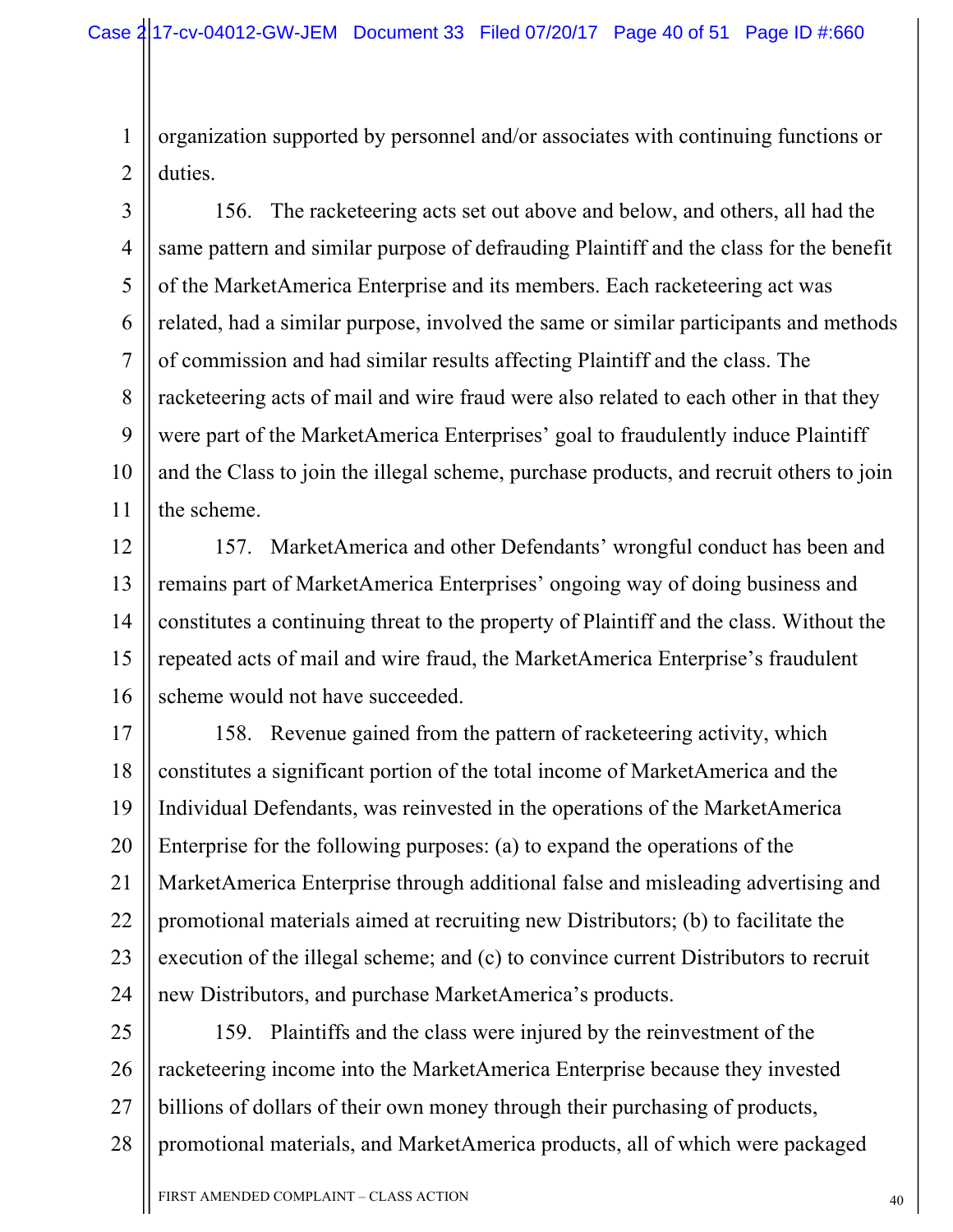1 1

2 2

organization supported by personnel and/or associates with continuing functions or duties.

3 3 4 4 5 5 6 6 7 7 8 8 9 9 10 10 11 11 156. The racketeering acts set out above and below, and others, all had the same pattern and similar purpose of defrauding Plaintiff and the class for the benefit of the MarketAmerica Enterprise and its members. Each racketeering act was related, had a similar purpose, involved the same or similar participants and methods of commission and had similar results affecting Plaintiff and the class. The racketeering acts of mail and wire fraud were also related to each other in that they were part of the MarketAmerica Enterprises' goal to fraudulently induce Plaintiff and the Class to join the illegal scheme, purchase products, and recruit others to join the scheme.

12 12 13 13 14 14 15 15 16 16 157. MarketAmerica and other Defendants' wrongful conduct has been and remains part of MarketAmerica Enterprises' ongoing way of doing business and constitutes a continuing threat to the property of Plaintiff and the class. Without the repeated acts of mail and wire fraud, the MarketAmerica Enterprise's fraudulent scheme would not have succeeded.

17 17 18 18 19 19 20 20 21 21 22 22 23 23 24 24 158. Revenue gained from the pattern of racketeering activity, which constitutes a significant portion of the total income of MarketAmerica and the Individual Defendants, was reinvested in the operations of the MarketAmerica Enterprise for the following purposes: (a) to expand the operations of the MarketAmerica Enterprise through additional false and misleading advertising and promotional materials aimed at recruiting new Distributors; (b) to facilitate the execution of the illegal scheme; and (c) to convince current Distributors to recruit new Distributors, and purchase MarketAmerica's products.

25 25 26 26 27 27 28 28 159. Plaintiffs and the class were injured by the reinvestment of the racketeering income into the MarketAmerica Enterprise because they invested billions of dollars of their own money through their purchasing of products, promotional materials, and MarketAmerica products, all of which were packaged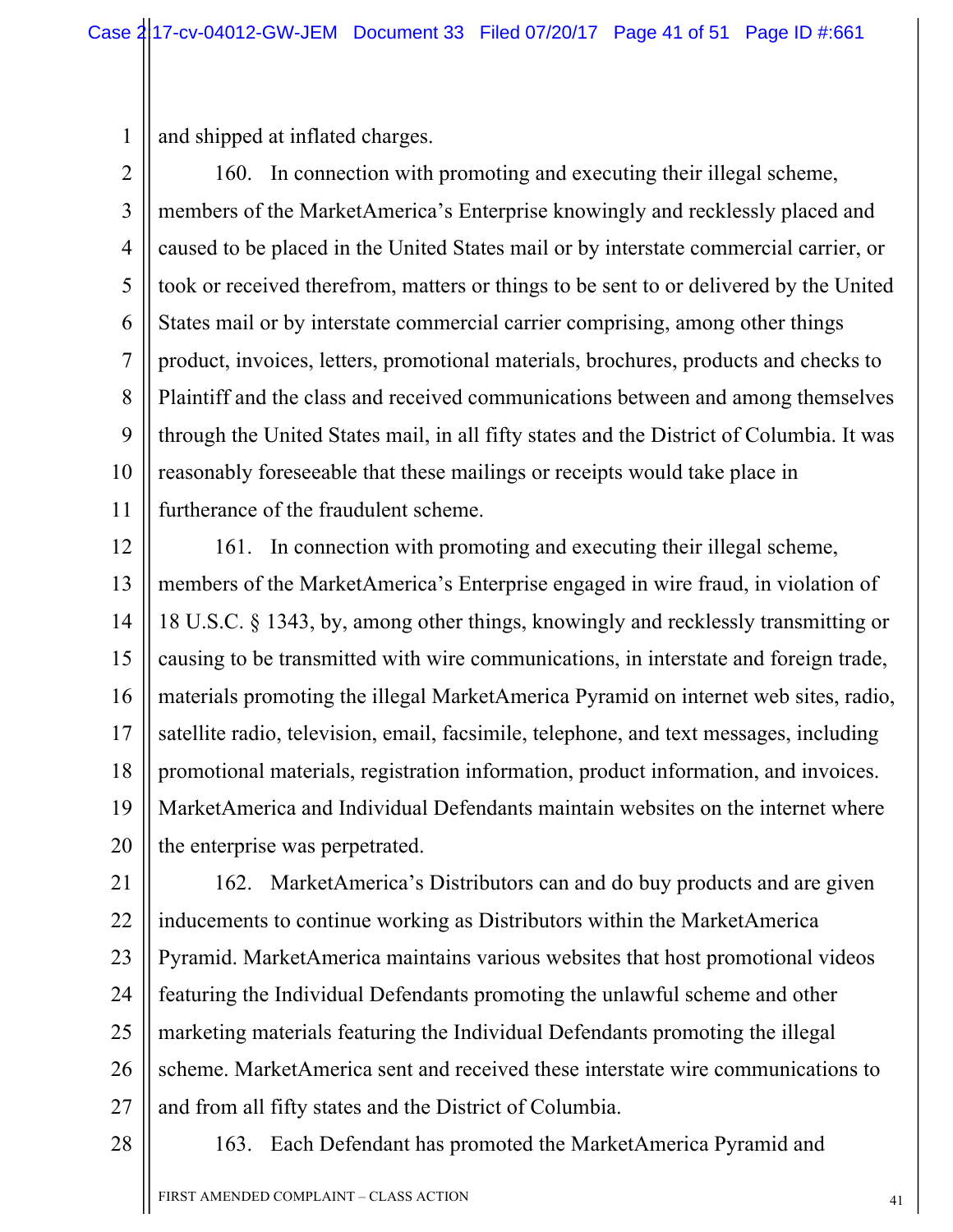1 1 and shipped at inflated charges.

2 2 3 3 4 4 5 5 6 6 7 7 8 8 9 9 10 10 11 11 160. In connection with promoting and executing their illegal scheme, members of the MarketAmerica's Enterprise knowingly and recklessly placed and caused to be placed in the United States mail or by interstate commercial carrier, or took or received therefrom, matters or things to be sent to or delivered by the United States mail or by interstate commercial carrier comprising, among other things product, invoices, letters, promotional materials, brochures, products and checks to Plaintiff and the class and received communications between and among themselves through the United States mail, in all fifty states and the District of Columbia. It was reasonably foreseeable that these mailings or receipts would take place in furtherance of the fraudulent scheme.

12 12

13 13 14 14 15 15 16 16 17 17 18 18 19 19 20 20 161. In connection with promoting and executing their illegal scheme, members of the MarketAmerica's Enterprise engaged in wire fraud, in violation of 18 U.S.C. § 1343, by, among other things, knowingly and recklessly transmitting or causing to be transmitted with wire communications, in interstate and foreign trade, materials promoting the illegal MarketAmerica Pyramid on internet web sites, radio, satellite radio, television, email, facsimile, telephone, and text messages, including promotional materials, registration information, product information, and invoices. MarketAmerica and Individual Defendants maintain websites on the internet where the enterprise was perpetrated.

21 21 22 22 23 23 24 24 25 25 26 26 27 27 162. MarketAmerica's Distributors can and do buy products and are given inducements to continue working as Distributors within the MarketAmerica Pyramid. MarketAmerica maintains various websites that host promotional videos featuring the Individual Defendants promoting the unlawful scheme and other marketing materials featuring the Individual Defendants promoting the illegal scheme. MarketAmerica sent and received these interstate wire communications to and from all fifty states and the District of Columbia.

28 28

163. Each Defendant has promoted the MarketAmerica Pyramid and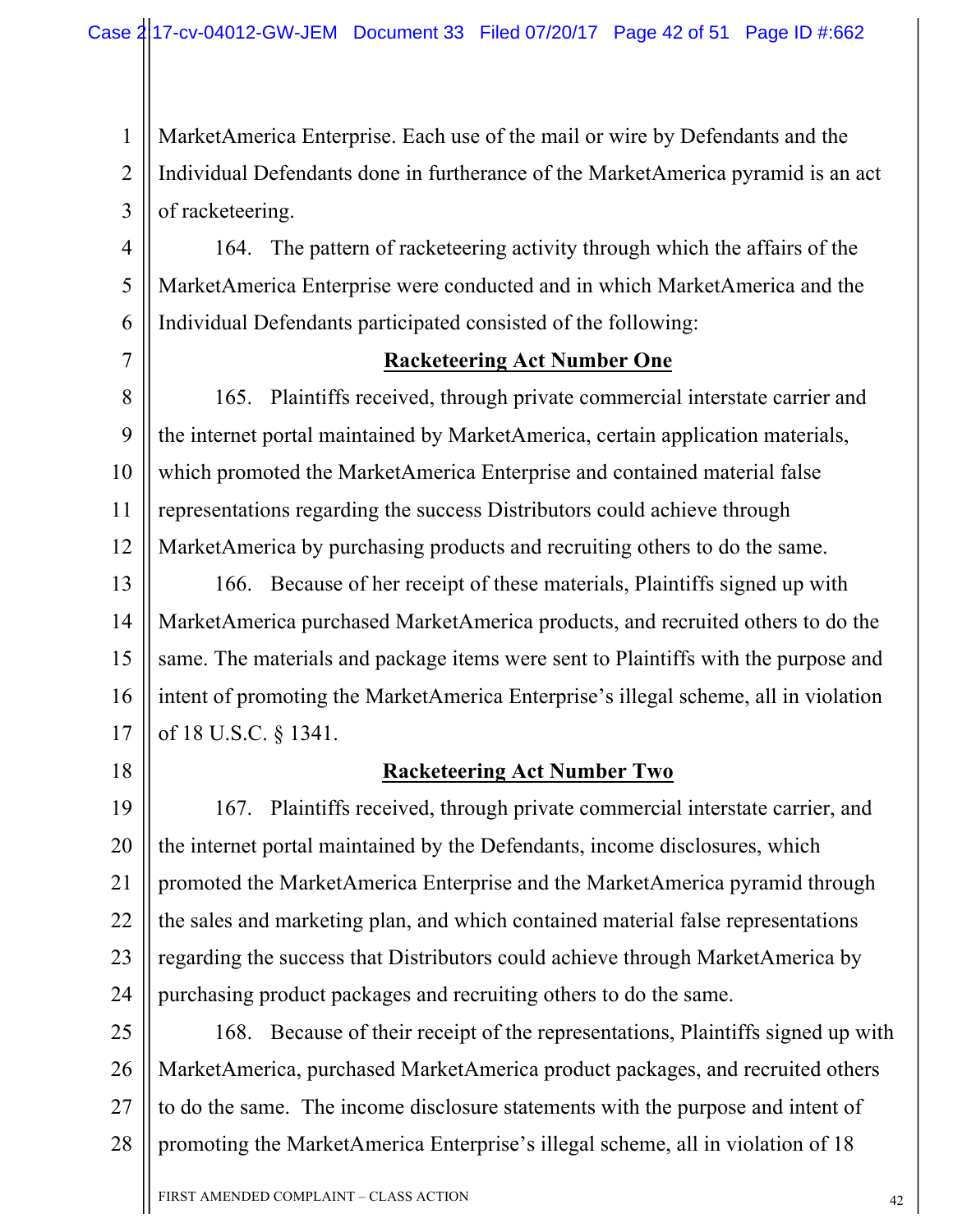1 1 2 2 3 3 MarketAmerica Enterprise. Each use of the mail or wire by Defendants and the Individual Defendants done in furtherance of the MarketAmerica pyramid is an act of racketeering.

4 4 5 5 6 6 164. The pattern of racketeering activity through which the affairs of the MarketAmerica Enterprise were conducted and in which MarketAmerica and the Individual Defendants participated consisted of the following:

7 7

#### **Racketeering Act Number One**

8 8 9 9 10 10 11 11 12 12 165. Plaintiffs received, through private commercial interstate carrier and the internet portal maintained by MarketAmerica, certain application materials, which promoted the MarketAmerica Enterprise and contained material false representations regarding the success Distributors could achieve through MarketAmerica by purchasing products and recruiting others to do the same.

13 13 14 14 15 15 16 16 17 17 166. Because of her receipt of these materials, Plaintiffs signed up with MarketAmerica purchased MarketAmerica products, and recruited others to do the same. The materials and package items were sent to Plaintiffs with the purpose and intent of promoting the MarketAmerica Enterprise's illegal scheme, all in violation of 18 U.S.C. § 1341.

18 18

#### **Racketeering Act Number Two**

19 19 20 20 21 21 22 22 23 23 24 24 167. Plaintiffs received, through private commercial interstate carrier, and the internet portal maintained by the Defendants, income disclosures, which promoted the MarketAmerica Enterprise and the MarketAmerica pyramid through the sales and marketing plan, and which contained material false representations regarding the success that Distributors could achieve through MarketAmerica by purchasing product packages and recruiting others to do the same.

25 25 26 26 27 27 28 28 168. Because of their receipt of the representations, Plaintiffs signed up with MarketAmerica, purchased MarketAmerica product packages, and recruited others to do the same. The income disclosure statements with the purpose and intent of promoting the MarketAmerica Enterprise's illegal scheme, all in violation of 18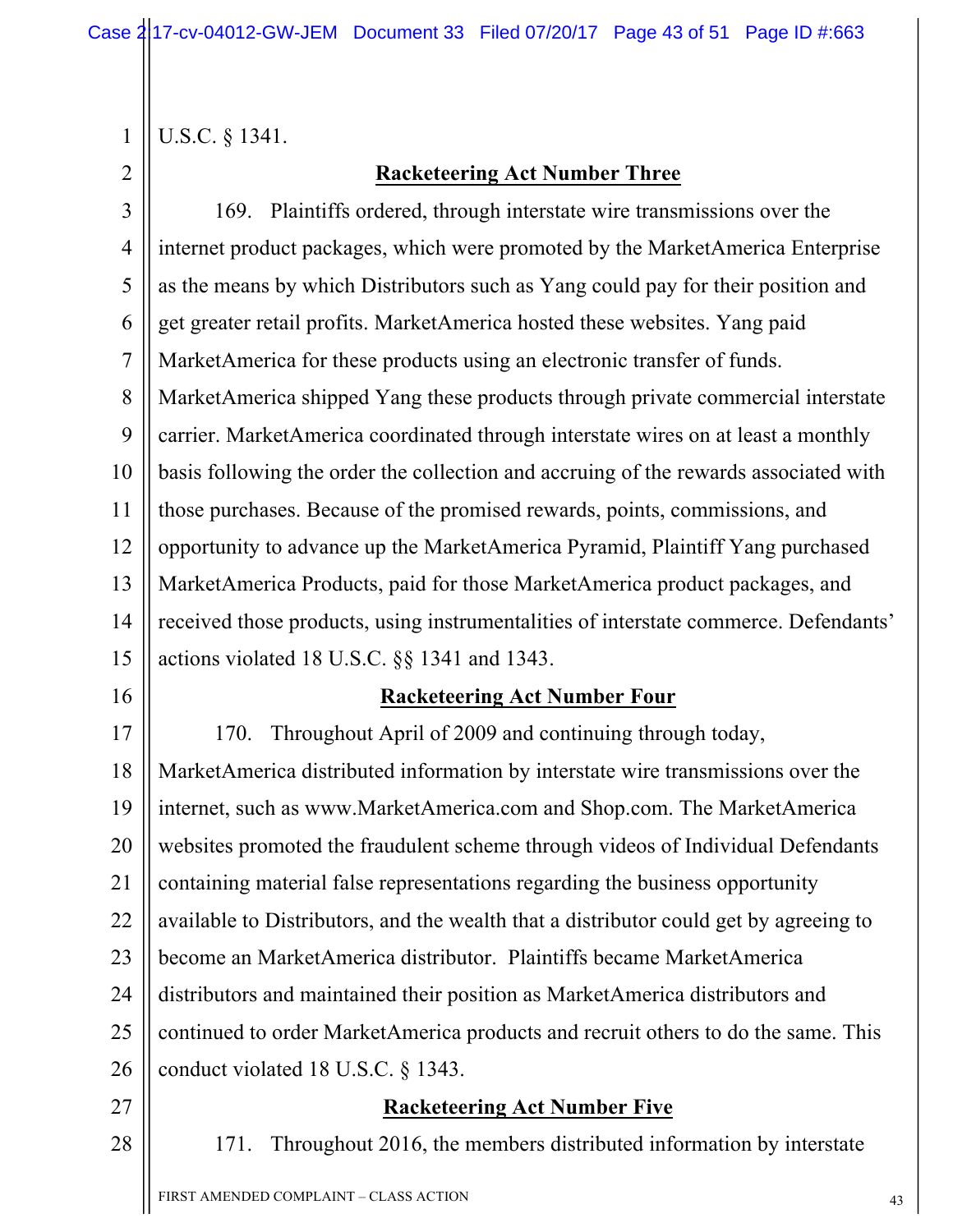U.S.C. § 1341.

1 1

2 2

### **Racketeering Act Number Three**

3 3 4 4 5 5 6 6 7 7 8 8 9 9 10 10 11 11 12 12 13 13 14 14 15 15 169. Plaintiffs ordered, through interstate wire transmissions over the internet product packages, which were promoted by the MarketAmerica Enterprise as the means by which Distributors such as Yang could pay for their position and get greater retail profits. MarketAmerica hosted these websites. Yang paid MarketAmerica for these products using an electronic transfer of funds. MarketAmerica shipped Yang these products through private commercial interstate carrier. MarketAmerica coordinated through interstate wires on at least a monthly basis following the order the collection and accruing of the rewards associated with those purchases. Because of the promised rewards, points, commissions, and opportunity to advance up the MarketAmerica Pyramid, Plaintiff Yang purchased MarketAmerica Products, paid for those MarketAmerica product packages, and received those products, using instrumentalities of interstate commerce. Defendants' actions violated 18 U.S.C. §§ 1341 and 1343.

#### **Racketeering Act Number Four**

17 17 18 18 19 19 20 20 21 21 22 22 23 23 24 24 25 25 26 26 170. Throughout April of 2009 and continuing through today, MarketAmerica distributed information by interstate wire transmissions over the internet, such as www.MarketAmerica.com and Shop.com. The MarketAmerica websites promoted the fraudulent scheme through videos of Individual Defendants containing material false representations regarding the business opportunity available to Distributors, and the wealth that a distributor could get by agreeing to become an MarketAmerica distributor. Plaintiffs became MarketAmerica distributors and maintained their position as MarketAmerica distributors and continued to order MarketAmerica products and recruit others to do the same. This conduct violated 18 U.S.C. § 1343.

#### 27 27

16 16

28 28

171. Throughout 2016, the members distributed information by interstate

**Racketeering Act Number Five**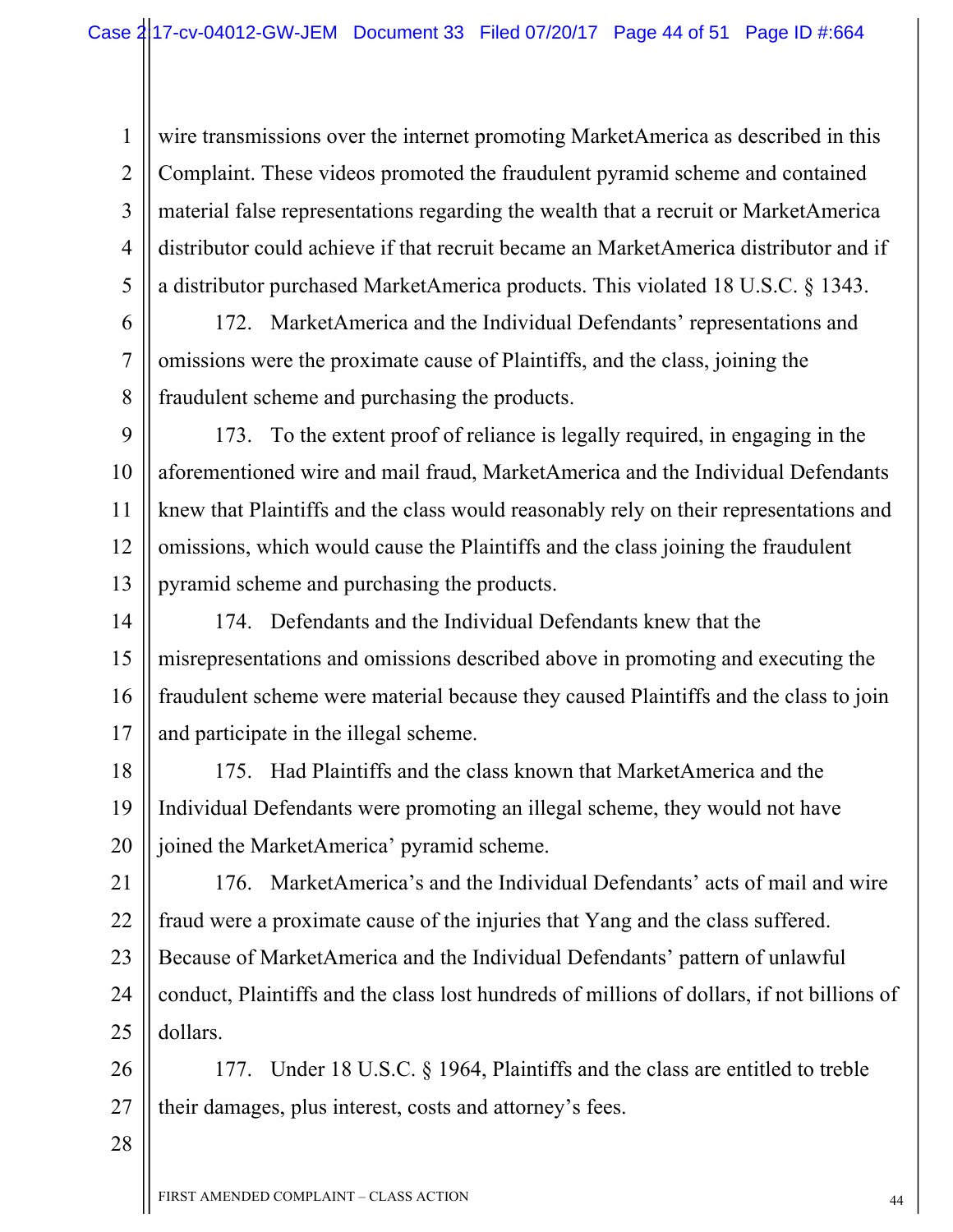wire transmissions over the internet promoting MarketAmerica as described in this Complaint. These videos promoted the fraudulent pyramid scheme and contained material false representations regarding the wealth that a recruit or MarketAmerica distributor could achieve if that recruit became an MarketAmerica distributor and if a distributor purchased MarketAmerica products. This violated 18 U.S.C. § 1343.

172. MarketAmerica and the Individual Defendants' representations and omissions were the proximate cause of Plaintiffs, and the class, joining the fraudulent scheme and purchasing the products.

9 9 10 10 11 11 12 12 13 13 173. To the extent proof of reliance is legally required, in engaging in the aforementioned wire and mail fraud, MarketAmerica and the Individual Defendants knew that Plaintiffs and the class would reasonably rely on their representations and omissions, which would cause the Plaintiffs and the class joining the fraudulent pyramid scheme and purchasing the products.

14 14 15 15 16 16 17 17 174. Defendants and the Individual Defendants knew that the misrepresentations and omissions described above in promoting and executing the fraudulent scheme were material because they caused Plaintiffs and the class to join and participate in the illegal scheme.

18 18 19 19 20 20 175. Had Plaintiffs and the class known that MarketAmerica and the Individual Defendants were promoting an illegal scheme, they would not have joined the MarketAmerica' pyramid scheme.

21 21 22 22 23 23 24 24 25 25 176. MarketAmerica's and the Individual Defendants' acts of mail and wire fraud were a proximate cause of the injuries that Yang and the class suffered. Because of MarketAmerica and the Individual Defendants' pattern of unlawful conduct, Plaintiffs and the class lost hundreds of millions of dollars, if not billions of dollars.

26 26 27 27 177. Under 18 U.S.C. § 1964, Plaintiffs and the class are entitled to treble their damages, plus interest, costs and attorney's fees.

28 28

1 1

2 2

3 3

4 4

5 5

6 6

7 7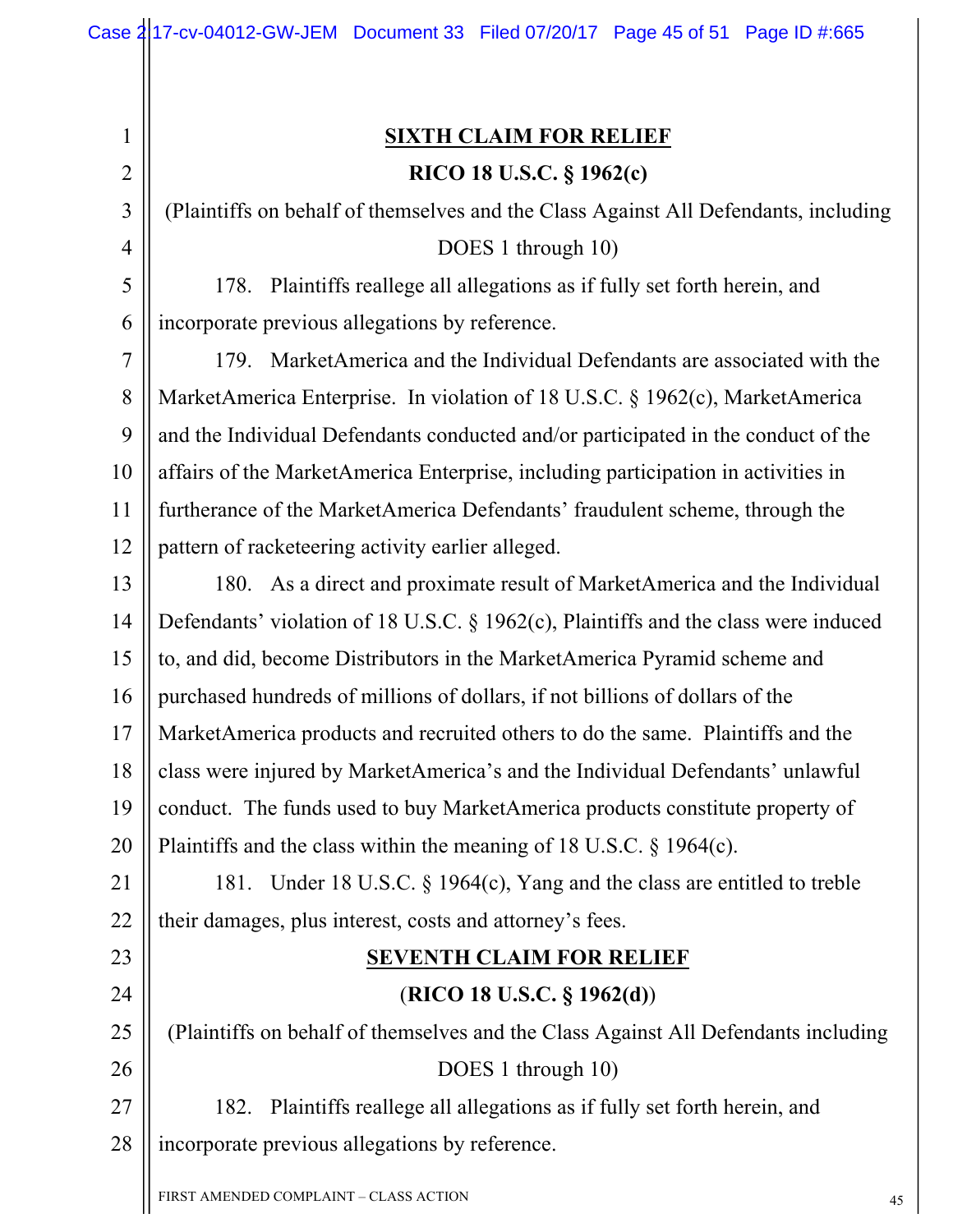1 1

2 2

3 3

4 4

5 5

6 6

7 7

8 8

9 9

10 10

11 11

12 12

23 23

24 24

**SIXTH CLAIM FOR RELIEF RICO 18 U.S.C. § 1962(c)** (Plaintiffs on behalf of themselves and the Class Against All Defendants, including DOES 1 through 10) 178. Plaintiffs reallege all allegations as if fully set forth herein, and incorporate previous allegations by reference. 179. MarketAmerica and the Individual Defendants are associated with the MarketAmerica Enterprise. In violation of 18 U.S.C. § 1962(c), MarketAmerica and the Individual Defendants conducted and/or participated in the conduct of the affairs of the MarketAmerica Enterprise, including participation in activities in furtherance of the MarketAmerica Defendants' fraudulent scheme, through the pattern of racketeering activity earlier alleged.

13 13 14 14 15 15 16 16 17 17 18 18 19 19 20 20 180. As a direct and proximate result of MarketAmerica and the Individual Defendants' violation of 18 U.S.C. § 1962(c), Plaintiffs and the class were induced to, and did, become Distributors in the MarketAmerica Pyramid scheme and purchased hundreds of millions of dollars, if not billions of dollars of the MarketAmerica products and recruited others to do the same. Plaintiffs and the class were injured by MarketAmerica's and the Individual Defendants' unlawful conduct. The funds used to buy MarketAmerica products constitute property of Plaintiffs and the class within the meaning of 18 U.S.C. § 1964(c).

21 21 22 22 181. Under 18 U.S.C. § 1964(c), Yang and the class are entitled to treble their damages, plus interest, costs and attorney's fees.

# **SEVENTH CLAIM FOR RELIEF**

#### (**RICO 18 U.S.C. § 1962(d)**)

25 25 26 26 (Plaintiffs on behalf of themselves and the Class Against All Defendants including DOES 1 through 10)

27 27 28 28 182. Plaintiffs reallege all allegations as if fully set forth herein, and incorporate previous allegations by reference.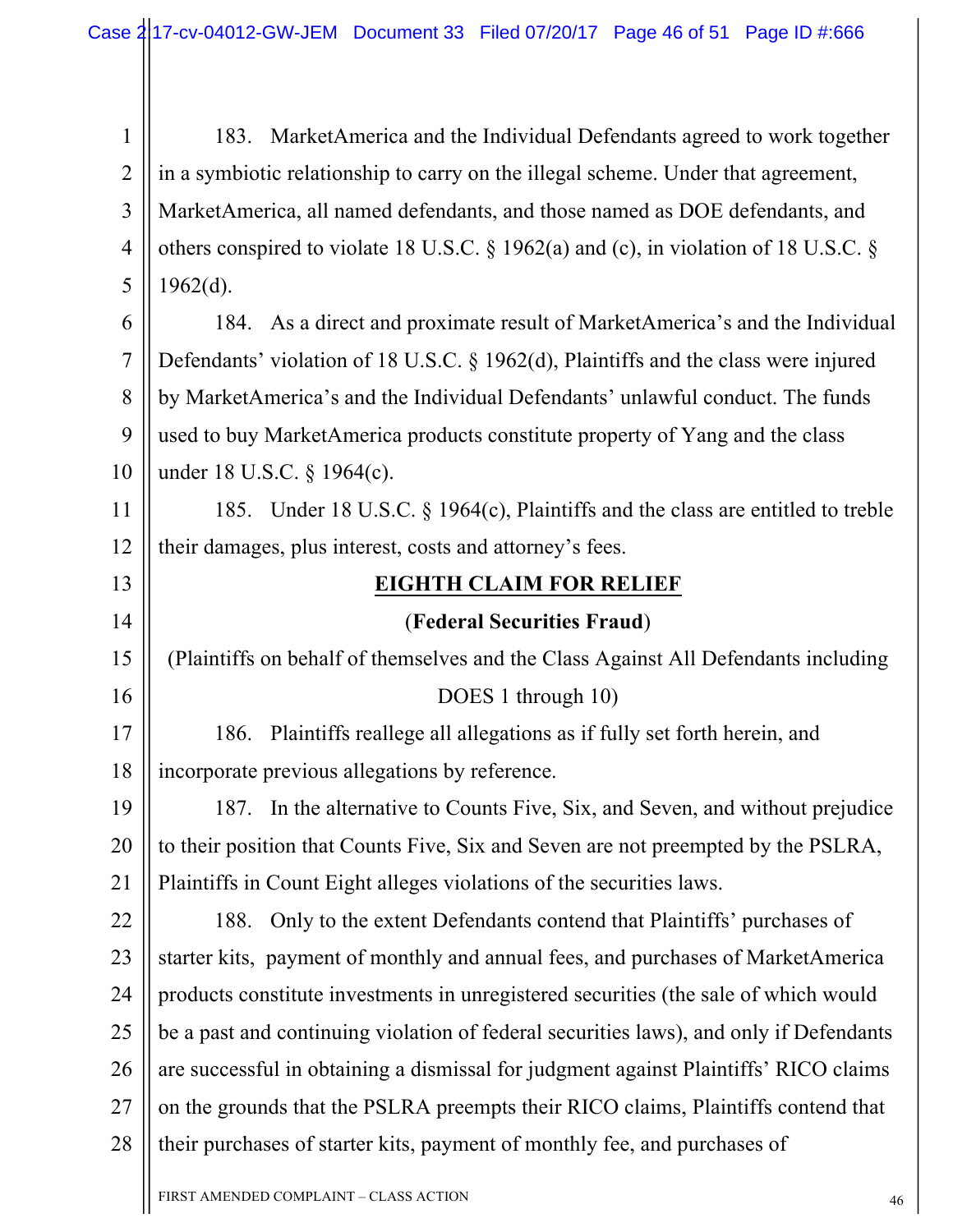1 1 2 2 3 3 4 4 5 5 183. MarketAmerica and the Individual Defendants agreed to work together in a symbiotic relationship to carry on the illegal scheme. Under that agreement, MarketAmerica, all named defendants, and those named as DOE defendants, and others conspired to violate 18 U.S.C. § 1962(a) and (c), in violation of 18 U.S.C. §  $1962(d)$ .

6 6 7 7 8 8 9 9 10 10 184. As a direct and proximate result of MarketAmerica's and the Individual Defendants' violation of 18 U.S.C. § 1962(d), Plaintiffs and the class were injured by MarketAmerica's and the Individual Defendants' unlawful conduct. The funds used to buy MarketAmerica products constitute property of Yang and the class under 18 U.S.C. § 1964(c).

11 11 12 12 185. Under 18 U.S.C. § 1964(c), Plaintiffs and the class are entitled to treble their damages, plus interest, costs and attorney's fees.

### **EIGHTH CLAIM FOR RELIEF**

#### (**Federal Securities Fraud**)

(Plaintiffs on behalf of themselves and the Class Against All Defendants including DOES 1 through 10)

17 17 18 18 186. Plaintiffs reallege all allegations as if fully set forth herein, and incorporate previous allegations by reference.

19 19 20 20 21 21 187. In the alternative to Counts Five, Six, and Seven, and without prejudice to their position that Counts Five, Six and Seven are not preempted by the PSLRA, Plaintiffs in Count Eight alleges violations of the securities laws.

22 22 23 23 24 24 25 25 26 26 27 27 28 28 188. Only to the extent Defendants contend that Plaintiffs' purchases of starter kits, payment of monthly and annual fees, and purchases of MarketAmerica products constitute investments in unregistered securities (the sale of which would be a past and continuing violation of federal securities laws), and only if Defendants are successful in obtaining a dismissal for judgment against Plaintiffs' RICO claims on the grounds that the PSLRA preempts their RICO claims, Plaintiffs contend that their purchases of starter kits, payment of monthly fee, and purchases of

13 13

14 14

15 15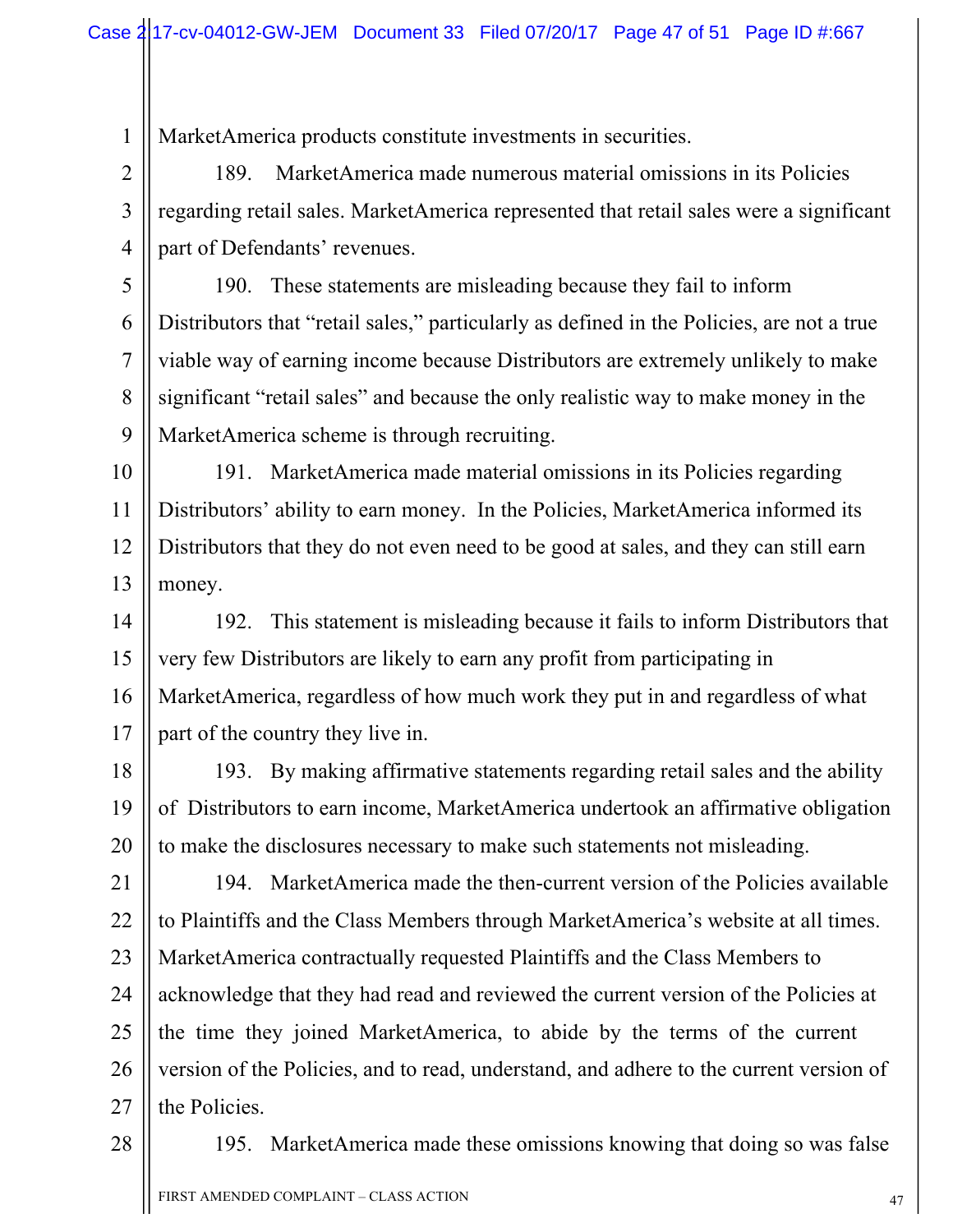MarketAmerica products constitute investments in securities.

2 2 3 3 4 4 189. MarketAmerica made numerous material omissions in its Policies regarding retail sales. MarketAmerica represented that retail sales were a significant part of Defendants' revenues.

5 5 6 6 7 7 8 8 9 9 190. These statements are misleading because they fail to inform Distributors that "retail sales," particularly as defined in the Policies, are not a true viable way of earning income because Distributors are extremely unlikely to make significant "retail sales" and because the only realistic way to make money in the MarketAmerica scheme is through recruiting.

10 10 11 11 12 12 13 13 191. MarketAmerica made material omissions in its Policies regarding Distributors' ability to earn money. In the Policies, MarketAmerica informed its Distributors that they do not even need to be good at sales, and they can still earn money.

14 14 15 15 16 16 17 17 192. This statement is misleading because it fails to inform Distributors that very few Distributors are likely to earn any profit from participating in MarketAmerica, regardless of how much work they put in and regardless of what part of the country they live in.

18 18 19 19 20 20 193. By making affirmative statements regarding retail sales and the ability of Distributors to earn income, MarketAmerica undertook an affirmative obligation to make the disclosures necessary to make such statements not misleading.

21 21 22 22 23 23 24 24 25 25 26 26 27 27 194. MarketAmerica made the then-current version of the Policies available to Plaintiffs and the Class Members through MarketAmerica's website at all times. MarketAmerica contractually requested Plaintiffs and the Class Members to acknowledge that they had read and reviewed the current version of the Policies at the time they joined MarketAmerica, to abide by the terms of the current version of the Policies, and to read, understand, and adhere to the current version of the Policies.

28 28

1 1

195. MarketAmerica made these omissions knowing that doing so was false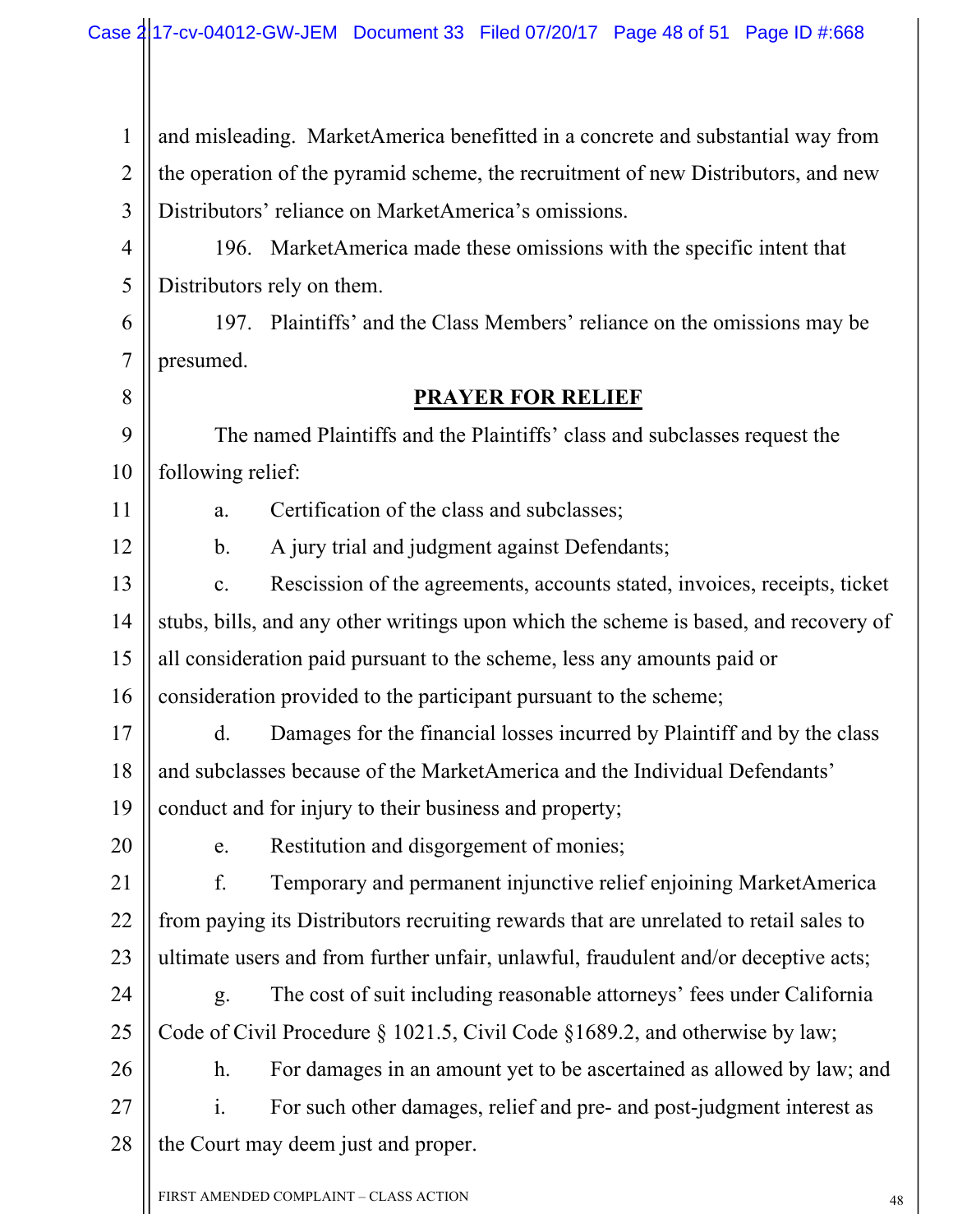1 1 2 2 3 3 and misleading. MarketAmerica benefitted in a concrete and substantial way from the operation of the pyramid scheme, the recruitment of new Distributors, and new Distributors' reliance on MarketAmerica's omissions.

4 4 5 5 196. MarketAmerica made these omissions with the specific intent that Distributors rely on them.

6 6 7 7 197. Plaintiffs' and the Class Members' reliance on the omissions may be presumed.

### **PRAYER FOR RELIEF**

9 9 10 10 The named Plaintiffs and the Plaintiffs' class and subclasses request the following relief:

11 11

12 12

8 8

a. Certification of the class and subclasses;

b. A jury trial and judgment against Defendants;

13 13 14 14 15 15 16 16 c. Rescission of the agreements, accounts stated, invoices, receipts, ticket stubs, bills, and any other writings upon which the scheme is based, and recovery of all consideration paid pursuant to the scheme, less any amounts paid or consideration provided to the participant pursuant to the scheme;

17 17 18 18 19 19 d. Damages for the financial losses incurred by Plaintiff and by the class and subclasses because of the MarketAmerica and the Individual Defendants' conduct and for injury to their business and property;

20 20

e. Restitution and disgorgement of monies;

21 21 22 22 23 23 f. Temporary and permanent injunctive relief enjoining MarketAmerica from paying its Distributors recruiting rewards that are unrelated to retail sales to ultimate users and from further unfair, unlawful, fraudulent and/or deceptive acts;

24 24 25 25 g. The cost of suit including reasonable attorneys' fees under California Code of Civil Procedure § 1021.5, Civil Code §1689.2, and otherwise by law;

26 26 27 27 28 28 h. For damages in an amount yet to be ascertained as allowed by law; and i. For such other damages, relief and pre- and post-judgment interest as the Court may deem just and proper.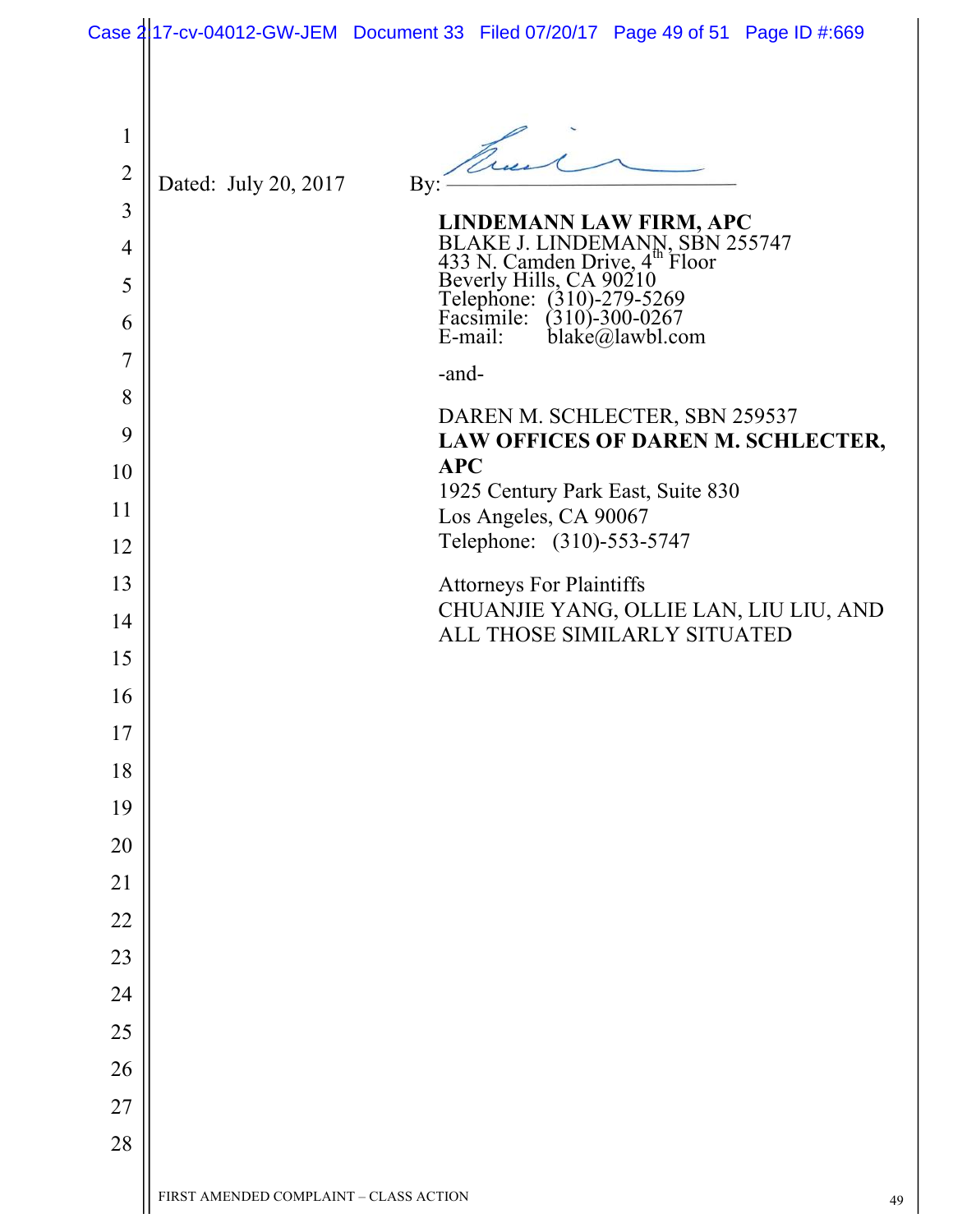|                                                                                                                         | Case 2 17-cv-04012-GW-JEM Document 33 Filed 07/20/17 Page 49 of 51 Page ID #:669                                                                                                                                                                                                                                                                                                                                                                                                                                                                              |
|-------------------------------------------------------------------------------------------------------------------------|---------------------------------------------------------------------------------------------------------------------------------------------------------------------------------------------------------------------------------------------------------------------------------------------------------------------------------------------------------------------------------------------------------------------------------------------------------------------------------------------------------------------------------------------------------------|
| $\mathbf{1}$<br>$\overline{2}$<br>3<br>4<br>5<br>6<br>7<br>8<br>9<br>10<br>11<br>12<br>13<br>14<br>15<br>16<br>17<br>18 | Dated: July 20, 2017<br>By:<br>LINDEMANN LAW FIRM, APC<br>BLAKE J. LINDEMANN, SBN 255747<br>433 N. Camden Drive, 4 <sup>th</sup> Floor<br>Beverly Hills, CA 90210<br>Telephone: (310)-279-5269<br>Facsimile: (310)-300-0267<br>E-mail: blake@lawbl.com<br>-and-<br>DAREN M. SCHLECTER, SBN 259537<br>LAW OFFICES OF DAREN M. SCHLECTER,<br><b>APC</b><br>1925 Century Park East, Suite 830<br>Los Angeles, CA 90067<br>Telephone: (310)-553-5747<br><b>Attorneys For Plaintiffs</b><br>CHUANJIE YANG, OLLIE LAN, LIU LIU, AND<br>ALL THOSE SIMILARLY SITUATED |
| 19                                                                                                                      |                                                                                                                                                                                                                                                                                                                                                                                                                                                                                                                                                               |
| 20                                                                                                                      |                                                                                                                                                                                                                                                                                                                                                                                                                                                                                                                                                               |
| 21                                                                                                                      |                                                                                                                                                                                                                                                                                                                                                                                                                                                                                                                                                               |
| 22                                                                                                                      |                                                                                                                                                                                                                                                                                                                                                                                                                                                                                                                                                               |
| 23                                                                                                                      |                                                                                                                                                                                                                                                                                                                                                                                                                                                                                                                                                               |
| 24<br>25                                                                                                                |                                                                                                                                                                                                                                                                                                                                                                                                                                                                                                                                                               |
| 26                                                                                                                      |                                                                                                                                                                                                                                                                                                                                                                                                                                                                                                                                                               |
| 27                                                                                                                      |                                                                                                                                                                                                                                                                                                                                                                                                                                                                                                                                                               |
| 28                                                                                                                      |                                                                                                                                                                                                                                                                                                                                                                                                                                                                                                                                                               |
|                                                                                                                         | FIRST AMENDED COMPLAINT - CLASS ACTION<br>49                                                                                                                                                                                                                                                                                                                                                                                                                                                                                                                  |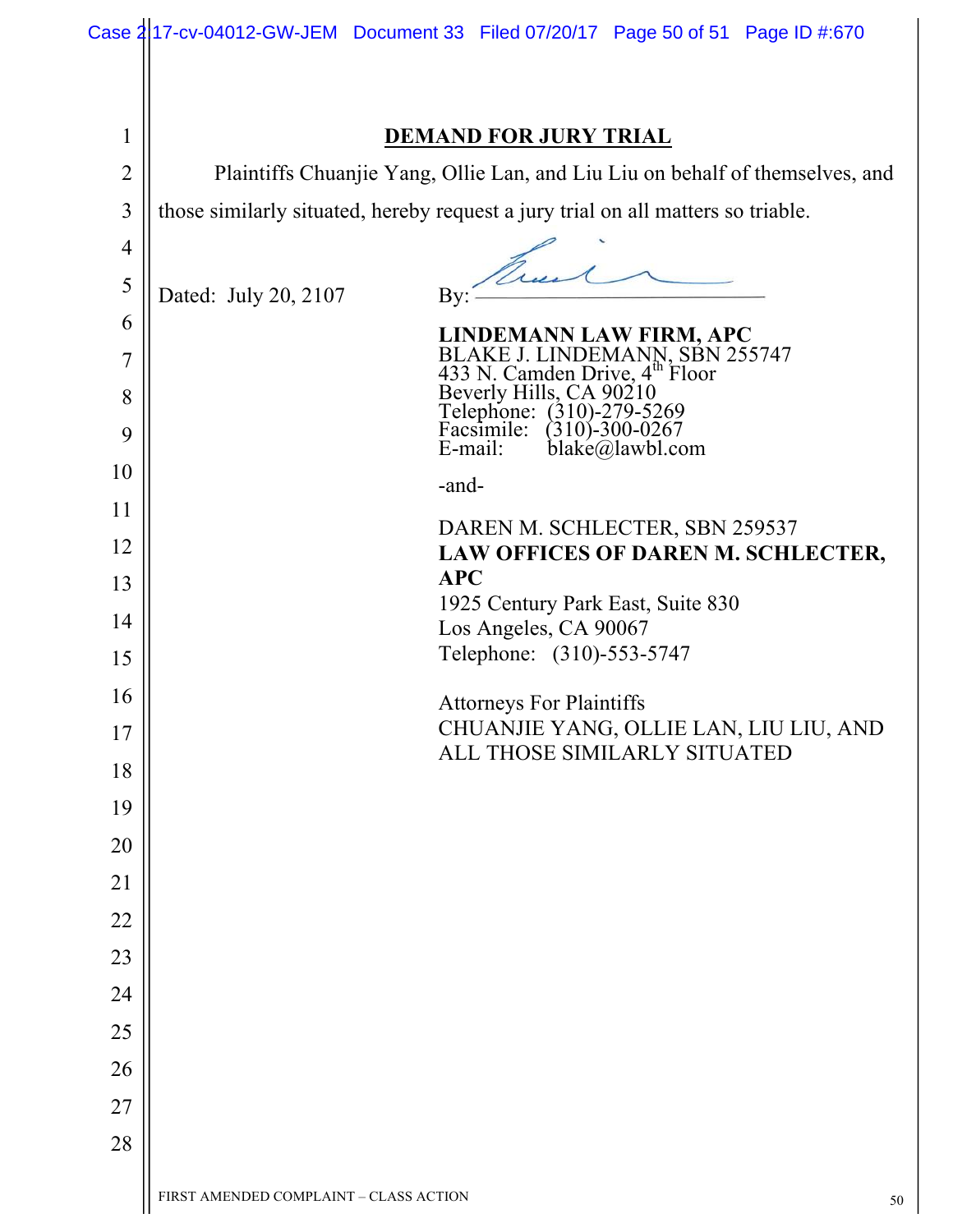|                | Case 2 17-cv-04012-GW-JEM Document 33 Filed 07/20/17 Page 50 of 51 Page ID #:670                                                                                                             |
|----------------|----------------------------------------------------------------------------------------------------------------------------------------------------------------------------------------------|
|                |                                                                                                                                                                                              |
| $\mathbf{1}$   | <b>DEMAND FOR JURY TRIAL</b>                                                                                                                                                                 |
| $\overline{2}$ | Plaintiffs Chuanjie Yang, Ollie Lan, and Liu Liu on behalf of themselves, and                                                                                                                |
| 3              | those similarly situated, hereby request a jury trial on all matters so triable.                                                                                                             |
| $\overline{4}$ |                                                                                                                                                                                              |
| 5              | True                                                                                                                                                                                         |
| 6              | Dated: July 20, 2107<br>By:                                                                                                                                                                  |
| $\overline{7}$ | <b>LINDEMANN LAW FIRM, APC</b>                                                                                                                                                               |
| 8              |                                                                                                                                                                                              |
| 9              | BLAKE J. LINDEMANN, SBN 255747<br>433 N. Camden Drive, 4 <sup>th</sup> Floor<br>Beverly Hills, CA 90210<br>Telephone: (310)-279-5269<br>Facsimile: (310)-300-0267<br>E-mail: blake@lawbl.com |
| 10             |                                                                                                                                                                                              |
| 11             | -and-                                                                                                                                                                                        |
| 12             | DAREN M. SCHLECTER, SBN 259537<br>LAW OFFICES OF DAREN M. SCHLECTER,                                                                                                                         |
| 13             | <b>APC</b>                                                                                                                                                                                   |
| 14             | 1925 Century Park East, Suite 830<br>Los Angeles, CA 90067                                                                                                                                   |
| 15             | Telephone: (310)-553-5747                                                                                                                                                                    |
| 16             | <b>Attorneys For Plaintiffs</b>                                                                                                                                                              |
| 17             | CHUANJIE YANG, OLLIE LAN, LIU LIU, AND                                                                                                                                                       |
| 18             | ALL THOSE SIMILARLY SITUATED                                                                                                                                                                 |
| 19             |                                                                                                                                                                                              |
| 20             |                                                                                                                                                                                              |
| 21             |                                                                                                                                                                                              |
| 22             |                                                                                                                                                                                              |
| 23             |                                                                                                                                                                                              |
| 24             |                                                                                                                                                                                              |
| 25             |                                                                                                                                                                                              |
| 26             |                                                                                                                                                                                              |
| 27             |                                                                                                                                                                                              |
| 28             |                                                                                                                                                                                              |
|                | FIRST AMENDED COMPLAINT - CLASS ACTION<br>50                                                                                                                                                 |